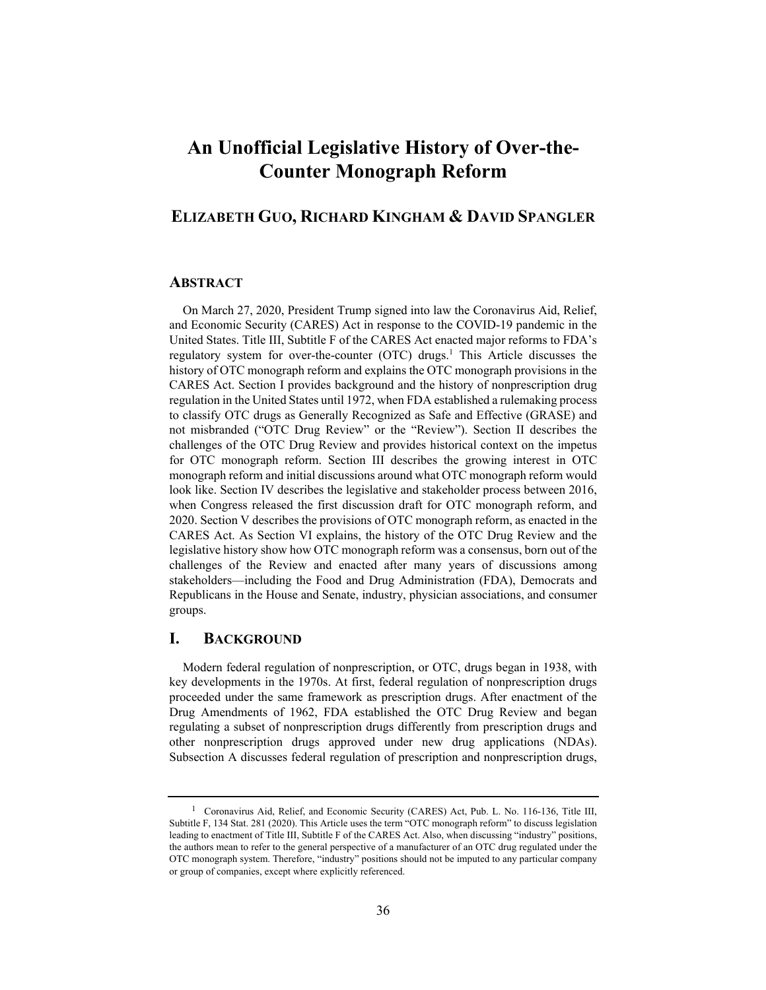# **An Unofficial Legislative History of Over-the-Counter Monograph Reform**

# **ELIZABETH GUO, RICHARD KINGHAM & DAVID SPANGLER**

# **ABSTRACT**

On March 27, 2020, President Trump signed into law the Coronavirus Aid, Relief, and Economic Security (CARES) Act in response to the COVID-19 pandemic in the United States. Title III, Subtitle F of the CARES Act enacted major reforms to FDA's regulatory system for over-the-counter (OTC) drugs.<sup>1</sup> This Article discusses the history of OTC monograph reform and explains the OTC monograph provisions in the CARES Act. Section I provides background and the history of nonprescription drug regulation in the United States until 1972, when FDA established a rulemaking process to classify OTC drugs as Generally Recognized as Safe and Effective (GRASE) and not misbranded ("OTC Drug Review" or the "Review"). Section II describes the challenges of the OTC Drug Review and provides historical context on the impetus for OTC monograph reform. Section III describes the growing interest in OTC monograph reform and initial discussions around what OTC monograph reform would look like. Section IV describes the legislative and stakeholder process between 2016, when Congress released the first discussion draft for OTC monograph reform, and 2020. Section V describes the provisions of OTC monograph reform, as enacted in the CARES Act. As Section VI explains, the history of the OTC Drug Review and the legislative history show how OTC monograph reform was a consensus, born out of the challenges of the Review and enacted after many years of discussions among stakeholders—including the Food and Drug Administration (FDA), Democrats and Republicans in the House and Senate, industry, physician associations, and consumer groups.

# **I. BACKGROUND**

Modern federal regulation of nonprescription, or OTC, drugs began in 1938, with key developments in the 1970s. At first, federal regulation of nonprescription drugs proceeded under the same framework as prescription drugs. After enactment of the Drug Amendments of 1962, FDA established the OTC Drug Review and began regulating a subset of nonprescription drugs differently from prescription drugs and other nonprescription drugs approved under new drug applications (NDAs). Subsection A discusses federal regulation of prescription and nonprescription drugs,

<sup>&</sup>lt;sup>1</sup> Coronavirus Aid, Relief, and Economic Security (CARES) Act, Pub. L. No. 116-136, Title III, Subtitle F, 134 Stat. 281 (2020). This Article uses the term "OTC monograph reform" to discuss legislation leading to enactment of Title III, Subtitle F of the CARES Act. Also, when discussing "industry" positions, the authors mean to refer to the general perspective of a manufacturer of an OTC drug regulated under the OTC monograph system. Therefore, "industry" positions should not be imputed to any particular company or group of companies, except where explicitly referenced.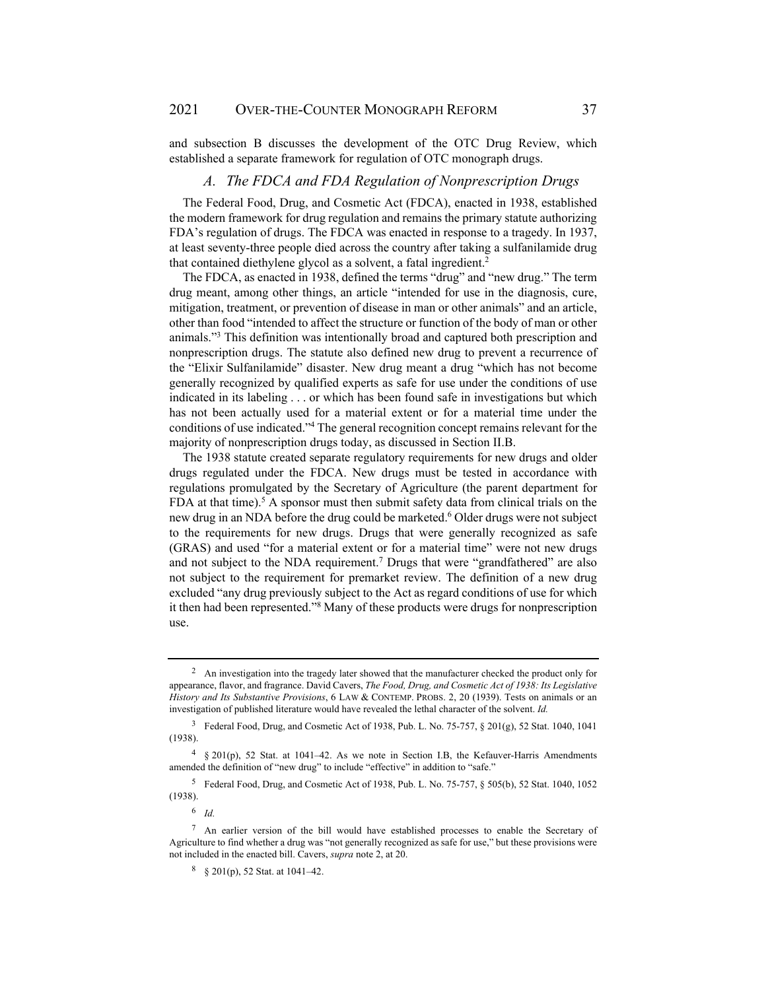and subsection B discusses the development of the OTC Drug Review, which established a separate framework for regulation of OTC monograph drugs.

#### *A. The FDCA and FDA Regulation of Nonprescription Drugs*

The Federal Food, Drug, and Cosmetic Act (FDCA), enacted in 1938, established the modern framework for drug regulation and remains the primary statute authorizing FDA's regulation of drugs. The FDCA was enacted in response to a tragedy. In 1937, at least seventy-three people died across the country after taking a sulfanilamide drug that contained diethylene glycol as a solvent, a fatal ingredient.<sup>2</sup>

The FDCA, as enacted in 1938, defined the terms "drug" and "new drug." The term drug meant, among other things, an article "intended for use in the diagnosis, cure, mitigation, treatment, or prevention of disease in man or other animals" and an article, other than food "intended to affect the structure or function of the body of man or other animals."3 This definition was intentionally broad and captured both prescription and nonprescription drugs. The statute also defined new drug to prevent a recurrence of the "Elixir Sulfanilamide" disaster. New drug meant a drug "which has not become generally recognized by qualified experts as safe for use under the conditions of use indicated in its labeling . . . or which has been found safe in investigations but which has not been actually used for a material extent or for a material time under the conditions of use indicated."4 The general recognition concept remains relevant for the majority of nonprescription drugs today, as discussed in Section II.B.

The 1938 statute created separate regulatory requirements for new drugs and older drugs regulated under the FDCA. New drugs must be tested in accordance with regulations promulgated by the Secretary of Agriculture (the parent department for FDA at that time).<sup>5</sup> A sponsor must then submit safety data from clinical trials on the new drug in an NDA before the drug could be marketed.<sup>6</sup> Older drugs were not subject to the requirements for new drugs. Drugs that were generally recognized as safe (GRAS) and used "for a material extent or for a material time" were not new drugs and not subject to the NDA requirement.<sup>7</sup> Drugs that were "grandfathered" are also not subject to the requirement for premarket review. The definition of a new drug excluded "any drug previously subject to the Act as regard conditions of use for which it then had been represented."8 Many of these products were drugs for nonprescription use.

<sup>2</sup> An investigation into the tragedy later showed that the manufacturer checked the product only for appearance, flavor, and fragrance. David Cavers, *The Food, Drug, and Cosmetic Act of 1938: Its Legislative History and Its Substantive Provisions*, 6 LAW & CONTEMP. PROBS. 2, 20 (1939). Tests on animals or an investigation of published literature would have revealed the lethal character of the solvent. *Id.*

<sup>3</sup> Federal Food, Drug, and Cosmetic Act of 1938, Pub. L. No. 75-757, § 201(g), 52 Stat. 1040, 1041 (1938).

<sup>4 § 201(</sup>p), 52 Stat. at 1041–42. As we note in Section I.B, the Kefauver-Harris Amendments amended the definition of "new drug" to include "effective" in addition to "safe."

<sup>5</sup> Federal Food, Drug, and Cosmetic Act of 1938, Pub. L. No. 75-757, § 505(b), 52 Stat. 1040, 1052 (1938).

<sup>6</sup> *Id.* 

<sup>7</sup> An earlier version of the bill would have established processes to enable the Secretary of Agriculture to find whether a drug was "not generally recognized as safe for use," but these provisions were not included in the enacted bill. Cavers, *supra* note 2, at 20.

 $8\quad$  § 201(p), 52 Stat. at 1041–42.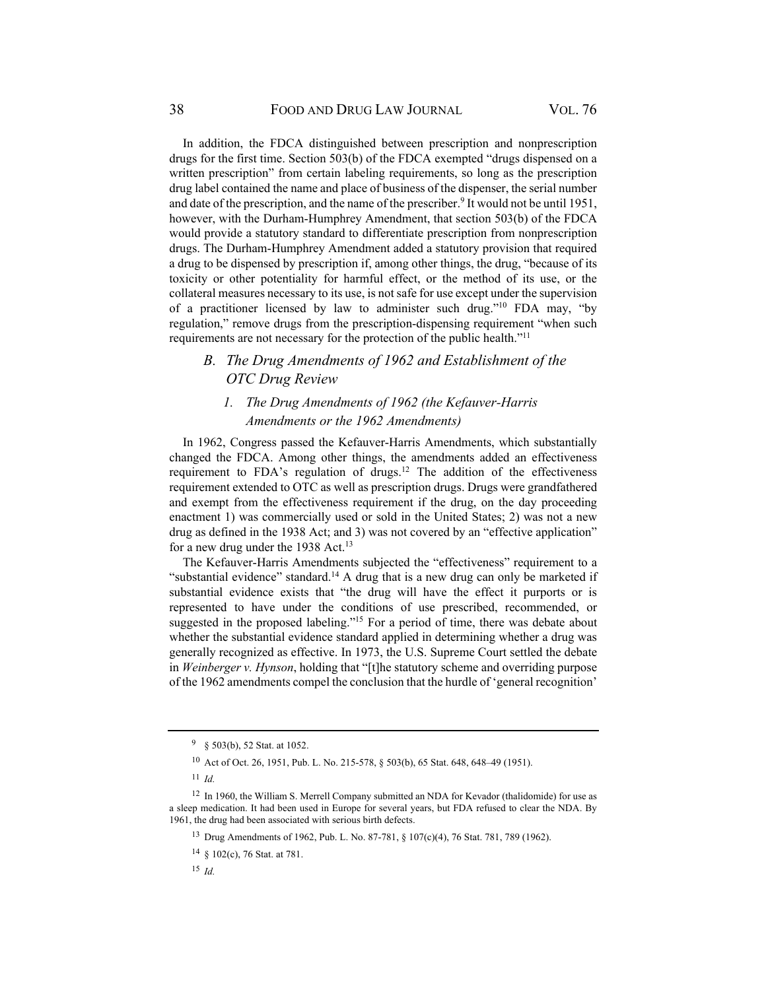In addition, the FDCA distinguished between prescription and nonprescription drugs for the first time. Section 503(b) of the FDCA exempted "drugs dispensed on a written prescription" from certain labeling requirements, so long as the prescription drug label contained the name and place of business of the dispenser, the serial number and date of the prescription, and the name of the prescriber.<sup>9</sup> It would not be until 1951, however, with the Durham-Humphrey Amendment, that section 503(b) of the FDCA would provide a statutory standard to differentiate prescription from nonprescription drugs. The Durham-Humphrey Amendment added a statutory provision that required a drug to be dispensed by prescription if, among other things, the drug, "because of its toxicity or other potentiality for harmful effect, or the method of its use, or the collateral measures necessary to its use, is not safe for use except under the supervision of a practitioner licensed by law to administer such drug."10 FDA may, "by regulation," remove drugs from the prescription-dispensing requirement "when such requirements are not necessary for the protection of the public health."11

# *B. The Drug Amendments of 1962 and Establishment of the OTC Drug Review*

# *1. The Drug Amendments of 1962 (the Kefauver-Harris Amendments or the 1962 Amendments)*

In 1962, Congress passed the Kefauver-Harris Amendments, which substantially changed the FDCA. Among other things, the amendments added an effectiveness requirement to FDA's regulation of drugs.12 The addition of the effectiveness requirement extended to OTC as well as prescription drugs. Drugs were grandfathered and exempt from the effectiveness requirement if the drug, on the day proceeding enactment 1) was commercially used or sold in the United States; 2) was not a new drug as defined in the 1938 Act; and 3) was not covered by an "effective application" for a new drug under the 1938 Act.<sup>13</sup>

The Kefauver-Harris Amendments subjected the "effectiveness" requirement to a "substantial evidence" standard.<sup>14</sup> A drug that is a new drug can only be marketed if substantial evidence exists that "the drug will have the effect it purports or is represented to have under the conditions of use prescribed, recommended, or suggested in the proposed labeling."15 For a period of time, there was debate about whether the substantial evidence standard applied in determining whether a drug was generally recognized as effective. In 1973, the U.S. Supreme Court settled the debate in *Weinberger v. Hynson*, holding that "[t]he statutory scheme and overriding purpose of the 1962 amendments compel the conclusion that the hurdle of 'general recognition'

<sup>9 § 503(</sup>b), 52 Stat. at 1052.

<sup>10</sup> Act of Oct. 26, 1951, Pub. L. No. 215-578, § 503(b), 65 Stat. 648, 648–49 (1951).

<sup>11</sup> *Id.*

 $12$  In 1960, the William S. Merrell Company submitted an NDA for Kevador (thalidomide) for use as a sleep medication. It had been used in Europe for several years, but FDA refused to clear the NDA. By 1961, the drug had been associated with serious birth defects.

<sup>13</sup> Drug Amendments of 1962, Pub. L. No. 87-781, § 107(c)(4), 76 Stat. 781, 789 (1962).

<sup>14 § 102(</sup>c), 76 Stat. at 781.

<sup>15</sup> *Id.*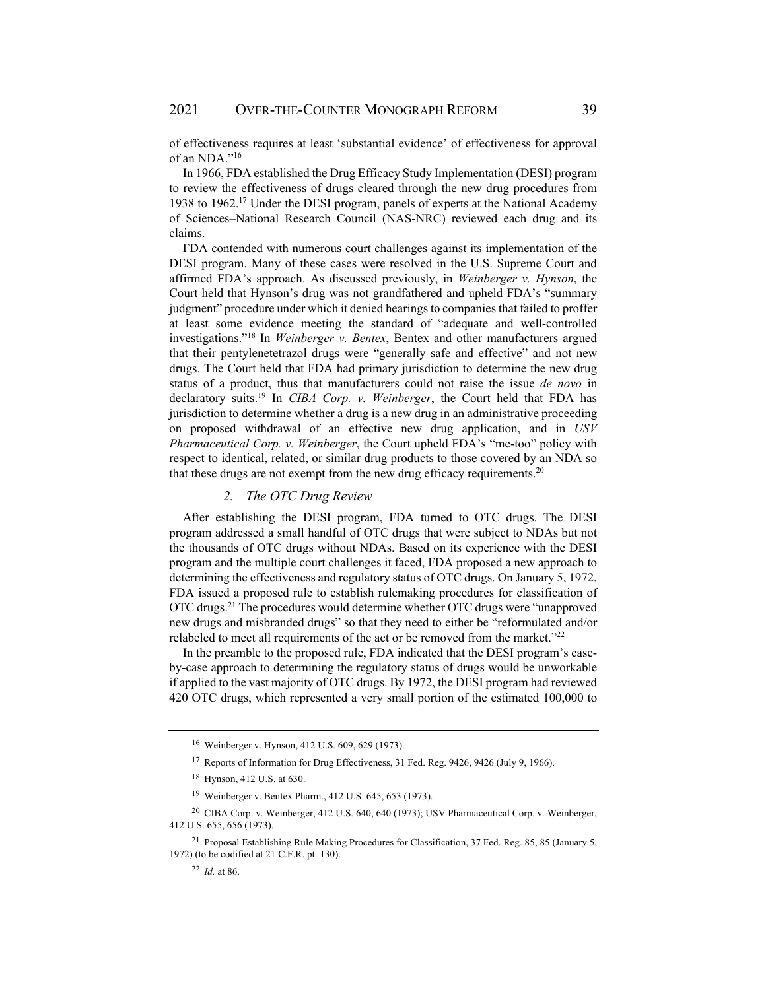of effectiveness requires at least 'substantial evidence' of effectiveness for approval of an NDA."16

In 1966, FDA established the Drug Efficacy Study Implementation (DESI) program to review the effectiveness of drugs cleared through the new drug procedures from 1938 to 1962.17 Under the DESI program, panels of experts at the National Academy of Sciences–National Research Council (NAS-NRC) reviewed each drug and its claims.

FDA contended with numerous court challenges against its implementation of the DESI program. Many of these cases were resolved in the U.S. Supreme Court and affirmed FDA's approach. As discussed previously, in *Weinberger v. Hynson*, the Court held that Hynson's drug was not grandfathered and upheld FDA's "summary judgment" procedure under which it denied hearings to companies that failed to proffer at least some evidence meeting the standard of "adequate and well-controlled investigations."18 In *Weinberger v. Bentex*, Bentex and other manufacturers argued that their pentylenetetrazol drugs were "generally safe and effective" and not new drugs. The Court held that FDA had primary jurisdiction to determine the new drug status of a product, thus that manufacturers could not raise the issue *de novo* in declaratory suits.19 In *CIBA Corp. v. Weinberger*, the Court held that FDA has jurisdiction to determine whether a drug is a new drug in an administrative proceeding on proposed withdrawal of an effective new drug application, and in *USV Pharmaceutical Corp. v. Weinberger*, the Court upheld FDA's "me-too" policy with respect to identical, related, or similar drug products to those covered by an NDA so that these drugs are not exempt from the new drug efficacy requirements.<sup>20</sup>

# *2. The OTC Drug Review*

After establishing the DESI program, FDA turned to OTC drugs. The DESI program addressed a small handful of OTC drugs that were subject to NDAs but not the thousands of OTC drugs without NDAs. Based on its experience with the DESI program and the multiple court challenges it faced, FDA proposed a new approach to determining the effectiveness and regulatory status of OTC drugs. On January 5, 1972, FDA issued a proposed rule to establish rulemaking procedures for classification of OTC drugs.21 The procedures would determine whether OTC drugs were "unapproved new drugs and misbranded drugs" so that they need to either be "reformulated and/or relabeled to meet all requirements of the act or be removed from the market."22

In the preamble to the proposed rule, FDA indicated that the DESI program's caseby-case approach to determining the regulatory status of drugs would be unworkable if applied to the vast majority of OTC drugs. By 1972, the DESI program had reviewed 420 OTC drugs, which represented a very small portion of the estimated 100,000 to

<sup>16</sup> Weinberger v. Hynson, 412 U.S. 609, 629 (1973).

<sup>17</sup> Reports of Information for Drug Effectiveness, 31 Fed. Reg. 9426, 9426 (July 9, 1966).

<sup>18</sup> Hynson, 412 U.S. at 630.

<sup>19</sup> Weinberger v. Bentex Pharm., 412 U.S. 645, 653 (1973).

<sup>20</sup> CIBA Corp. v. Weinberger, 412 U.S. 640, 640 (1973); USV Pharmaceutical Corp. v. Weinberger, 412 U.S. 655, 656 (1973).

<sup>21</sup> Proposal Establishing Rule Making Procedures for Classification, 37 Fed. Reg. 85, 85 (January 5, 1972) (to be codified at 21 C.F.R. pt. 130).

<sup>22</sup> *Id.* at 86.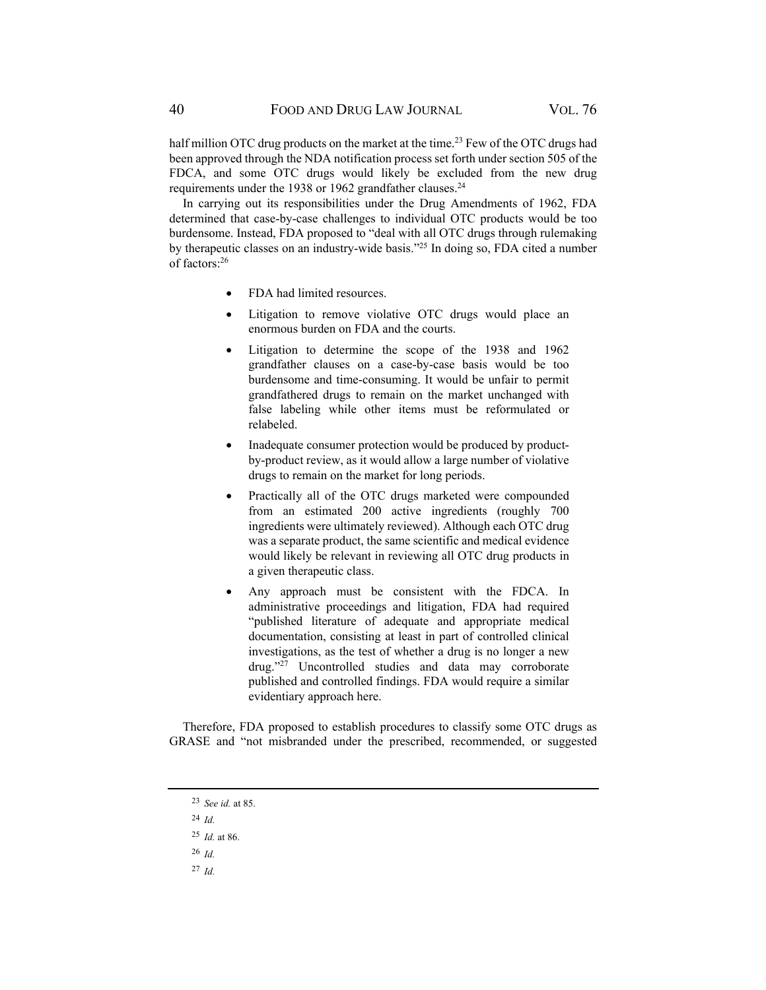half million OTC drug products on the market at the time.<sup>23</sup> Few of the OTC drugs had been approved through the NDA notification process set forth under section 505 of the FDCA, and some OTC drugs would likely be excluded from the new drug requirements under the 1938 or 1962 grandfather clauses.<sup>24</sup>

In carrying out its responsibilities under the Drug Amendments of 1962, FDA determined that case-by-case challenges to individual OTC products would be too burdensome. Instead, FDA proposed to "deal with all OTC drugs through rulemaking by therapeutic classes on an industry-wide basis."25 In doing so, FDA cited a number of factors:26

- FDA had limited resources.
- Litigation to remove violative OTC drugs would place an enormous burden on FDA and the courts.
- Litigation to determine the scope of the 1938 and 1962 grandfather clauses on a case-by-case basis would be too burdensome and time-consuming. It would be unfair to permit grandfathered drugs to remain on the market unchanged with false labeling while other items must be reformulated or relabeled.
- Inadequate consumer protection would be produced by productby-product review, as it would allow a large number of violative drugs to remain on the market for long periods.
- Practically all of the OTC drugs marketed were compounded from an estimated 200 active ingredients (roughly 700 ingredients were ultimately reviewed). Although each OTC drug was a separate product, the same scientific and medical evidence would likely be relevant in reviewing all OTC drug products in a given therapeutic class.
- Any approach must be consistent with the FDCA. In administrative proceedings and litigation, FDA had required "published literature of adequate and appropriate medical documentation, consisting at least in part of controlled clinical investigations, as the test of whether a drug is no longer a new  $\frac{d}{dx}$  Uncontrolled studies and data may corroborate published and controlled findings. FDA would require a similar evidentiary approach here.

Therefore, FDA proposed to establish procedures to classify some OTC drugs as GRASE and "not misbranded under the prescribed, recommended, or suggested

- <sup>26</sup> *Id.*
- <sup>27</sup> *Id.*

<sup>23</sup> *See id.* at 85.

<sup>24</sup> *Id.* 

<sup>25</sup> *Id.* at 86.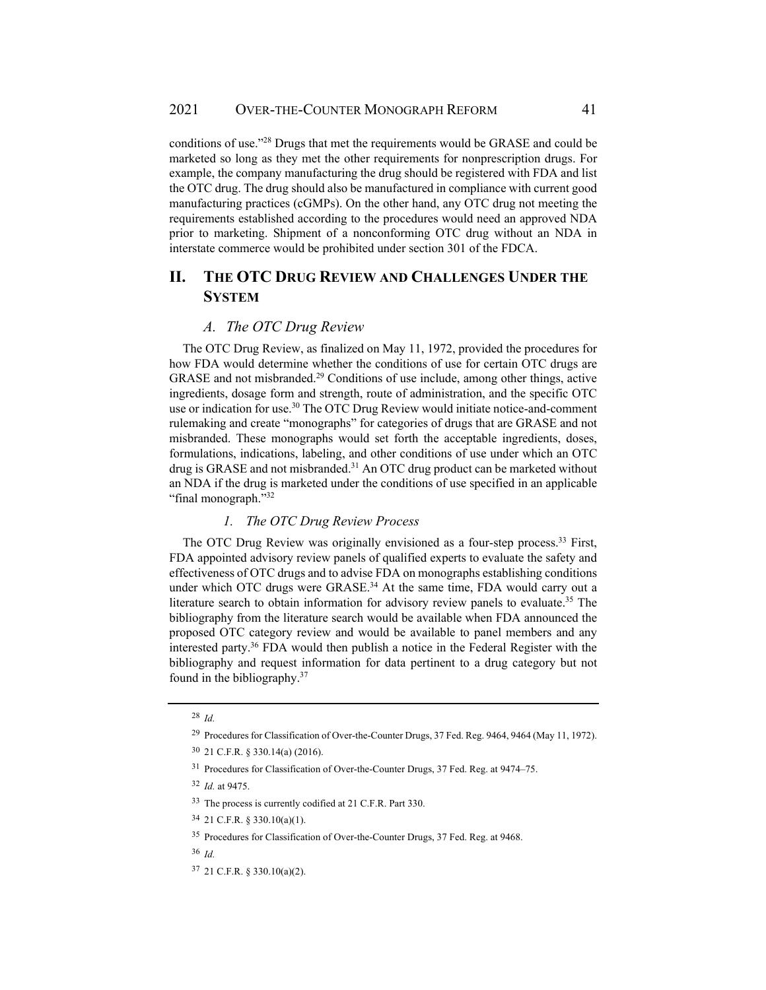conditions of use."28 Drugs that met the requirements would be GRASE and could be marketed so long as they met the other requirements for nonprescription drugs. For example, the company manufacturing the drug should be registered with FDA and list the OTC drug. The drug should also be manufactured in compliance with current good manufacturing practices (cGMPs). On the other hand, any OTC drug not meeting the requirements established according to the procedures would need an approved NDA prior to marketing. Shipment of a nonconforming OTC drug without an NDA in interstate commerce would be prohibited under section 301 of the FDCA.

# **II. THE OTC DRUG REVIEW AND CHALLENGES UNDER THE SYSTEM**

#### *A. The OTC Drug Review*

The OTC Drug Review, as finalized on May 11, 1972, provided the procedures for how FDA would determine whether the conditions of use for certain OTC drugs are GRASE and not misbranded.29 Conditions of use include, among other things, active ingredients, dosage form and strength, route of administration, and the specific OTC use or indication for use.<sup>30</sup> The OTC Drug Review would initiate notice-and-comment rulemaking and create "monographs" for categories of drugs that are GRASE and not misbranded. These monographs would set forth the acceptable ingredients, doses, formulations, indications, labeling, and other conditions of use under which an OTC drug is GRASE and not misbranded.<sup>31</sup> An OTC drug product can be marketed without an NDA if the drug is marketed under the conditions of use specified in an applicable "final monograph."32

# *1. The OTC Drug Review Process*

The OTC Drug Review was originally envisioned as a four-step process.<sup>33</sup> First, FDA appointed advisory review panels of qualified experts to evaluate the safety and effectiveness of OTC drugs and to advise FDA on monographs establishing conditions under which OTC drugs were GRASE.<sup>34</sup> At the same time, FDA would carry out a literature search to obtain information for advisory review panels to evaluate.<sup>35</sup> The bibliography from the literature search would be available when FDA announced the proposed OTC category review and would be available to panel members and any interested party.36 FDA would then publish a notice in the Federal Register with the bibliography and request information for data pertinent to a drug category but not found in the bibliography.37

<sup>28</sup> *Id.* 

<sup>29</sup> Procedures for Classification of Over-the-Counter Drugs, 37 Fed. Reg. 9464, 9464 (May 11, 1972).

<sup>30 21</sup> C.F.R. § 330.14(a) (2016).

<sup>31</sup> Procedures for Classification of Over-the-Counter Drugs, 37 Fed. Reg. at 9474–75.

<sup>32</sup> *Id.* at 9475.

<sup>33</sup> The process is currently codified at 21 C.F.R. Part 330.

<sup>34 21</sup> C.F.R. § 330.10(a)(1).

<sup>35</sup> Procedures for Classification of Over-the-Counter Drugs, 37 Fed. Reg. at 9468.

<sup>36</sup> *Id.* 

<sup>37 21</sup> C.F.R. § 330.10(a)(2).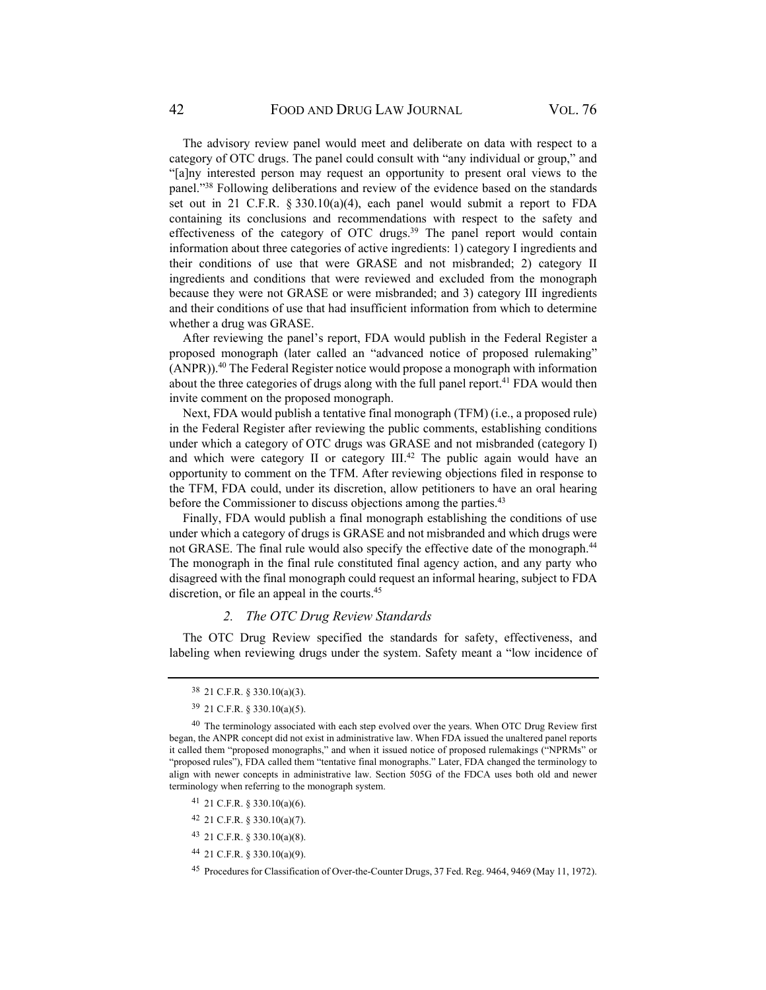The advisory review panel would meet and deliberate on data with respect to a category of OTC drugs. The panel could consult with "any individual or group," and "[a]ny interested person may request an opportunity to present oral views to the panel."38 Following deliberations and review of the evidence based on the standards set out in 21 C.F.R. § 330.10(a)(4), each panel would submit a report to FDA containing its conclusions and recommendations with respect to the safety and effectiveness of the category of OTC drugs.39 The panel report would contain information about three categories of active ingredients: 1) category I ingredients and their conditions of use that were GRASE and not misbranded; 2) category II ingredients and conditions that were reviewed and excluded from the monograph because they were not GRASE or were misbranded; and 3) category III ingredients and their conditions of use that had insufficient information from which to determine whether a drug was GRASE.

After reviewing the panel's report, FDA would publish in the Federal Register a proposed monograph (later called an "advanced notice of proposed rulemaking"  $(ANPR)$ ).<sup>40</sup> The Federal Register notice would propose a monograph with information about the three categories of drugs along with the full panel report.<sup>41</sup> FDA would then invite comment on the proposed monograph.

Next, FDA would publish a tentative final monograph (TFM) (i.e., a proposed rule) in the Federal Register after reviewing the public comments, establishing conditions under which a category of OTC drugs was GRASE and not misbranded (category I) and which were category II or category  $III^{42}$ . The public again would have an opportunity to comment on the TFM. After reviewing objections filed in response to the TFM, FDA could, under its discretion, allow petitioners to have an oral hearing before the Commissioner to discuss objections among the parties.<sup>43</sup>

Finally, FDA would publish a final monograph establishing the conditions of use under which a category of drugs is GRASE and not misbranded and which drugs were not GRASE. The final rule would also specify the effective date of the monograph.<sup>44</sup> The monograph in the final rule constituted final agency action, and any party who disagreed with the final monograph could request an informal hearing, subject to FDA discretion, or file an appeal in the courts.<sup>45</sup>

#### *2. The OTC Drug Review Standards*

The OTC Drug Review specified the standards for safety, effectiveness, and labeling when reviewing drugs under the system. Safety meant a "low incidence of

- 41 21 C.F.R. § 330.10(a)(6).
- 42 21 C.F.R. § 330.10(a)(7).
- 43 21 C.F.R. § 330.10(a)(8).
- 44 21 C.F.R. § 330.10(a)(9).

<sup>38 21</sup> C.F.R. § 330.10(a)(3).

<sup>39 21</sup> C.F.R. § 330.10(a)(5).

<sup>&</sup>lt;sup>40</sup> The terminology associated with each step evolved over the years. When OTC Drug Review first began, the ANPR concept did not exist in administrative law. When FDA issued the unaltered panel reports it called them "proposed monographs," and when it issued notice of proposed rulemakings ("NPRMs" or "proposed rules"), FDA called them "tentative final monographs." Later, FDA changed the terminology to align with newer concepts in administrative law. Section 505G of the FDCA uses both old and newer terminology when referring to the monograph system.

<sup>45</sup> Procedures for Classification of Over-the-Counter Drugs, 37 Fed. Reg. 9464, 9469 (May 11, 1972).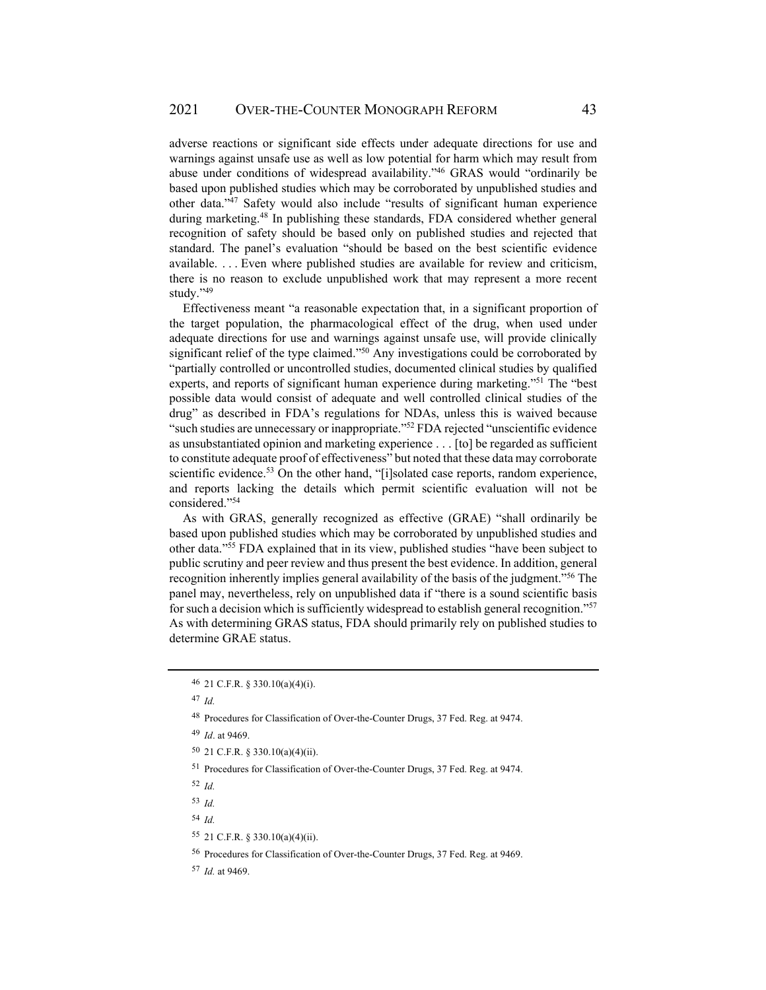adverse reactions or significant side effects under adequate directions for use and warnings against unsafe use as well as low potential for harm which may result from abuse under conditions of widespread availability."46 GRAS would "ordinarily be based upon published studies which may be corroborated by unpublished studies and other data."47 Safety would also include "results of significant human experience during marketing.48 In publishing these standards, FDA considered whether general recognition of safety should be based only on published studies and rejected that standard. The panel's evaluation "should be based on the best scientific evidence available. . . . Even where published studies are available for review and criticism, there is no reason to exclude unpublished work that may represent a more recent study."49

Effectiveness meant "a reasonable expectation that, in a significant proportion of the target population, the pharmacological effect of the drug, when used under adequate directions for use and warnings against unsafe use, will provide clinically significant relief of the type claimed." $50^\circ$  Any investigations could be corroborated by "partially controlled or uncontrolled studies, documented clinical studies by qualified experts, and reports of significant human experience during marketing."51 The "best possible data would consist of adequate and well controlled clinical studies of the drug" as described in FDA's regulations for NDAs, unless this is waived because "such studies are unnecessary or inappropriate."52 FDA rejected "unscientific evidence as unsubstantiated opinion and marketing experience . . . [to] be regarded as sufficient to constitute adequate proof of effectiveness" but noted that these data may corroborate scientific evidence.<sup>53</sup> On the other hand, "[i]solated case reports, random experience, and reports lacking the details which permit scientific evaluation will not be considered."54

As with GRAS, generally recognized as effective (GRAE) "shall ordinarily be based upon published studies which may be corroborated by unpublished studies and other data."55 FDA explained that in its view, published studies "have been subject to public scrutiny and peer review and thus present the best evidence. In addition, general recognition inherently implies general availability of the basis of the judgment."56 The panel may, nevertheless, rely on unpublished data if "there is a sound scientific basis for such a decision which is sufficiently widespread to establish general recognition."57 As with determining GRAS status, FDA should primarily rely on published studies to determine GRAE status.

<sup>52</sup> *Id.* 

<sup>46 21</sup> C.F.R. § 330.10(a)(4)(i).

<sup>47</sup> *Id.*

<sup>48</sup> Procedures for Classification of Over-the-Counter Drugs, 37 Fed. Reg. at 9474.

<sup>49</sup> *Id*. at 9469.

<sup>50 21</sup> C.F.R. § 330.10(a)(4)(ii).

<sup>51</sup> Procedures for Classification of Over-the-Counter Drugs, 37 Fed. Reg. at 9474.

<sup>53</sup> *Id.*

<sup>54</sup> *Id.*

<sup>55 21</sup> C.F.R. § 330.10(a)(4)(ii).

<sup>56</sup> Procedures for Classification of Over-the-Counter Drugs, 37 Fed. Reg. at 9469.

<sup>57</sup> *Id.* at 9469.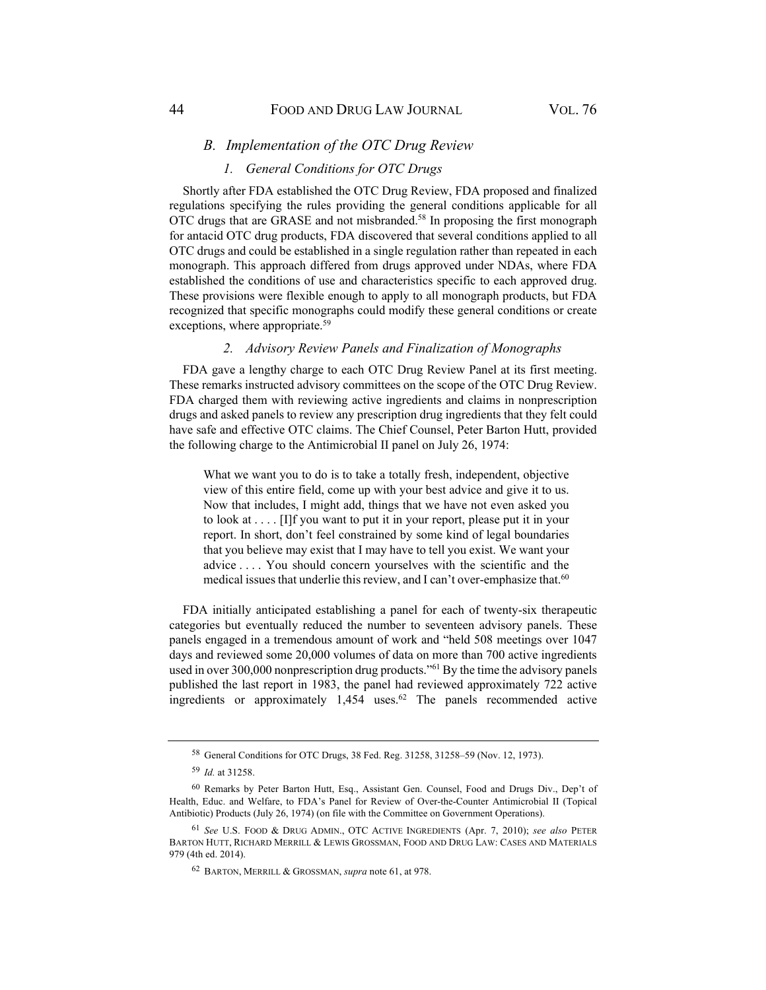### *B. Implementation of the OTC Drug Review*

### *1. General Conditions for OTC Drugs*

Shortly after FDA established the OTC Drug Review, FDA proposed and finalized regulations specifying the rules providing the general conditions applicable for all OTC drugs that are GRASE and not misbranded.58 In proposing the first monograph for antacid OTC drug products, FDA discovered that several conditions applied to all OTC drugs and could be established in a single regulation rather than repeated in each monograph. This approach differed from drugs approved under NDAs, where FDA established the conditions of use and characteristics specific to each approved drug. These provisions were flexible enough to apply to all monograph products, but FDA recognized that specific monographs could modify these general conditions or create exceptions, where appropriate.<sup>59</sup>

#### *2. Advisory Review Panels and Finalization of Monographs*

FDA gave a lengthy charge to each OTC Drug Review Panel at its first meeting. These remarks instructed advisory committees on the scope of the OTC Drug Review. FDA charged them with reviewing active ingredients and claims in nonprescription drugs and asked panels to review any prescription drug ingredients that they felt could have safe and effective OTC claims. The Chief Counsel, Peter Barton Hutt, provided the following charge to the Antimicrobial II panel on July 26, 1974:

What we want you to do is to take a totally fresh, independent, objective view of this entire field, come up with your best advice and give it to us. Now that includes, I might add, things that we have not even asked you to look at . . . . [I]f you want to put it in your report, please put it in your report. In short, don't feel constrained by some kind of legal boundaries that you believe may exist that I may have to tell you exist. We want your advice . . . . You should concern yourselves with the scientific and the medical issues that underlie this review, and I can't over-emphasize that.<sup>60</sup>

FDA initially anticipated establishing a panel for each of twenty-six therapeutic categories but eventually reduced the number to seventeen advisory panels. These panels engaged in a tremendous amount of work and "held 508 meetings over 1047 days and reviewed some 20,000 volumes of data on more than 700 active ingredients used in over 300,000 nonprescription drug products."<sup>61</sup> By the time the advisory panels published the last report in 1983, the panel had reviewed approximately 722 active ingredients or approximately 1,454 uses.<sup>62</sup> The panels recommended active

<sup>58</sup> General Conditions for OTC Drugs, 38 Fed. Reg. 31258, 31258–59 (Nov. 12, 1973).

<sup>59</sup> *Id.* at 31258.

<sup>60</sup> Remarks by Peter Barton Hutt, Esq., Assistant Gen. Counsel, Food and Drugs Div., Dep't of Health, Educ. and Welfare, to FDA's Panel for Review of Over-the-Counter Antimicrobial II (Topical Antibiotic) Products (July 26, 1974) (on file with the Committee on Government Operations).

<sup>61</sup> *See* U.S. FOOD & DRUG ADMIN., OTC ACTIVE INGREDIENTS (Apr. 7, 2010); *see also* PETER BARTON HUTT, RICHARD MERRILL & LEWIS GROSSMAN, FOOD AND DRUG LAW: CASES AND MATERIALS 979 (4th ed. 2014).

<sup>62</sup> BARTON, MERRILL & GROSSMAN, *supra* note 61, at 978.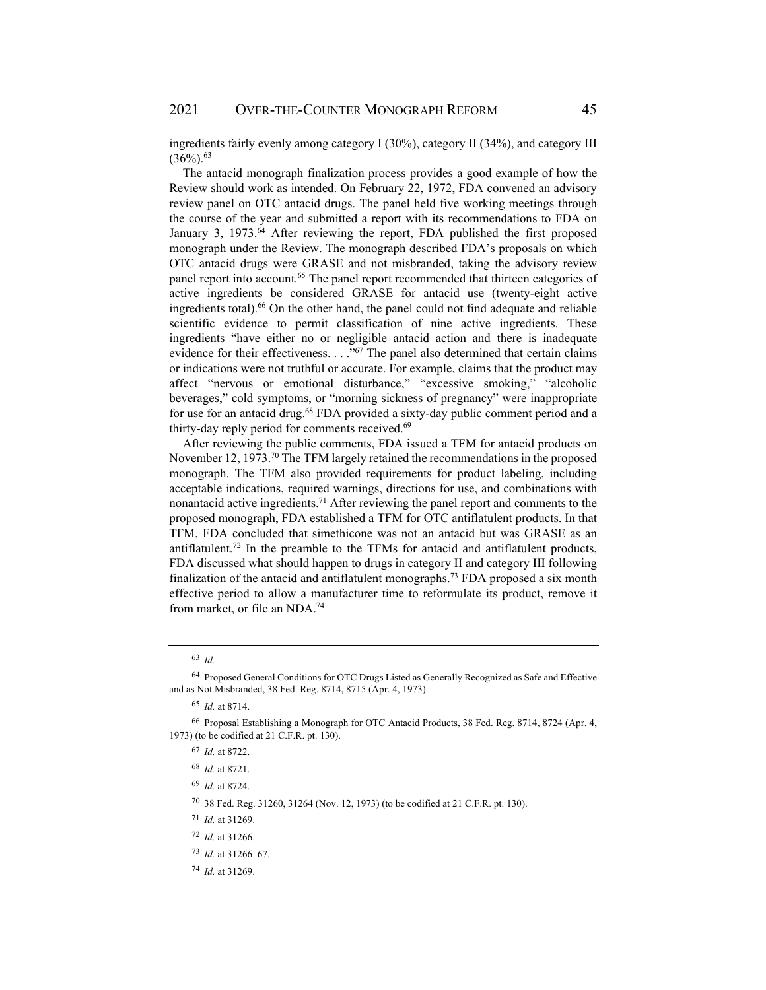ingredients fairly evenly among category I (30%), category II (34%), and category III  $(36\%)$ <sup>63</sup>

The antacid monograph finalization process provides a good example of how the Review should work as intended. On February 22, 1972, FDA convened an advisory review panel on OTC antacid drugs. The panel held five working meetings through the course of the year and submitted a report with its recommendations to FDA on January 3, 1973.<sup>64</sup> After reviewing the report, FDA published the first proposed monograph under the Review. The monograph described FDA's proposals on which OTC antacid drugs were GRASE and not misbranded, taking the advisory review panel report into account.<sup>65</sup> The panel report recommended that thirteen categories of active ingredients be considered GRASE for antacid use (twenty-eight active ingredients total).<sup>66</sup> On the other hand, the panel could not find adequate and reliable scientific evidence to permit classification of nine active ingredients. These ingredients "have either no or negligible antacid action and there is inadequate evidence for their effectiveness.  $\ldots$ <sup>667</sup> The panel also determined that certain claims or indications were not truthful or accurate. For example, claims that the product may affect "nervous or emotional disturbance," "excessive smoking," "alcoholic beverages," cold symptoms, or "morning sickness of pregnancy" were inappropriate for use for an antacid drug.<sup>68</sup> FDA provided a sixty-day public comment period and a thirty-day reply period for comments received.<sup>69</sup>

After reviewing the public comments, FDA issued a TFM for antacid products on November 12, 1973.<sup>70</sup> The TFM largely retained the recommendations in the proposed monograph. The TFM also provided requirements for product labeling, including acceptable indications, required warnings, directions for use, and combinations with nonantacid active ingredients.<sup>71</sup> After reviewing the panel report and comments to the proposed monograph, FDA established a TFM for OTC antiflatulent products. In that TFM, FDA concluded that simethicone was not an antacid but was GRASE as an antiflatulent.<sup>72</sup> In the preamble to the TFMs for antacid and antiflatulent products, FDA discussed what should happen to drugs in category II and category III following finalization of the antacid and antiflatulent monographs.<sup>73</sup> FDA proposed a six month effective period to allow a manufacturer time to reformulate its product, remove it from market, or file an NDA.74

<sup>63</sup> *Id.*

<sup>64</sup> Proposed General Conditions for OTC Drugs Listed as Generally Recognized as Safe and Effective and as Not Misbranded, 38 Fed. Reg. 8714, 8715 (Apr. 4, 1973).

<sup>65</sup> *Id.* at 8714.

<sup>66</sup> Proposal Establishing a Monograph for OTC Antacid Products, 38 Fed. Reg. 8714, 8724 (Apr. 4, 1973) (to be codified at 21 C.F.R. pt. 130).

<sup>67</sup> *Id.* at 8722.

<sup>68</sup> *Id.* at 8721.

<sup>69</sup> *Id.* at 8724.

<sup>70 38</sup> Fed. Reg. 31260, 31264 (Nov. 12, 1973) (to be codified at 21 C.F.R. pt. 130).

<sup>71</sup> *Id.* at 31269.

<sup>72</sup> *Id.* at 31266.

<sup>73</sup> *Id.* at 31266–67.

<sup>74</sup> *Id.* at 31269.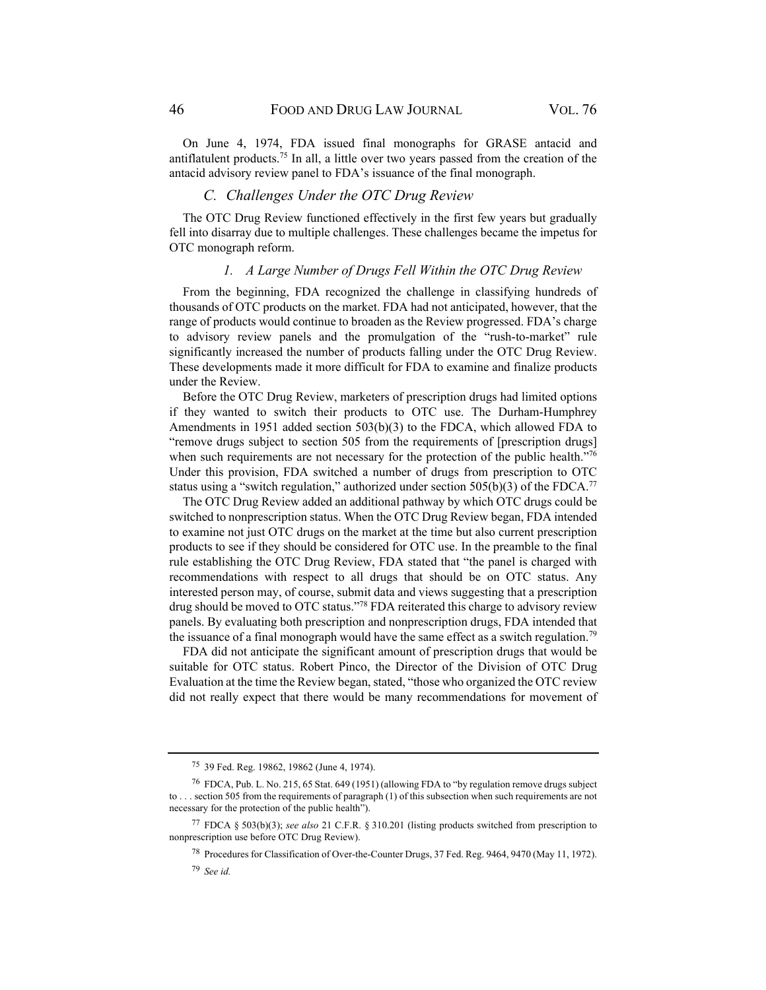On June 4, 1974, FDA issued final monographs for GRASE antacid and antiflatulent products.<sup>75</sup> In all, a little over two years passed from the creation of the antacid advisory review panel to FDA's issuance of the final monograph.

# *C. Challenges Under the OTC Drug Review*

The OTC Drug Review functioned effectively in the first few years but gradually fell into disarray due to multiple challenges. These challenges became the impetus for OTC monograph reform.

# *1. A Large Number of Drugs Fell Within the OTC Drug Review*

From the beginning, FDA recognized the challenge in classifying hundreds of thousands of OTC products on the market. FDA had not anticipated, however, that the range of products would continue to broaden as the Review progressed. FDA's charge to advisory review panels and the promulgation of the "rush-to-market" rule significantly increased the number of products falling under the OTC Drug Review. These developments made it more difficult for FDA to examine and finalize products under the Review.

Before the OTC Drug Review, marketers of prescription drugs had limited options if they wanted to switch their products to OTC use. The Durham-Humphrey Amendments in 1951 added section 503(b)(3) to the FDCA, which allowed FDA to "remove drugs subject to section 505 from the requirements of [prescription drugs] when such requirements are not necessary for the protection of the public health."76 Under this provision, FDA switched a number of drugs from prescription to OTC status using a "switch regulation," authorized under section  $505(b)(3)$  of the FDCA.<sup>77</sup>

The OTC Drug Review added an additional pathway by which OTC drugs could be switched to nonprescription status. When the OTC Drug Review began, FDA intended to examine not just OTC drugs on the market at the time but also current prescription products to see if they should be considered for OTC use. In the preamble to the final rule establishing the OTC Drug Review, FDA stated that "the panel is charged with recommendations with respect to all drugs that should be on OTC status. Any interested person may, of course, submit data and views suggesting that a prescription drug should be moved to OTC status."78 FDA reiterated this charge to advisory review panels. By evaluating both prescription and nonprescription drugs, FDA intended that the issuance of a final monograph would have the same effect as a switch regulation.<sup>79</sup>

FDA did not anticipate the significant amount of prescription drugs that would be suitable for OTC status. Robert Pinco, the Director of the Division of OTC Drug Evaluation at the time the Review began, stated, "those who organized the OTC review did not really expect that there would be many recommendations for movement of

<sup>75 39</sup> Fed. Reg. 19862, 19862 (June 4, 1974).

<sup>76</sup> FDCA, Pub. L. No. 215, 65 Stat. 649 (1951) (allowing FDA to "by regulation remove drugs subject to . . . section 505 from the requirements of paragraph (1) of this subsection when such requirements are not necessary for the protection of the public health").

<sup>77</sup> FDCA § 503(b)(3); *see also* 21 C.F.R. § 310.201 (listing products switched from prescription to nonprescription use before OTC Drug Review).

<sup>78</sup> Procedures for Classification of Over-the-Counter Drugs, 37 Fed. Reg. 9464, 9470 (May 11, 1972).

<sup>79</sup> *See id.*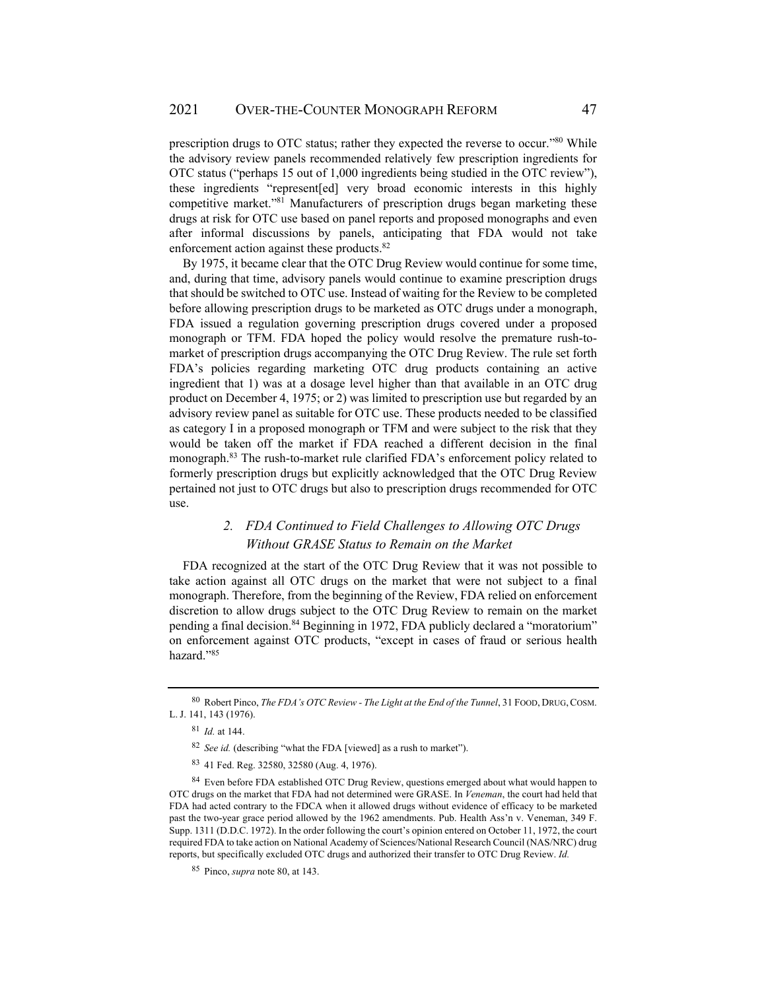prescription drugs to OTC status; rather they expected the reverse to occur."80 While the advisory review panels recommended relatively few prescription ingredients for OTC status ("perhaps 15 out of 1,000 ingredients being studied in the OTC review"), these ingredients "represent[ed] very broad economic interests in this highly competitive market."81 Manufacturers of prescription drugs began marketing these drugs at risk for OTC use based on panel reports and proposed monographs and even after informal discussions by panels, anticipating that FDA would not take enforcement action against these products.<sup>82</sup>

By 1975, it became clear that the OTC Drug Review would continue for some time, and, during that time, advisory panels would continue to examine prescription drugs that should be switched to OTC use. Instead of waiting for the Review to be completed before allowing prescription drugs to be marketed as OTC drugs under a monograph, FDA issued a regulation governing prescription drugs covered under a proposed monograph or TFM. FDA hoped the policy would resolve the premature rush-tomarket of prescription drugs accompanying the OTC Drug Review. The rule set forth FDA's policies regarding marketing OTC drug products containing an active ingredient that 1) was at a dosage level higher than that available in an OTC drug product on December 4, 1975; or 2) was limited to prescription use but regarded by an advisory review panel as suitable for OTC use. These products needed to be classified as category I in a proposed monograph or TFM and were subject to the risk that they would be taken off the market if FDA reached a different decision in the final monograph.83 The rush-to-market rule clarified FDA's enforcement policy related to formerly prescription drugs but explicitly acknowledged that the OTC Drug Review pertained not just to OTC drugs but also to prescription drugs recommended for OTC use.

# *2. FDA Continued to Field Challenges to Allowing OTC Drugs Without GRASE Status to Remain on the Market*

FDA recognized at the start of the OTC Drug Review that it was not possible to take action against all OTC drugs on the market that were not subject to a final monograph. Therefore, from the beginning of the Review, FDA relied on enforcement discretion to allow drugs subject to the OTC Drug Review to remain on the market pending a final decision.<sup>84</sup> Beginning in 1972, FDA publicly declared a "moratorium" on enforcement against OTC products, "except in cases of fraud or serious health hazard."85

<sup>80</sup> Robert Pinco, *The FDA's OTC Review - The Light at the End of the Tunnel*, 31 FOOD, DRUG,COSM. L. J. 141, 143 (1976).

<sup>81</sup> *Id.* at 144.

<sup>82</sup> *See id.* (describing "what the FDA [viewed] as a rush to market").

<sup>83 41</sup> Fed. Reg. 32580, 32580 (Aug. 4, 1976).

<sup>&</sup>lt;sup>84</sup> Even before FDA established OTC Drug Review, questions emerged about what would happen to OTC drugs on the market that FDA had not determined were GRASE. In *Veneman*, the court had held that FDA had acted contrary to the FDCA when it allowed drugs without evidence of efficacy to be marketed past the two-year grace period allowed by the 1962 amendments. Pub. Health Ass'n v. Veneman, 349 F. Supp. 1311 (D.D.C. 1972). In the order following the court's opinion entered on October 11, 1972, the court required FDA to take action on National Academy of Sciences/National Research Council (NAS/NRC) drug reports, but specifically excluded OTC drugs and authorized their transfer to OTC Drug Review. *Id.*

<sup>85</sup> Pinco, *supra* note 80, at 143.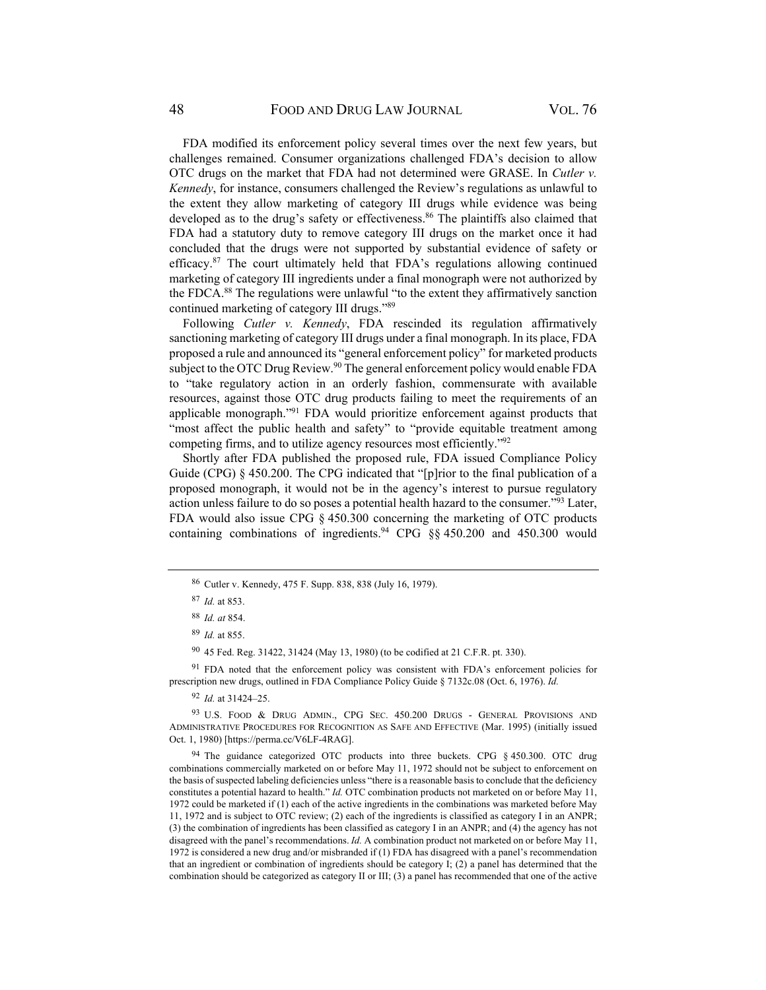FDA modified its enforcement policy several times over the next few years, but challenges remained. Consumer organizations challenged FDA's decision to allow OTC drugs on the market that FDA had not determined were GRASE. In *Cutler v. Kennedy*, for instance, consumers challenged the Review's regulations as unlawful to the extent they allow marketing of category III drugs while evidence was being developed as to the drug's safety or effectiveness.<sup>86</sup> The plaintiffs also claimed that FDA had a statutory duty to remove category III drugs on the market once it had concluded that the drugs were not supported by substantial evidence of safety or efficacy.87 The court ultimately held that FDA's regulations allowing continued marketing of category III ingredients under a final monograph were not authorized by the FDCA.88 The regulations were unlawful "to the extent they affirmatively sanction continued marketing of category III drugs."89

Following *Cutler v. Kennedy*, FDA rescinded its regulation affirmatively sanctioning marketing of category III drugs under a final monograph. In its place, FDA proposed a rule and announced its "general enforcement policy" for marketed products subject to the OTC Drug Review.<sup>90</sup> The general enforcement policy would enable FDA to "take regulatory action in an orderly fashion, commensurate with available resources, against those OTC drug products failing to meet the requirements of an applicable monograph."91 FDA would prioritize enforcement against products that "most affect the public health and safety" to "provide equitable treatment among competing firms, and to utilize agency resources most efficiently."92

Shortly after FDA published the proposed rule, FDA issued Compliance Policy Guide (CPG) § 450.200. The CPG indicated that "[p]rior to the final publication of a proposed monograph, it would not be in the agency's interest to pursue regulatory action unless failure to do so poses a potential health hazard to the consumer."93 Later, FDA would also issue CPG § 450.300 concerning the marketing of OTC products containing combinations of ingredients.<sup>94</sup> CPG  $\&$  450.200 and 450.300 would

<sup>91</sup> FDA noted that the enforcement policy was consistent with FDA's enforcement policies for prescription new drugs, outlined in FDA Compliance Policy Guide § 7132c.08 (Oct. 6, 1976). *Id.*

<sup>92</sup> *Id.* at 31424–25.

93 U.S. FOOD & DRUG ADMIN., CPG SEC. 450.200 DRUGS - GENERAL PROVISIONS AND ADMINISTRATIVE PROCEDURES FOR RECOGNITION AS SAFE AND EFFECTIVE (Mar. 1995) (initially issued Oct. 1, 1980) [https://perma.cc/V6LF-4RAG].

<sup>94</sup> The guidance categorized OTC products into three buckets. CPG § 450.300. OTC drug combinations commercially marketed on or before May 11, 1972 should not be subject to enforcement on the basis of suspected labeling deficiencies unless "there is a reasonable basis to conclude that the deficiency constitutes a potential hazard to health." *Id.* OTC combination products not marketed on or before May 11, 1972 could be marketed if (1) each of the active ingredients in the combinations was marketed before May 11, 1972 and is subject to OTC review; (2) each of the ingredients is classified as category I in an ANPR; (3) the combination of ingredients has been classified as category I in an ANPR; and (4) the agency has not disagreed with the panel's recommendations. *Id.* A combination product not marketed on or before May 11, 1972 is considered a new drug and/or misbranded if (1) FDA has disagreed with a panel's recommendation that an ingredient or combination of ingredients should be category I; (2) a panel has determined that the combination should be categorized as category II or III; (3) a panel has recommended that one of the active

<sup>86</sup> Cutler v. Kennedy, 475 F. Supp. 838, 838 (July 16, 1979).

<sup>87</sup> *Id.* at 853.

<sup>88</sup> *Id. at* 854.

<sup>89</sup> *Id.* at 855.

<sup>90 45</sup> Fed. Reg. 31422, 31424 (May 13, 1980) (to be codified at 21 C.F.R. pt. 330).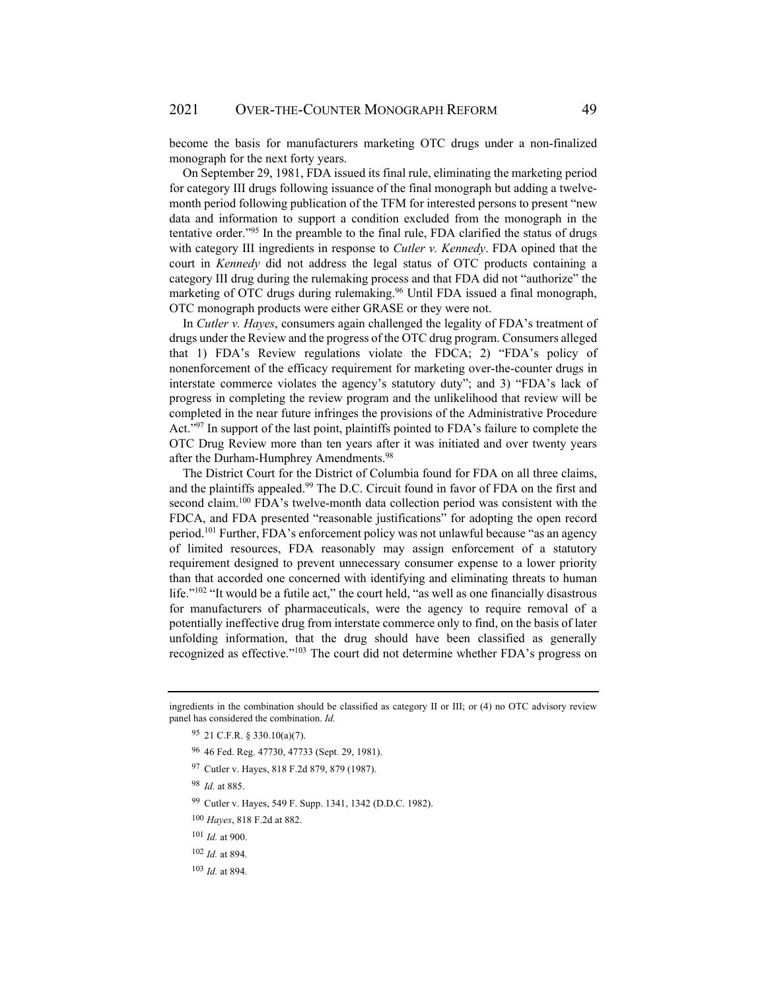become the basis for manufacturers marketing OTC drugs under a non-finalized monograph for the next forty years.

On September 29, 1981, FDA issued its final rule, eliminating the marketing period for category III drugs following issuance of the final monograph but adding a twelvemonth period following publication of the TFM for interested persons to present "new data and information to support a condition excluded from the monograph in the tentative order."95 In the preamble to the final rule, FDA clarified the status of drugs with category III ingredients in response to *Cutler v. Kennedy*. FDA opined that the court in *Kennedy* did not address the legal status of OTC products containing a category III drug during the rulemaking process and that FDA did not "authorize" the marketing of OTC drugs during rulemaking.<sup>96</sup> Until FDA issued a final monograph, OTC monograph products were either GRASE or they were not.

In *Cutler v. Hayes*, consumers again challenged the legality of FDA's treatment of drugs under the Review and the progress of the OTC drug program. Consumers alleged that 1) FDA's Review regulations violate the FDCA; 2) "FDA's policy of nonenforcement of the efficacy requirement for marketing over-the-counter drugs in interstate commerce violates the agency's statutory duty"; and 3) "FDA's lack of progress in completing the review program and the unlikelihood that review will be completed in the near future infringes the provisions of the Administrative Procedure Act."<sup>97</sup> In support of the last point, plaintiffs pointed to FDA's failure to complete the OTC Drug Review more than ten years after it was initiated and over twenty years after the Durham-Humphrey Amendments.<sup>98</sup>

The District Court for the District of Columbia found for FDA on all three claims, and the plaintiffs appealed.<sup>99</sup> The D.C. Circuit found in favor of FDA on the first and second claim.<sup>100</sup> FDA's twelve-month data collection period was consistent with the FDCA, and FDA presented "reasonable justifications" for adopting the open record period.101 Further, FDA's enforcement policy was not unlawful because "as an agency of limited resources, FDA reasonably may assign enforcement of a statutory requirement designed to prevent unnecessary consumer expense to a lower priority than that accorded one concerned with identifying and eliminating threats to human life."<sup>102</sup> "It would be a futile act," the court held, "as well as one financially disastrous for manufacturers of pharmaceuticals, were the agency to require removal of a potentially ineffective drug from interstate commerce only to find, on the basis of later unfolding information, that the drug should have been classified as generally recognized as effective."103 The court did not determine whether FDA's progress on

- 96 46 Fed. Reg. 47730, 47733 (Sept. 29, 1981).
- 97 Cutler v. Hayes, 818 F.2d 879, 879 (1987).
- <sup>98</sup> *Id.* at 885.
- 99 Cutler v. Hayes, 549 F. Supp. 1341, 1342 (D.D.C. 1982).
- <sup>100</sup> *Hayes*, 818 F.2d at 882.
- <sup>101</sup> *Id.* at 900.
- <sup>102</sup> *Id.* at 894.
- <sup>103</sup> *Id.* at 894.

ingredients in the combination should be classified as category II or III; or (4) no OTC advisory review panel has considered the combination. *Id.* 

<sup>95 21</sup> C.F.R. § 330.10(a)(7).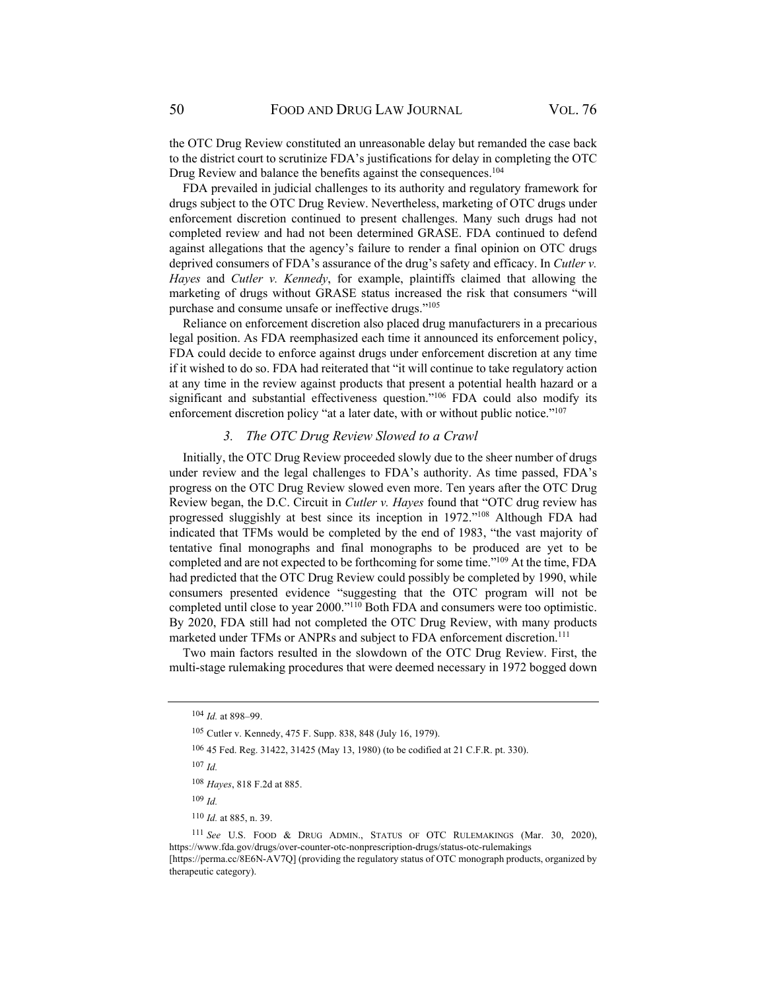the OTC Drug Review constituted an unreasonable delay but remanded the case back to the district court to scrutinize FDA's justifications for delay in completing the OTC Drug Review and balance the benefits against the consequences.<sup>104</sup>

FDA prevailed in judicial challenges to its authority and regulatory framework for drugs subject to the OTC Drug Review. Nevertheless, marketing of OTC drugs under enforcement discretion continued to present challenges. Many such drugs had not completed review and had not been determined GRASE. FDA continued to defend against allegations that the agency's failure to render a final opinion on OTC drugs deprived consumers of FDA's assurance of the drug's safety and efficacy. In *Cutler v. Hayes* and *Cutler v. Kennedy*, for example, plaintiffs claimed that allowing the marketing of drugs without GRASE status increased the risk that consumers "will purchase and consume unsafe or ineffective drugs."105

Reliance on enforcement discretion also placed drug manufacturers in a precarious legal position. As FDA reemphasized each time it announced its enforcement policy, FDA could decide to enforce against drugs under enforcement discretion at any time if it wished to do so. FDA had reiterated that "it will continue to take regulatory action at any time in the review against products that present a potential health hazard or a significant and substantial effectiveness question."<sup>106</sup> FDA could also modify its enforcement discretion policy "at a later date, with or without public notice."<sup>107</sup>

### *3. The OTC Drug Review Slowed to a Crawl*

Initially, the OTC Drug Review proceeded slowly due to the sheer number of drugs under review and the legal challenges to FDA's authority. As time passed, FDA's progress on the OTC Drug Review slowed even more. Ten years after the OTC Drug Review began, the D.C. Circuit in *Cutler v. Hayes* found that "OTC drug review has progressed sluggishly at best since its inception in 1972."108 Although FDA had indicated that TFMs would be completed by the end of 1983, "the vast majority of tentative final monographs and final monographs to be produced are yet to be completed and are not expected to be forthcoming for some time."109 At the time, FDA had predicted that the OTC Drug Review could possibly be completed by 1990, while consumers presented evidence "suggesting that the OTC program will not be completed until close to year 2000."110 Both FDA and consumers were too optimistic. By 2020, FDA still had not completed the OTC Drug Review, with many products marketed under TFMs or ANPRs and subject to FDA enforcement discretion.<sup>111</sup>

Two main factors resulted in the slowdown of the OTC Drug Review. First, the multi-stage rulemaking procedures that were deemed necessary in 1972 bogged down

106 45 Fed. Reg. 31422, 31425 (May 13, 1980) (to be codified at 21 C.F.R. pt. 330).

 $107$  *Id.* 

<sup>109</sup> *Id.*

<sup>110</sup> *Id.* at 885, n. 39.

<sup>104</sup> *Id.* at 898–99.

<sup>105</sup> Cutler v. Kennedy, 475 F. Supp. 838, 848 (July 16, 1979).

<sup>108</sup> *Hayes*, 818 F.2d at 885.

<sup>111</sup> *See* U.S. FOOD & DRUG ADMIN., STATUS OF OTC RULEMAKINGS (Mar. 30, 2020), https://www.fda.gov/drugs/over-counter-otc-nonprescription-drugs/status-otc-rulemakings [https://perma.cc/8E6N-AV7Q] (providing the regulatory status of OTC monograph products, organized by therapeutic category).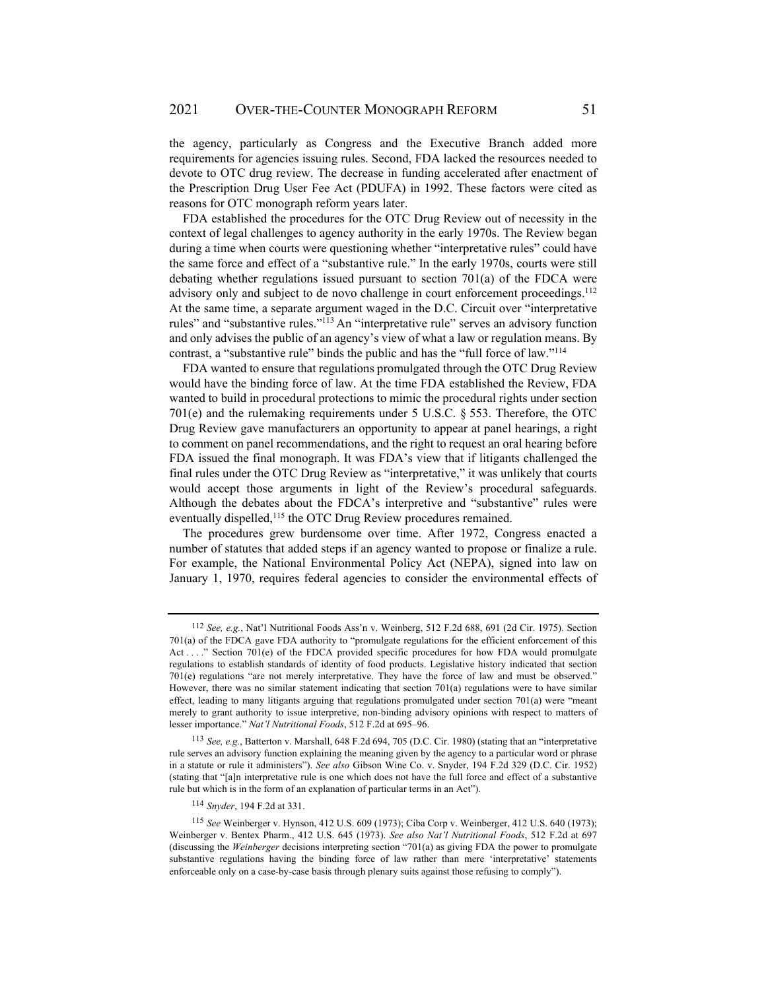the agency, particularly as Congress and the Executive Branch added more requirements for agencies issuing rules. Second, FDA lacked the resources needed to devote to OTC drug review. The decrease in funding accelerated after enactment of the Prescription Drug User Fee Act (PDUFA) in 1992. These factors were cited as reasons for OTC monograph reform years later.

FDA established the procedures for the OTC Drug Review out of necessity in the context of legal challenges to agency authority in the early 1970s. The Review began during a time when courts were questioning whether "interpretative rules" could have the same force and effect of a "substantive rule." In the early 1970s, courts were still debating whether regulations issued pursuant to section 701(a) of the FDCA were advisory only and subject to de novo challenge in court enforcement proceedings.<sup>112</sup> At the same time, a separate argument waged in the D.C. Circuit over "interpretative rules" and "substantive rules."113 An "interpretative rule" serves an advisory function and only advises the public of an agency's view of what a law or regulation means. By contrast, a "substantive rule" binds the public and has the "full force of law."114

FDA wanted to ensure that regulations promulgated through the OTC Drug Review would have the binding force of law. At the time FDA established the Review, FDA wanted to build in procedural protections to mimic the procedural rights under section 701(e) and the rulemaking requirements under 5 U.S.C. § 553. Therefore, the OTC Drug Review gave manufacturers an opportunity to appear at panel hearings, a right to comment on panel recommendations, and the right to request an oral hearing before FDA issued the final monograph. It was FDA's view that if litigants challenged the final rules under the OTC Drug Review as "interpretative," it was unlikely that courts would accept those arguments in light of the Review's procedural safeguards. Although the debates about the FDCA's interpretive and "substantive" rules were eventually dispelled,<sup>115</sup> the OTC Drug Review procedures remained.

The procedures grew burdensome over time. After 1972, Congress enacted a number of statutes that added steps if an agency wanted to propose or finalize a rule. For example, the National Environmental Policy Act (NEPA), signed into law on January 1, 1970, requires federal agencies to consider the environmental effects of

<sup>112</sup> *See, e.g.*, Nat'l Nutritional Foods Ass'n v. Weinberg, 512 F.2d 688, 691 (2d Cir. 1975). Section 701(a) of the FDCA gave FDA authority to "promulgate regulations for the efficient enforcement of this Act . . . . " Section 701(e) of the FDCA provided specific procedures for how FDA would promulgate regulations to establish standards of identity of food products. Legislative history indicated that section 701(e) regulations "are not merely interpretative. They have the force of law and must be observed." However, there was no similar statement indicating that section 701(a) regulations were to have similar effect, leading to many litigants arguing that regulations promulgated under section 701(a) were "meant merely to grant authority to issue interpretive, non-binding advisory opinions with respect to matters of lesser importance." *Nat'l Nutritional Foods*, 512 F.2d at 695–96.

<sup>113</sup> *See, e.g.*, Batterton v. Marshall, 648 F.2d 694, 705 (D.C. Cir. 1980) (stating that an "interpretative rule serves an advisory function explaining the meaning given by the agency to a particular word or phrase in a statute or rule it administers"). *See also* Gibson Wine Co. v. Snyder, 194 F.2d 329 (D.C. Cir. 1952) (stating that "[a]n interpretative rule is one which does not have the full force and effect of a substantive rule but which is in the form of an explanation of particular terms in an Act").

<sup>114</sup> *Snyder*, 194 F.2d at 331.

<sup>115</sup> *See* Weinberger v. Hynson, 412 U.S. 609 (1973); Ciba Corp v. Weinberger, 412 U.S. 640 (1973); Weinberger v. Bentex Pharm., 412 U.S. 645 (1973). *See also Nat'l Nutritional Foods*, 512 F.2d at 697 (discussing the *Weinberger* decisions interpreting section "701(a) as giving FDA the power to promulgate substantive regulations having the binding force of law rather than mere 'interpretative' statements enforceable only on a case-by-case basis through plenary suits against those refusing to comply").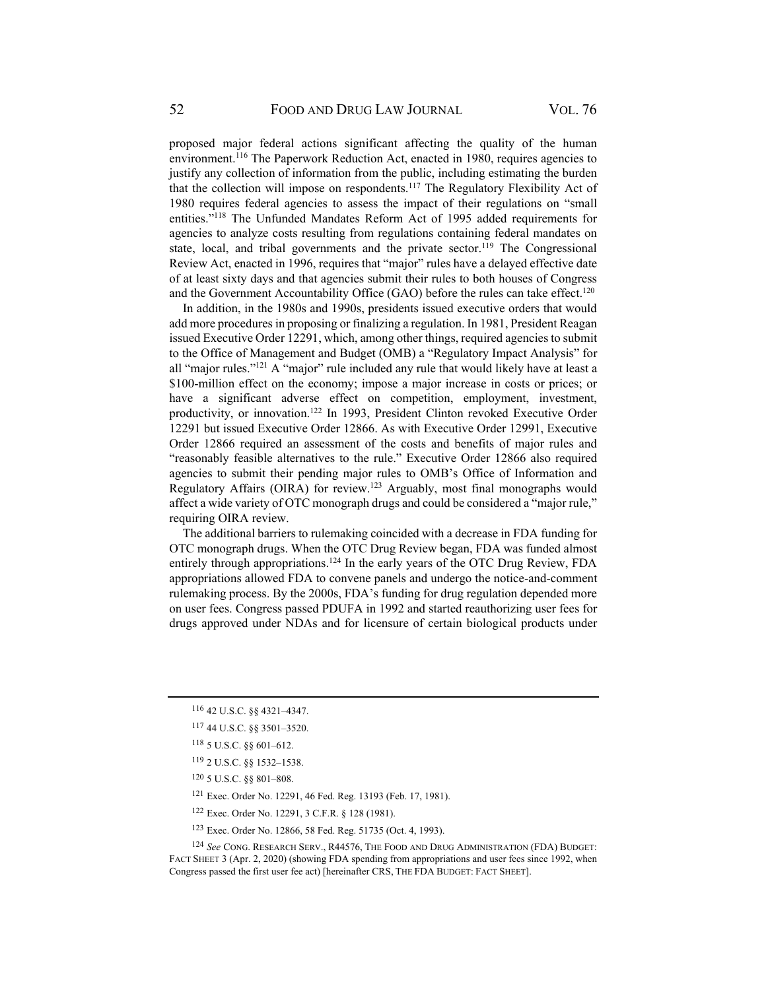proposed major federal actions significant affecting the quality of the human environment.116 The Paperwork Reduction Act, enacted in 1980, requires agencies to justify any collection of information from the public, including estimating the burden that the collection will impose on respondents.<sup>117</sup> The Regulatory Flexibility Act of 1980 requires federal agencies to assess the impact of their regulations on "small entities."118 The Unfunded Mandates Reform Act of 1995 added requirements for agencies to analyze costs resulting from regulations containing federal mandates on state, local, and tribal governments and the private sector.<sup>119</sup> The Congressional Review Act, enacted in 1996, requires that "major" rules have a delayed effective date of at least sixty days and that agencies submit their rules to both houses of Congress and the Government Accountability Office (GAO) before the rules can take effect.<sup>120</sup>

In addition, in the 1980s and 1990s, presidents issued executive orders that would add more procedures in proposing or finalizing a regulation. In 1981, President Reagan issued Executive Order 12291, which, among other things, required agencies to submit to the Office of Management and Budget (OMB) a "Regulatory Impact Analysis" for all "major rules."<sup>121</sup> A "major" rule included any rule that would likely have at least a \$100-million effect on the economy; impose a major increase in costs or prices; or have a significant adverse effect on competition, employment, investment, productivity, or innovation.122 In 1993, President Clinton revoked Executive Order 12291 but issued Executive Order 12866. As with Executive Order 12991, Executive Order 12866 required an assessment of the costs and benefits of major rules and "reasonably feasible alternatives to the rule." Executive Order 12866 also required agencies to submit their pending major rules to OMB's Office of Information and Regulatory Affairs (OIRA) for review.123 Arguably, most final monographs would affect a wide variety of OTC monograph drugs and could be considered a "major rule," requiring OIRA review.

The additional barriers to rulemaking coincided with a decrease in FDA funding for OTC monograph drugs. When the OTC Drug Review began, FDA was funded almost entirely through appropriations.<sup>124</sup> In the early years of the OTC Drug Review, FDA appropriations allowed FDA to convene panels and undergo the notice-and-comment rulemaking process. By the 2000s, FDA's funding for drug regulation depended more on user fees. Congress passed PDUFA in 1992 and started reauthorizing user fees for drugs approved under NDAs and for licensure of certain biological products under

<sup>124</sup> *See* CONG. RESEARCH SERV., R44576, THE FOOD AND DRUG ADMINISTRATION (FDA) BUDGET: FACT SHEET 3 (Apr. 2, 2020) (showing FDA spending from appropriations and user fees since 1992, when Congress passed the first user fee act) [hereinafter CRS, THE FDA BUDGET: FACT SHEET].

<sup>116 42</sup> U.S.C. §§ 4321–4347.

<sup>117 44</sup> U.S.C. §§ 3501–3520.

<sup>118 5</sup> U.S.C. §§ 601–612.

<sup>119 2</sup> U.S.C. §§ 1532–1538.

<sup>120 5</sup> U.S.C. §§ 801–808.

<sup>121</sup> Exec. Order No. 12291, 46 Fed. Reg. 13193 (Feb. 17, 1981).

<sup>122</sup> Exec. Order No. 12291, 3 C.F.R. § 128 (1981).

<sup>123</sup> Exec. Order No. 12866, 58 Fed. Reg. 51735 (Oct. 4, 1993).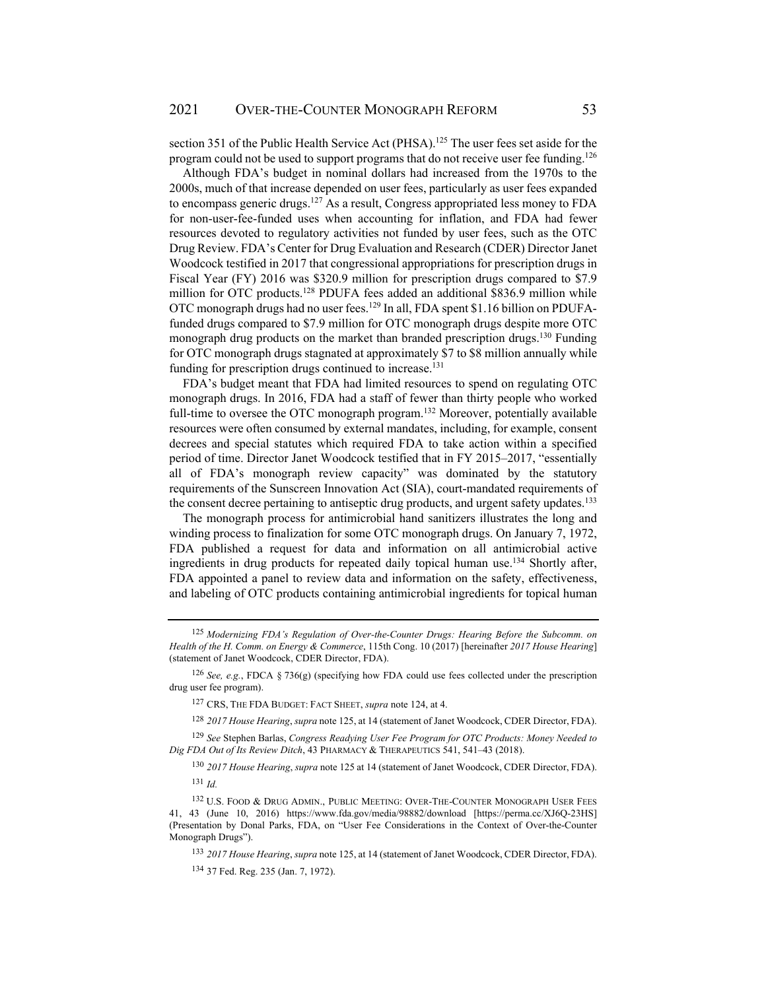section 351 of the Public Health Service Act (PHSA).<sup>125</sup> The user fees set aside for the program could not be used to support programs that do not receive user fee funding.<sup>126</sup>

Although FDA's budget in nominal dollars had increased from the 1970s to the 2000s, much of that increase depended on user fees, particularly as user fees expanded to encompass generic drugs.127 As a result, Congress appropriated less money to FDA for non-user-fee-funded uses when accounting for inflation, and FDA had fewer resources devoted to regulatory activities not funded by user fees, such as the OTC Drug Review. FDA's Center for Drug Evaluation and Research (CDER) Director Janet Woodcock testified in 2017 that congressional appropriations for prescription drugs in Fiscal Year (FY) 2016 was \$320.9 million for prescription drugs compared to \$7.9 million for OTC products.<sup>128</sup> PDUFA fees added an additional \$836.9 million while OTC monograph drugs had no user fees.129 In all, FDA spent \$1.16 billion on PDUFAfunded drugs compared to \$7.9 million for OTC monograph drugs despite more OTC monograph drug products on the market than branded prescription drugs.<sup>130</sup> Funding for OTC monograph drugs stagnated at approximately \$7 to \$8 million annually while funding for prescription drugs continued to increase.<sup>131</sup>

FDA's budget meant that FDA had limited resources to spend on regulating OTC monograph drugs. In 2016, FDA had a staff of fewer than thirty people who worked full-time to oversee the OTC monograph program.<sup>132</sup> Moreover, potentially available resources were often consumed by external mandates, including, for example, consent decrees and special statutes which required FDA to take action within a specified period of time. Director Janet Woodcock testified that in FY 2015–2017, "essentially all of FDA's monograph review capacity" was dominated by the statutory requirements of the Sunscreen Innovation Act (SIA), court-mandated requirements of the consent decree pertaining to antiseptic drug products, and urgent safety updates.<sup>133</sup>

The monograph process for antimicrobial hand sanitizers illustrates the long and winding process to finalization for some OTC monograph drugs. On January 7, 1972, FDA published a request for data and information on all antimicrobial active ingredients in drug products for repeated daily topical human use.134 Shortly after, FDA appointed a panel to review data and information on the safety, effectiveness, and labeling of OTC products containing antimicrobial ingredients for topical human

<sup>125</sup> *Modernizing FDA's Regulation of Over-the-Counter Drugs: Hearing Before the Subcomm. on Health of the H. Comm. on Energy & Commerce*, 115th Cong. 10 (2017) [hereinafter *2017 House Hearing*] (statement of Janet Woodcock, CDER Director, FDA).

<sup>126</sup> *See, e.g.*, FDCA § 736(g) (specifying how FDA could use fees collected under the prescription drug user fee program).

<sup>127</sup> CRS, THE FDA BUDGET: FACT SHEET, *supra* note 124, at 4.

<sup>128</sup> *2017 House Hearing*, *supra* note 125, at 14 (statement of Janet Woodcock, CDER Director, FDA).

<sup>129</sup> *See* Stephen Barlas, *Congress Readying User Fee Program for OTC Products: Money Needed to Dig FDA Out of Its Review Ditch*, 43 PHARMACY & THERAPEUTICS 541, 541–43 (2018).

<sup>130</sup> *2017 House Hearing*, *supra* note 125 at 14 (statement of Janet Woodcock, CDER Director, FDA).  $131 \, Id.$ 

<sup>132</sup> U.S. FOOD & DRUG ADMIN., PUBLIC MEETING: OVER-THE-COUNTER MONOGRAPH USER FEES 41, 43 (June 10, 2016) https://www.fda.gov/media/98882/download [https://perma.cc/XJ6Q-23HS] (Presentation by Donal Parks, FDA, on "User Fee Considerations in the Context of Over-the-Counter Monograph Drugs").

<sup>133</sup> *2017 House Hearing*, *supra* note 125, at 14 (statement of Janet Woodcock, CDER Director, FDA).

<sup>134 37</sup> Fed. Reg. 235 (Jan. 7, 1972).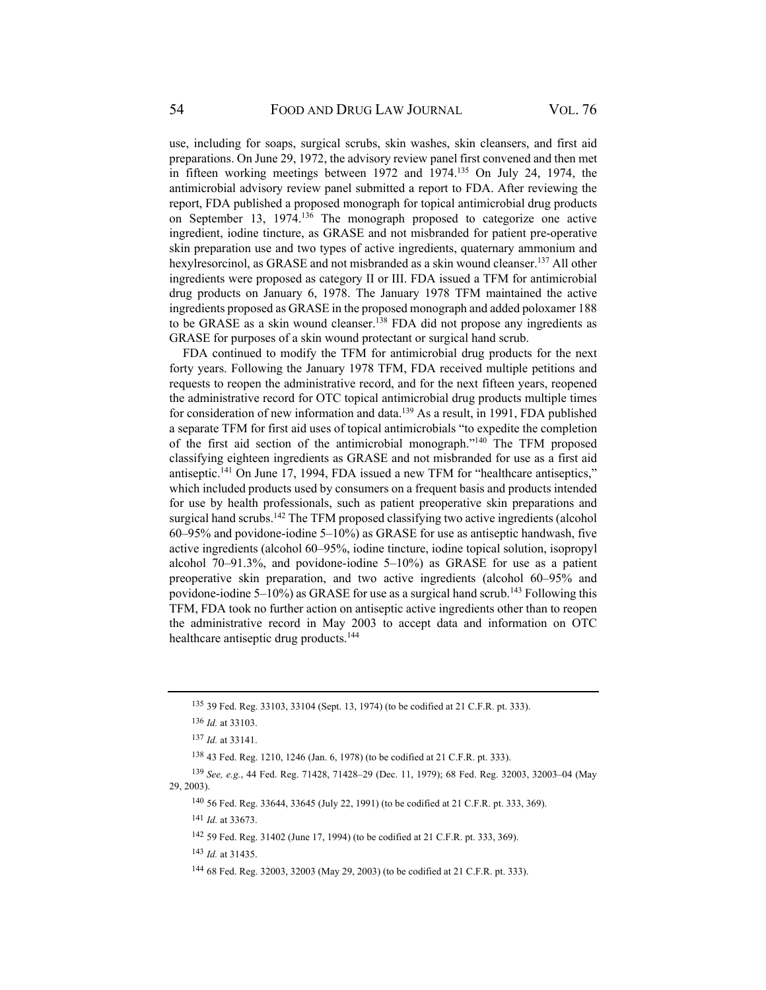use, including for soaps, surgical scrubs, skin washes, skin cleansers, and first aid preparations. On June 29, 1972, the advisory review panel first convened and then met in fifteen working meetings between 1972 and 1974.135 On July 24, 1974, the antimicrobial advisory review panel submitted a report to FDA. After reviewing the report, FDA published a proposed monograph for topical antimicrobial drug products on September 13, 1974.136 The monograph proposed to categorize one active ingredient, iodine tincture, as GRASE and not misbranded for patient pre-operative skin preparation use and two types of active ingredients, quaternary ammonium and hexylresorcinol, as GRASE and not misbranded as a skin wound cleanser.<sup>137</sup> All other ingredients were proposed as category II or III. FDA issued a TFM for antimicrobial drug products on January 6, 1978. The January 1978 TFM maintained the active ingredients proposed as GRASE in the proposed monograph and added poloxamer 188 to be GRASE as a skin wound cleanser.<sup>138</sup> FDA did not propose any ingredients as GRASE for purposes of a skin wound protectant or surgical hand scrub.

FDA continued to modify the TFM for antimicrobial drug products for the next forty years. Following the January 1978 TFM, FDA received multiple petitions and requests to reopen the administrative record, and for the next fifteen years, reopened the administrative record for OTC topical antimicrobial drug products multiple times for consideration of new information and data.<sup>139</sup> As a result, in 1991, FDA published a separate TFM for first aid uses of topical antimicrobials "to expedite the completion of the first aid section of the antimicrobial monograph."140 The TFM proposed classifying eighteen ingredients as GRASE and not misbranded for use as a first aid antiseptic.141 On June 17, 1994, FDA issued a new TFM for "healthcare antiseptics," which included products used by consumers on a frequent basis and products intended for use by health professionals, such as patient preoperative skin preparations and surgical hand scrubs.<sup>142</sup> The TFM proposed classifying two active ingredients (alcohol 60–95% and povidone-iodine 5–10%) as GRASE for use as antiseptic handwash, five active ingredients (alcohol 60–95%, iodine tincture, iodine topical solution, isopropyl alcohol 70–91.3%, and povidone-iodine 5–10%) as GRASE for use as a patient preoperative skin preparation, and two active ingredients (alcohol 60–95% and povidone-iodine  $5-10\%$ ) as GRASE for use as a surgical hand scrub.<sup>143</sup> Following this TFM, FDA took no further action on antiseptic active ingredients other than to reopen the administrative record in May 2003 to accept data and information on OTC healthcare antiseptic drug products.<sup>144</sup>

138 43 Fed. Reg. 1210, 1246 (Jan. 6, 1978) (to be codified at 21 C.F.R. pt. 333).

<sup>135 39</sup> Fed. Reg. 33103, 33104 (Sept. 13, 1974) (to be codified at 21 C.F.R. pt. 333).

<sup>136</sup> *Id.* at 33103.

<sup>137</sup> *Id.* at 33141.

<sup>139</sup> *See, e.g.*, 44 Fed. Reg. 71428, 71428–29 (Dec. 11, 1979); 68 Fed. Reg. 32003, 32003–04 (May 29, 2003).

<sup>140 56</sup> Fed. Reg. 33644, 33645 (July 22, 1991) (to be codified at 21 C.F.R. pt. 333, 369).

<sup>141</sup> *Id.* at 33673.

<sup>142 59</sup> Fed. Reg. 31402 (June 17, 1994) (to be codified at 21 C.F.R. pt. 333, 369).

<sup>143</sup> *Id.* at 31435.

<sup>144 68</sup> Fed. Reg. 32003, 32003 (May 29, 2003) (to be codified at 21 C.F.R. pt. 333).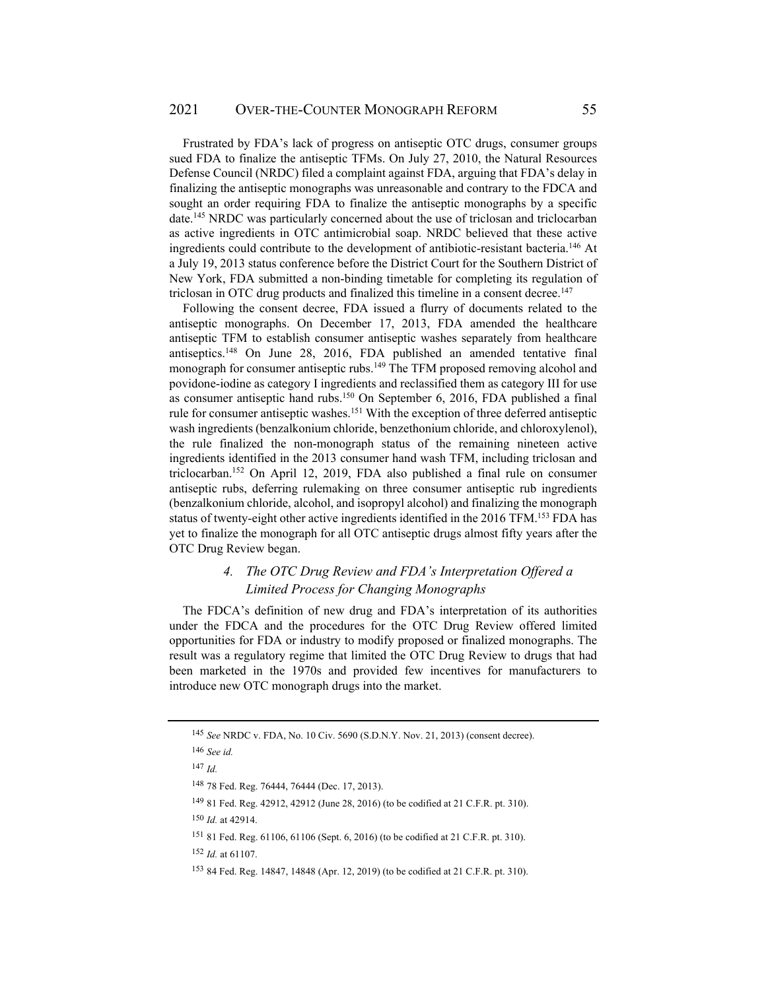Frustrated by FDA's lack of progress on antiseptic OTC drugs, consumer groups sued FDA to finalize the antiseptic TFMs. On July 27, 2010, the Natural Resources Defense Council (NRDC) filed a complaint against FDA, arguing that FDA's delay in finalizing the antiseptic monographs was unreasonable and contrary to the FDCA and sought an order requiring FDA to finalize the antiseptic monographs by a specific date.145 NRDC was particularly concerned about the use of triclosan and triclocarban as active ingredients in OTC antimicrobial soap. NRDC believed that these active ingredients could contribute to the development of antibiotic-resistant bacteria.146 At a July 19, 2013 status conference before the District Court for the Southern District of New York, FDA submitted a non-binding timetable for completing its regulation of triclosan in OTC drug products and finalized this timeline in a consent decree.147

Following the consent decree, FDA issued a flurry of documents related to the antiseptic monographs. On December 17, 2013, FDA amended the healthcare antiseptic TFM to establish consumer antiseptic washes separately from healthcare antiseptics.<sup>148</sup> On June 28, 2016, FDA published an amended tentative final monograph for consumer antiseptic rubs.<sup>149</sup> The TFM proposed removing alcohol and povidone-iodine as category I ingredients and reclassified them as category III for use as consumer antiseptic hand rubs.150 On September 6, 2016, FDA published a final rule for consumer antiseptic washes.151 With the exception of three deferred antiseptic wash ingredients (benzalkonium chloride, benzethonium chloride, and chloroxylenol), the rule finalized the non-monograph status of the remaining nineteen active ingredients identified in the 2013 consumer hand wash TFM, including triclosan and triclocarban.152 On April 12, 2019, FDA also published a final rule on consumer antiseptic rubs, deferring rulemaking on three consumer antiseptic rub ingredients (benzalkonium chloride, alcohol, and isopropyl alcohol) and finalizing the monograph status of twenty-eight other active ingredients identified in the 2016 TFM.<sup>153</sup> FDA has yet to finalize the monograph for all OTC antiseptic drugs almost fifty years after the OTC Drug Review began.

# *4. The OTC Drug Review and FDA's Interpretation Offered a Limited Process for Changing Monographs*

The FDCA's definition of new drug and FDA's interpretation of its authorities under the FDCA and the procedures for the OTC Drug Review offered limited opportunities for FDA or industry to modify proposed or finalized monographs. The result was a regulatory regime that limited the OTC Drug Review to drugs that had been marketed in the 1970s and provided few incentives for manufacturers to introduce new OTC monograph drugs into the market.

<sup>145</sup> *See* NRDC v. FDA, No. 10 Civ. 5690 (S.D.N.Y. Nov. 21, 2013) (consent decree).

<sup>146</sup> *See id.* 

<sup>147</sup> *Id.*

<sup>148 78</sup> Fed. Reg. 76444, 76444 (Dec. 17, 2013).

<sup>149 81</sup> Fed. Reg. 42912, 42912 (June 28, 2016) (to be codified at 21 C.F.R. pt. 310).

<sup>150</sup> *Id.* at 42914.

<sup>151 81</sup> Fed. Reg. 61106, 61106 (Sept. 6, 2016) (to be codified at 21 C.F.R. pt. 310).

<sup>152</sup> *Id.* at 61107.

<sup>153 84</sup> Fed. Reg. 14847, 14848 (Apr. 12, 2019) (to be codified at 21 C.F.R. pt. 310).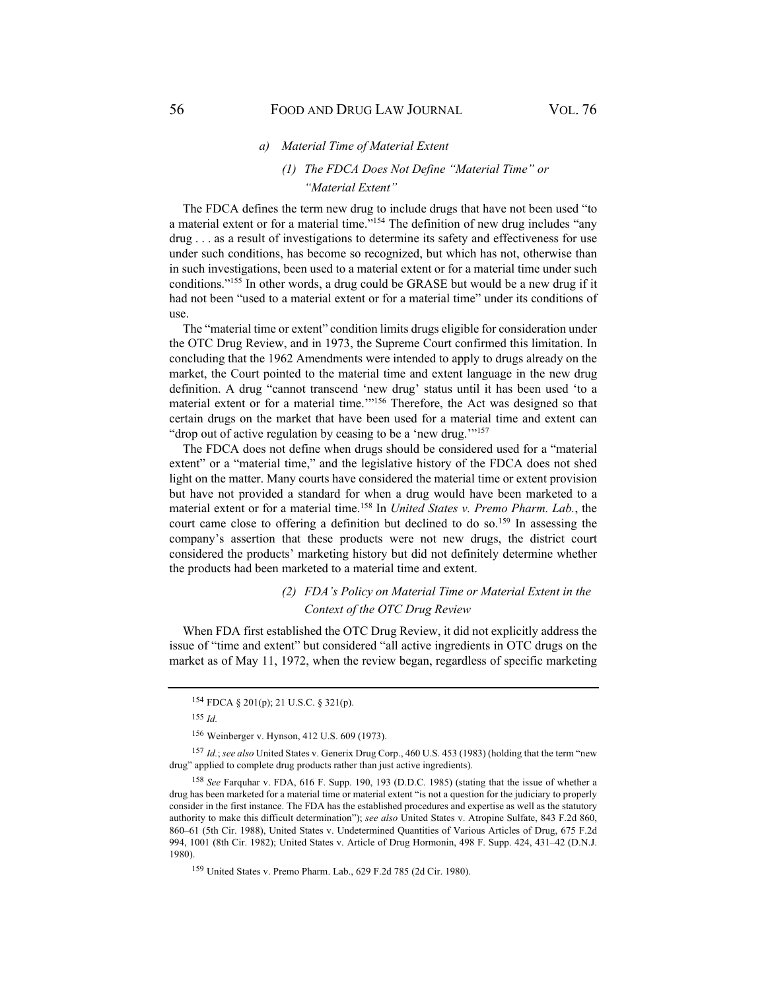#### *a) Material Time of Material Extent*

# *(1) The FDCA Does Not Define "Material Time" or "Material Extent"*

The FDCA defines the term new drug to include drugs that have not been used "to a material extent or for a material time."<sup>154</sup> The definition of new drug includes "any drug . . . as a result of investigations to determine its safety and effectiveness for use under such conditions, has become so recognized, but which has not, otherwise than in such investigations, been used to a material extent or for a material time under such conditions."155 In other words, a drug could be GRASE but would be a new drug if it had not been "used to a material extent or for a material time" under its conditions of use.

The "material time or extent" condition limits drugs eligible for consideration under the OTC Drug Review, and in 1973, the Supreme Court confirmed this limitation. In concluding that the 1962 Amendments were intended to apply to drugs already on the market, the Court pointed to the material time and extent language in the new drug definition. A drug "cannot transcend 'new drug' status until it has been used 'to a material extent or for a material time.'"156 Therefore, the Act was designed so that certain drugs on the market that have been used for a material time and extent can "drop out of active regulation by ceasing to be a 'new drug."<sup>157</sup>

The FDCA does not define when drugs should be considered used for a "material extent" or a "material time," and the legislative history of the FDCA does not shed light on the matter. Many courts have considered the material time or extent provision but have not provided a standard for when a drug would have been marketed to a material extent or for a material time.158 In *United States v. Premo Pharm. Lab.*, the court came close to offering a definition but declined to do so.<sup>159</sup> In assessing the company's assertion that these products were not new drugs, the district court considered the products' marketing history but did not definitely determine whether the products had been marketed to a material time and extent.

# *(2) FDA's Policy on Material Time or Material Extent in the Context of the OTC Drug Review*

When FDA first established the OTC Drug Review, it did not explicitly address the issue of "time and extent" but considered "all active ingredients in OTC drugs on the market as of May 11, 1972, when the review began, regardless of specific marketing

<sup>154</sup> FDCA § 201(p); 21 U.S.C. § 321(p).

<sup>155</sup> *Id.*

<sup>156</sup> Weinberger v. Hynson, 412 U.S. 609 (1973).

<sup>157</sup> *Id.*; *see also* United States v. Generix Drug Corp., 460 U.S. 453 (1983) (holding that the term "new drug" applied to complete drug products rather than just active ingredients).

<sup>158</sup> *See* Farquhar v. FDA, 616 F. Supp. 190, 193 (D.D.C. 1985) (stating that the issue of whether a drug has been marketed for a material time or material extent "is not a question for the judiciary to properly consider in the first instance. The FDA has the established procedures and expertise as well as the statutory authority to make this difficult determination"); *see also* United States v. Atropine Sulfate, 843 F.2d 860, 860–61 (5th Cir. 1988), United States v. Undetermined Quantities of Various Articles of Drug, 675 F.2d 994, 1001 (8th Cir. 1982); United States v. Article of Drug Hormonin, 498 F. Supp. 424, 431–42 (D.N.J. 1980).

<sup>159</sup> United States v. Premo Pharm. Lab., 629 F.2d 785 (2d Cir. 1980).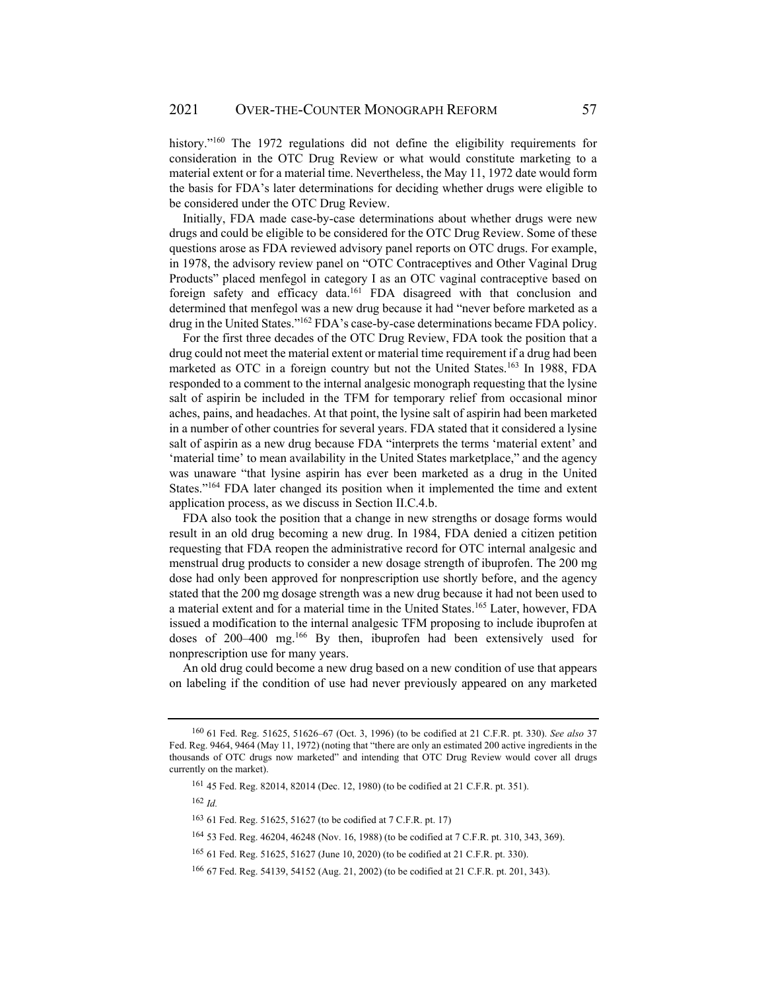history."<sup>160</sup> The 1972 regulations did not define the eligibility requirements for consideration in the OTC Drug Review or what would constitute marketing to a material extent or for a material time. Nevertheless, the May 11, 1972 date would form the basis for FDA's later determinations for deciding whether drugs were eligible to be considered under the OTC Drug Review.

Initially, FDA made case-by-case determinations about whether drugs were new drugs and could be eligible to be considered for the OTC Drug Review. Some of these questions arose as FDA reviewed advisory panel reports on OTC drugs. For example, in 1978, the advisory review panel on "OTC Contraceptives and Other Vaginal Drug Products" placed menfegol in category I as an OTC vaginal contraceptive based on foreign safety and efficacy data.<sup>161</sup> FDA disagreed with that conclusion and determined that menfegol was a new drug because it had "never before marketed as a drug in the United States."162 FDA's case-by-case determinations became FDA policy.

For the first three decades of the OTC Drug Review, FDA took the position that a drug could not meet the material extent or material time requirement if a drug had been marketed as OTC in a foreign country but not the United States.<sup>163</sup> In 1988, FDA responded to a comment to the internal analgesic monograph requesting that the lysine salt of aspirin be included in the TFM for temporary relief from occasional minor aches, pains, and headaches. At that point, the lysine salt of aspirin had been marketed in a number of other countries for several years. FDA stated that it considered a lysine salt of aspirin as a new drug because FDA "interprets the terms 'material extent' and 'material time' to mean availability in the United States marketplace," and the agency was unaware "that lysine aspirin has ever been marketed as a drug in the United States."<sup>164</sup> FDA later changed its position when it implemented the time and extent application process, as we discuss in Section II.C.4.b.

FDA also took the position that a change in new strengths or dosage forms would result in an old drug becoming a new drug. In 1984, FDA denied a citizen petition requesting that FDA reopen the administrative record for OTC internal analgesic and menstrual drug products to consider a new dosage strength of ibuprofen. The 200 mg dose had only been approved for nonprescription use shortly before, and the agency stated that the 200 mg dosage strength was a new drug because it had not been used to a material extent and for a material time in the United States.165 Later, however, FDA issued a modification to the internal analgesic TFM proposing to include ibuprofen at doses of 200–400 mg.166 By then, ibuprofen had been extensively used for nonprescription use for many years.

An old drug could become a new drug based on a new condition of use that appears on labeling if the condition of use had never previously appeared on any marketed

 $162$  *Id.* 

<sup>160 61</sup> Fed. Reg. 51625, 51626–67 (Oct. 3, 1996) (to be codified at 21 C.F.R. pt. 330). *See also* 37 Fed. Reg. 9464, 9464 (May 11, 1972) (noting that "there are only an estimated 200 active ingredients in the thousands of OTC drugs now marketed" and intending that OTC Drug Review would cover all drugs currently on the market).

<sup>161 45</sup> Fed. Reg. 82014, 82014 (Dec. 12, 1980) (to be codified at 21 C.F.R. pt. 351).

<sup>163 61</sup> Fed. Reg. 51625, 51627 (to be codified at 7 C.F.R. pt. 17)

<sup>164 53</sup> Fed. Reg. 46204, 46248 (Nov. 16, 1988) (to be codified at 7 C.F.R. pt. 310, 343, 369).

<sup>165 61</sup> Fed. Reg. 51625, 51627 (June 10, 2020) (to be codified at 21 C.F.R. pt. 330).

<sup>166 67</sup> Fed. Reg. 54139, 54152 (Aug. 21, 2002) (to be codified at 21 C.F.R. pt. 201, 343).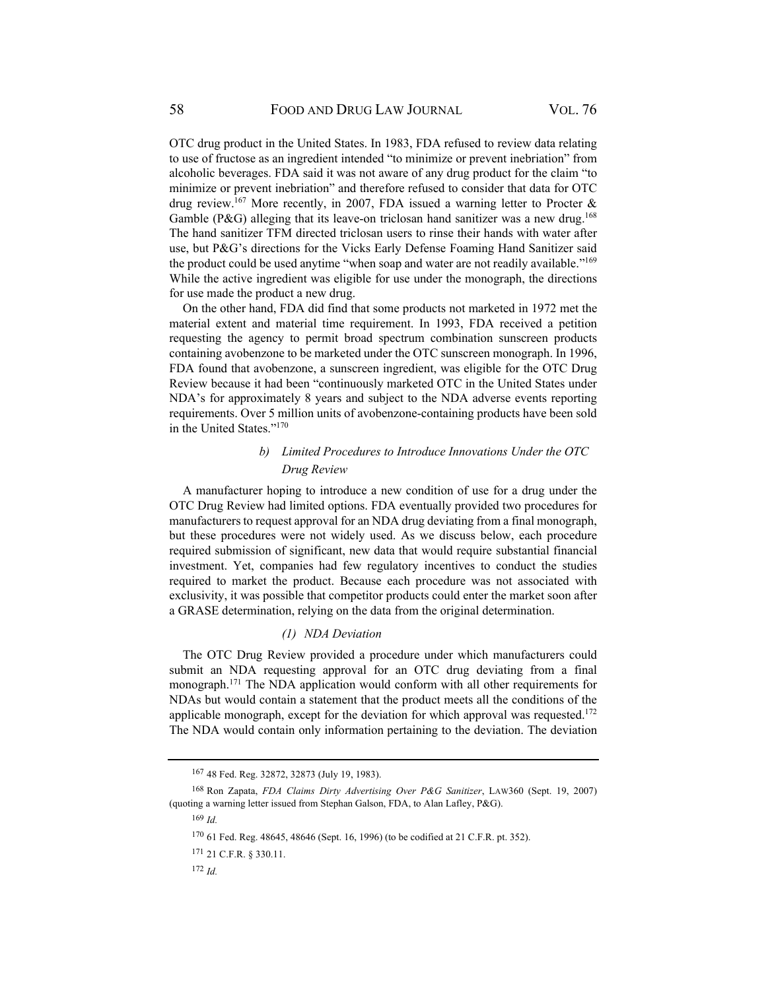OTC drug product in the United States. In 1983, FDA refused to review data relating to use of fructose as an ingredient intended "to minimize or prevent inebriation" from alcoholic beverages. FDA said it was not aware of any drug product for the claim "to minimize or prevent inebriation" and therefore refused to consider that data for OTC drug review.<sup>167</sup> More recently, in 2007, FDA issued a warning letter to Procter  $\&$ Gamble (P&G) alleging that its leave-on triclosan hand sanitizer was a new drug.<sup>168</sup> The hand sanitizer TFM directed triclosan users to rinse their hands with water after use, but P&G's directions for the Vicks Early Defense Foaming Hand Sanitizer said the product could be used anytime "when soap and water are not readily available."169 While the active ingredient was eligible for use under the monograph, the directions for use made the product a new drug.

On the other hand, FDA did find that some products not marketed in 1972 met the material extent and material time requirement. In 1993, FDA received a petition requesting the agency to permit broad spectrum combination sunscreen products containing avobenzone to be marketed under the OTC sunscreen monograph. In 1996, FDA found that avobenzone, a sunscreen ingredient, was eligible for the OTC Drug Review because it had been "continuously marketed OTC in the United States under NDA's for approximately 8 years and subject to the NDA adverse events reporting requirements. Over 5 million units of avobenzone-containing products have been sold in the United States."170

# *b) Limited Procedures to Introduce Innovations Under the OTC Drug Review*

A manufacturer hoping to introduce a new condition of use for a drug under the OTC Drug Review had limited options. FDA eventually provided two procedures for manufacturers to request approval for an NDA drug deviating from a final monograph, but these procedures were not widely used. As we discuss below, each procedure required submission of significant, new data that would require substantial financial investment. Yet, companies had few regulatory incentives to conduct the studies required to market the product. Because each procedure was not associated with exclusivity, it was possible that competitor products could enter the market soon after a GRASE determination, relying on the data from the original determination.

#### *(1) NDA Deviation*

The OTC Drug Review provided a procedure under which manufacturers could submit an NDA requesting approval for an OTC drug deviating from a final monograph.171 The NDA application would conform with all other requirements for NDAs but would contain a statement that the product meets all the conditions of the applicable monograph, except for the deviation for which approval was requested.<sup>172</sup> The NDA would contain only information pertaining to the deviation. The deviation

<sup>167 48</sup> Fed. Reg. 32872, 32873 (July 19, 1983).

<sup>168</sup> Ron Zapata, *FDA Claims Dirty Advertising Over P&G Sanitizer*, LAW360 (Sept. 19, 2007) (quoting a warning letter issued from Stephan Galson, FDA, to Alan Lafley, P&G).

<sup>169</sup> *Id.* 

<sup>170 61</sup> Fed. Reg. 48645, 48646 (Sept. 16, 1996) (to be codified at 21 C.F.R. pt. 352).

<sup>171 21</sup> C.F.R. § 330.11.

<sup>172</sup> *Id.*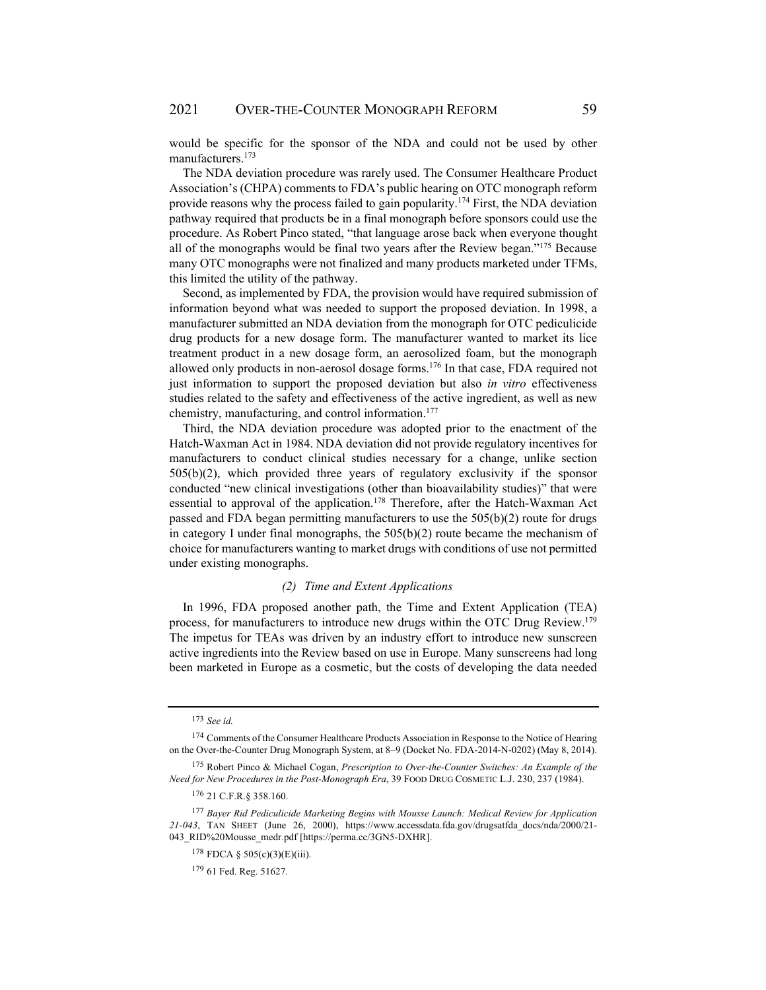would be specific for the sponsor of the NDA and could not be used by other manufacturers.173

The NDA deviation procedure was rarely used. The Consumer Healthcare Product Association's (CHPA) comments to FDA's public hearing on OTC monograph reform provide reasons why the process failed to gain popularity.<sup>174</sup> First, the NDA deviation pathway required that products be in a final monograph before sponsors could use the procedure. As Robert Pinco stated, "that language arose back when everyone thought all of the monographs would be final two years after the Review began."175 Because many OTC monographs were not finalized and many products marketed under TFMs, this limited the utility of the pathway.

Second, as implemented by FDA, the provision would have required submission of information beyond what was needed to support the proposed deviation. In 1998, a manufacturer submitted an NDA deviation from the monograph for OTC pediculicide drug products for a new dosage form. The manufacturer wanted to market its lice treatment product in a new dosage form, an aerosolized foam, but the monograph allowed only products in non-aerosol dosage forms.176 In that case, FDA required not just information to support the proposed deviation but also *in vitro* effectiveness studies related to the safety and effectiveness of the active ingredient, as well as new chemistry, manufacturing, and control information.177

Third, the NDA deviation procedure was adopted prior to the enactment of the Hatch-Waxman Act in 1984. NDA deviation did not provide regulatory incentives for manufacturers to conduct clinical studies necessary for a change, unlike section 505(b)(2), which provided three years of regulatory exclusivity if the sponsor conducted "new clinical investigations (other than bioavailability studies)" that were essential to approval of the application.<sup>178</sup> Therefore, after the Hatch-Waxman Act passed and FDA began permitting manufacturers to use the 505(b)(2) route for drugs in category I under final monographs, the  $505(b)(2)$  route became the mechanism of choice for manufacturers wanting to market drugs with conditions of use not permitted under existing monographs.

#### *(2) Time and Extent Applications*

In 1996, FDA proposed another path, the Time and Extent Application (TEA) process, for manufacturers to introduce new drugs within the OTC Drug Review.179 The impetus for TEAs was driven by an industry effort to introduce new sunscreen active ingredients into the Review based on use in Europe. Many sunscreens had long been marketed in Europe as a cosmetic, but the costs of developing the data needed

<sup>173</sup> *See id.* 

<sup>174</sup> Comments of the Consumer Healthcare Products Association in Response to the Notice of Hearing on the Over-the-Counter Drug Monograph System, at 8–9 (Docket No. FDA-2014-N-0202) (May 8, 2014).

<sup>175</sup> Robert Pinco & Michael Cogan, *Prescription to Over-the-Counter Switches: An Example of the Need for New Procedures in the Post-Monograph Era*, 39 FOOD DRUG COSMETIC L.J. 230, 237 (1984).

<sup>176 21</sup> C.F.R.§ 358.160.

<sup>177</sup> *Bayer Rid Pediculicide Marketing Begins with Mousse Launch: Medical Review for Application 21-043*, TAN SHEET (June 26, 2000), https://www.accessdata.fda.gov/drugsatfda\_docs/nda/2000/21- 043\_RID%20Mousse\_medr.pdf [https://perma.cc/3GN5-DXHR].

<sup>178</sup> FDCA § 505(c)(3)(E)(iii).

<sup>179 61</sup> Fed. Reg. 51627.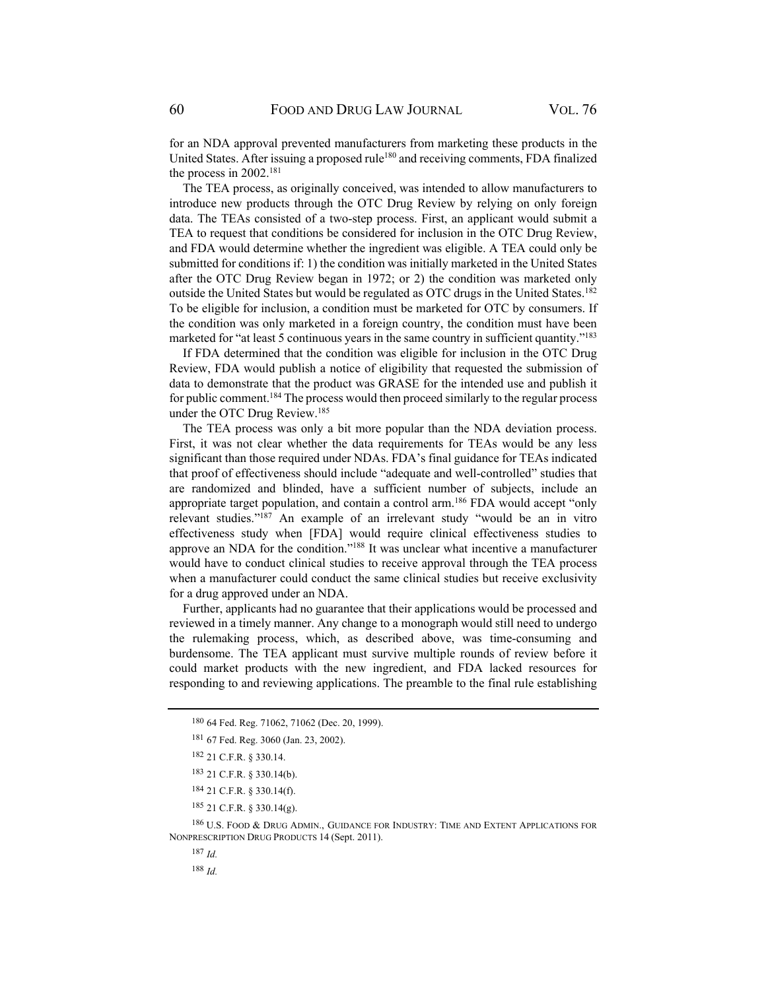for an NDA approval prevented manufacturers from marketing these products in the United States. After issuing a proposed rule<sup>180</sup> and receiving comments, FDA finalized the process in 2002.181

The TEA process, as originally conceived, was intended to allow manufacturers to introduce new products through the OTC Drug Review by relying on only foreign data. The TEAs consisted of a two-step process. First, an applicant would submit a TEA to request that conditions be considered for inclusion in the OTC Drug Review, and FDA would determine whether the ingredient was eligible. A TEA could only be submitted for conditions if: 1) the condition was initially marketed in the United States after the OTC Drug Review began in 1972; or 2) the condition was marketed only outside the United States but would be regulated as OTC drugs in the United States.<sup>182</sup> To be eligible for inclusion, a condition must be marketed for OTC by consumers. If the condition was only marketed in a foreign country, the condition must have been marketed for "at least 5 continuous years in the same country in sufficient quantity."<sup>183</sup>

If FDA determined that the condition was eligible for inclusion in the OTC Drug Review, FDA would publish a notice of eligibility that requested the submission of data to demonstrate that the product was GRASE for the intended use and publish it for public comment.<sup>184</sup> The process would then proceed similarly to the regular process under the OTC Drug Review.185

The TEA process was only a bit more popular than the NDA deviation process. First, it was not clear whether the data requirements for TEAs would be any less significant than those required under NDAs. FDA's final guidance for TEAs indicated that proof of effectiveness should include "adequate and well-controlled" studies that are randomized and blinded, have a sufficient number of subjects, include an appropriate target population, and contain a control arm.186 FDA would accept "only relevant studies."187 An example of an irrelevant study "would be an in vitro effectiveness study when [FDA] would require clinical effectiveness studies to approve an NDA for the condition."188 It was unclear what incentive a manufacturer would have to conduct clinical studies to receive approval through the TEA process when a manufacturer could conduct the same clinical studies but receive exclusivity for a drug approved under an NDA.

Further, applicants had no guarantee that their applications would be processed and reviewed in a timely manner. Any change to a monograph would still need to undergo the rulemaking process, which, as described above, was time-consuming and burdensome. The TEA applicant must survive multiple rounds of review before it could market products with the new ingredient, and FDA lacked resources for responding to and reviewing applications. The preamble to the final rule establishing

186 U.S. FOOD & DRUG ADMIN., GUIDANCE FOR INDUSTRY: TIME AND EXTENT APPLICATIONS FOR NONPRESCRIPTION DRUG PRODUCTS 14 (Sept. 2011).

<sup>187</sup> *Id.*

<sup>188</sup> *Id.*

<sup>180 64</sup> Fed. Reg. 71062, 71062 (Dec. 20, 1999).

<sup>181 67</sup> Fed. Reg. 3060 (Jan. 23, 2002).

<sup>182 21</sup> C.F.R. § 330.14.

<sup>183 21</sup> C.F.R. § 330.14(b).

<sup>184 21</sup> C.F.R. § 330.14(f).

<sup>185 21</sup> C.F.R. § 330.14(g).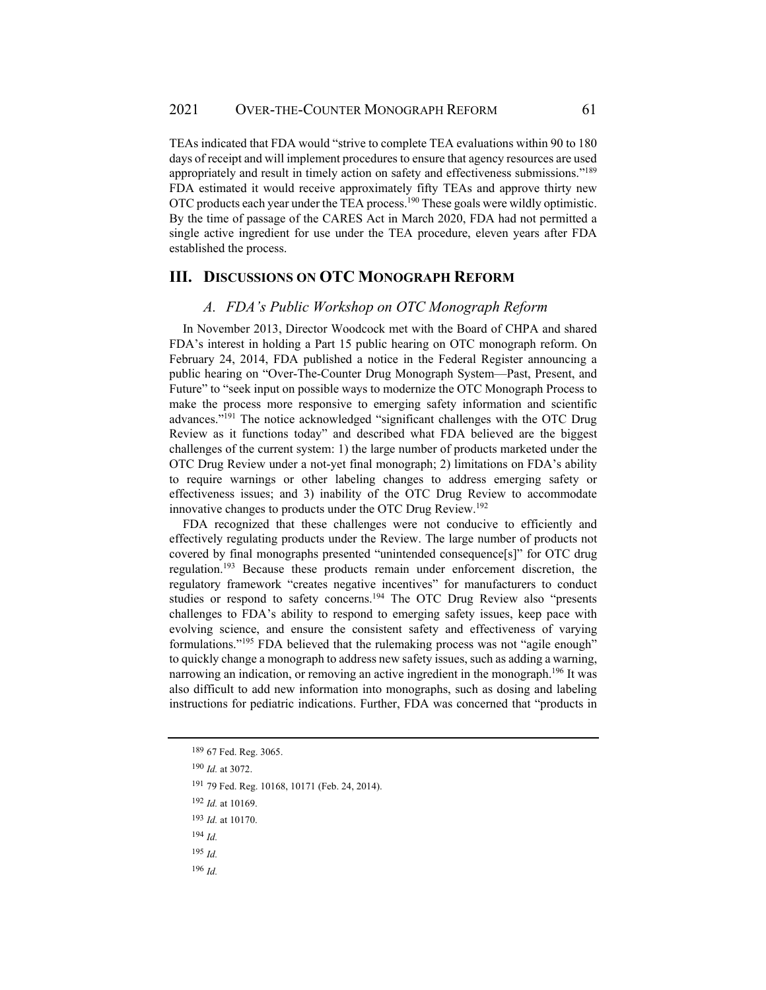TEAs indicated that FDA would "strive to complete TEA evaluations within 90 to 180 days of receipt and will implement procedures to ensure that agency resources are used appropriately and result in timely action on safety and effectiveness submissions."189 FDA estimated it would receive approximately fifty TEAs and approve thirty new OTC products each year under the TEA process.190 These goals were wildly optimistic. By the time of passage of the CARES Act in March 2020, FDA had not permitted a single active ingredient for use under the TEA procedure, eleven years after FDA established the process.

# **III. DISCUSSIONS ON OTC MONOGRAPH REFORM**

#### *A. FDA's Public Workshop on OTC Monograph Reform*

In November 2013, Director Woodcock met with the Board of CHPA and shared FDA's interest in holding a Part 15 public hearing on OTC monograph reform. On February 24, 2014, FDA published a notice in the Federal Register announcing a public hearing on "Over-The-Counter Drug Monograph System—Past, Present, and Future" to "seek input on possible ways to modernize the OTC Monograph Process to make the process more responsive to emerging safety information and scientific advances."191 The notice acknowledged "significant challenges with the OTC Drug Review as it functions today" and described what FDA believed are the biggest challenges of the current system: 1) the large number of products marketed under the OTC Drug Review under a not-yet final monograph; 2) limitations on FDA's ability to require warnings or other labeling changes to address emerging safety or effectiveness issues; and 3) inability of the OTC Drug Review to accommodate innovative changes to products under the OTC Drug Review.<sup>192</sup>

FDA recognized that these challenges were not conducive to efficiently and effectively regulating products under the Review. The large number of products not covered by final monographs presented "unintended consequence[s]" for OTC drug regulation.193 Because these products remain under enforcement discretion, the regulatory framework "creates negative incentives" for manufacturers to conduct studies or respond to safety concerns.<sup>194</sup> The OTC Drug Review also "presents challenges to FDA's ability to respond to emerging safety issues, keep pace with evolving science, and ensure the consistent safety and effectiveness of varying formulations."195 FDA believed that the rulemaking process was not "agile enough" to quickly change a monograph to address new safety issues, such as adding a warning, narrowing an indication, or removing an active ingredient in the monograph.<sup>196</sup> It was also difficult to add new information into monographs, such as dosing and labeling instructions for pediatric indications. Further, FDA was concerned that "products in

- <sup>192</sup> *Id.* at 10169.
- <sup>193</sup> *Id.* at 10170.
- <sup>194</sup> *Id.*
- <sup>195</sup> *Id.*
- $196$  *Id.*

<sup>189 67</sup> Fed. Reg. 3065.

<sup>190</sup> *Id.* at 3072.

<sup>191 79</sup> Fed. Reg. 10168, 10171 (Feb. 24, 2014).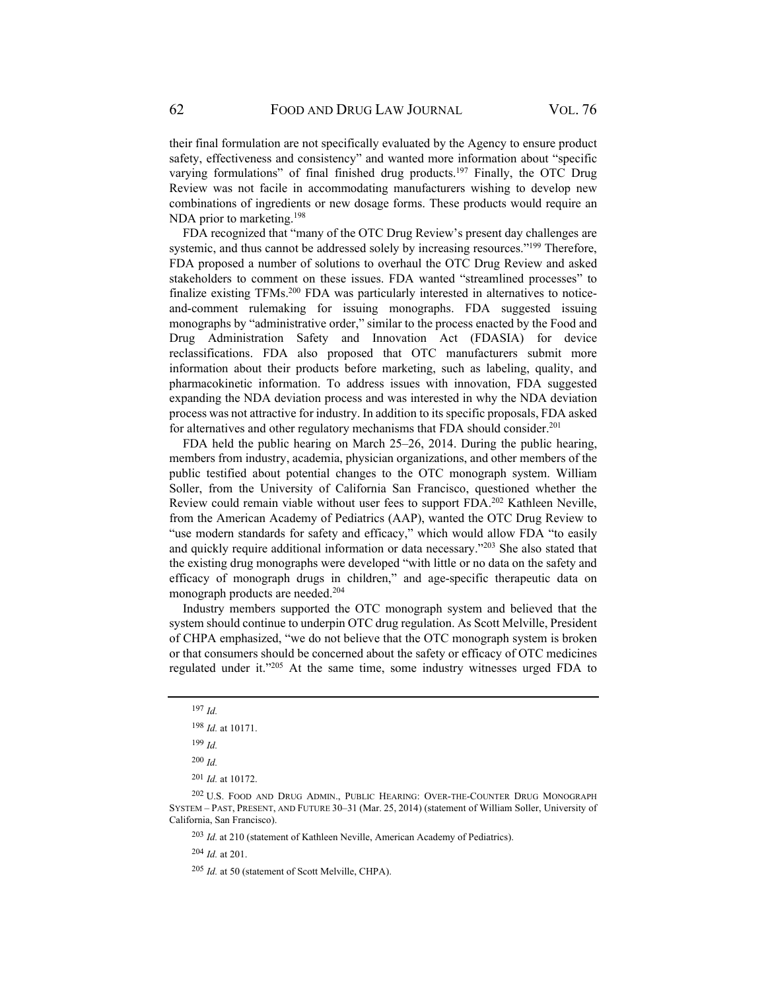their final formulation are not specifically evaluated by the Agency to ensure product safety, effectiveness and consistency" and wanted more information about "specific varying formulations" of final finished drug products.<sup>197</sup> Finally, the OTC Drug Review was not facile in accommodating manufacturers wishing to develop new combinations of ingredients or new dosage forms. These products would require an NDA prior to marketing.<sup>198</sup>

FDA recognized that "many of the OTC Drug Review's present day challenges are systemic, and thus cannot be addressed solely by increasing resources."<sup>199</sup> Therefore, FDA proposed a number of solutions to overhaul the OTC Drug Review and asked stakeholders to comment on these issues. FDA wanted "streamlined processes" to finalize existing TFMs.<sup>200</sup> FDA was particularly interested in alternatives to noticeand-comment rulemaking for issuing monographs. FDA suggested issuing monographs by "administrative order," similar to the process enacted by the Food and Drug Administration Safety and Innovation Act (FDASIA) for device reclassifications. FDA also proposed that OTC manufacturers submit more information about their products before marketing, such as labeling, quality, and pharmacokinetic information. To address issues with innovation, FDA suggested expanding the NDA deviation process and was interested in why the NDA deviation process was not attractive for industry. In addition to its specific proposals, FDA asked for alternatives and other regulatory mechanisms that FDA should consider.<sup>201</sup>

FDA held the public hearing on March 25–26, 2014. During the public hearing, members from industry, academia, physician organizations, and other members of the public testified about potential changes to the OTC monograph system. William Soller, from the University of California San Francisco, questioned whether the Review could remain viable without user fees to support FDA.<sup>202</sup> Kathleen Neville, from the American Academy of Pediatrics (AAP), wanted the OTC Drug Review to "use modern standards for safety and efficacy," which would allow FDA "to easily and quickly require additional information or data necessary."203 She also stated that the existing drug monographs were developed "with little or no data on the safety and efficacy of monograph drugs in children," and age-specific therapeutic data on monograph products are needed.204

Industry members supported the OTC monograph system and believed that the system should continue to underpin OTC drug regulation. As Scott Melville, President of CHPA emphasized, "we do not believe that the OTC monograph system is broken or that consumers should be concerned about the safety or efficacy of OTC medicines regulated under it."205 At the same time, some industry witnesses urged FDA to

<sup>203</sup> *Id.* at 210 (statement of Kathleen Neville, American Academy of Pediatrics).

<sup>204</sup> *Id.* at 201.

<sup>205</sup> *Id.* at 50 (statement of Scott Melville, CHPA).

<sup>197</sup> *Id.*

<sup>198</sup> *Id.* at 10171.

<sup>199</sup> *Id.*

<sup>200</sup> *Id.* 

<sup>201</sup> *Id.* at 10172.

<sup>202</sup> U.S. FOOD AND DRUG ADMIN., PUBLIC HEARING: OVER-THE-COUNTER DRUG MONOGRAPH SYSTEM – PAST, PRESENT, AND FUTURE 30–31 (Mar. 25, 2014) (statement of William Soller, University of California, San Francisco).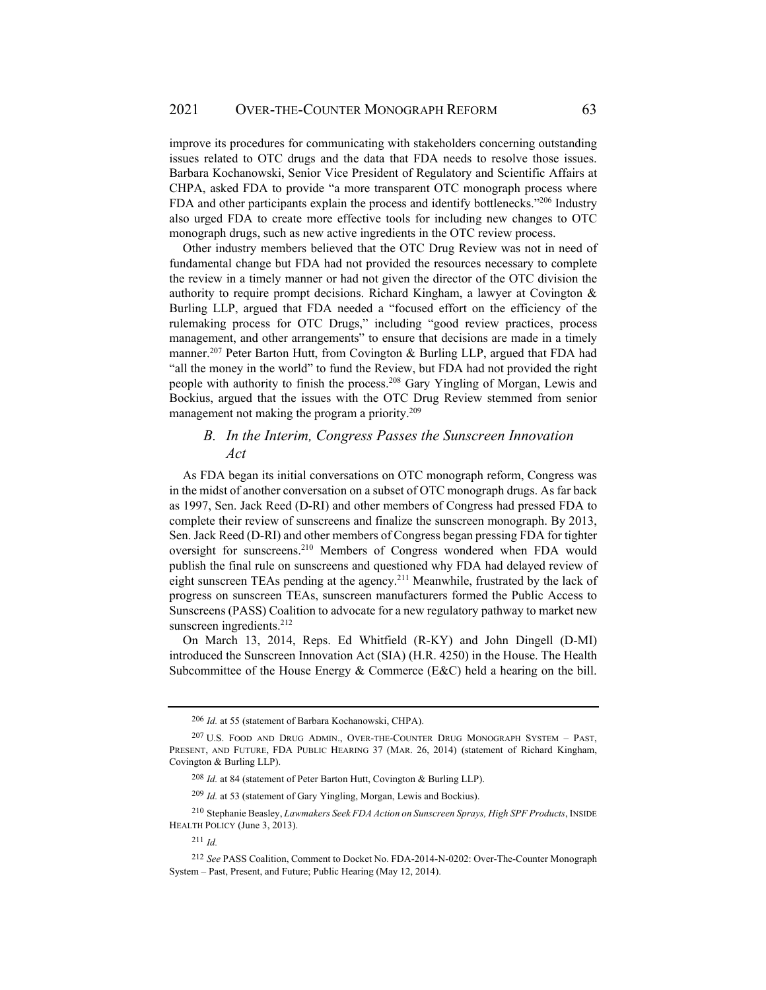improve its procedures for communicating with stakeholders concerning outstanding issues related to OTC drugs and the data that FDA needs to resolve those issues. Barbara Kochanowski, Senior Vice President of Regulatory and Scientific Affairs at CHPA, asked FDA to provide "a more transparent OTC monograph process where FDA and other participants explain the process and identify bottlenecks."206 Industry also urged FDA to create more effective tools for including new changes to OTC monograph drugs, such as new active ingredients in the OTC review process.

Other industry members believed that the OTC Drug Review was not in need of fundamental change but FDA had not provided the resources necessary to complete the review in a timely manner or had not given the director of the OTC division the authority to require prompt decisions. Richard Kingham, a lawyer at Covington & Burling LLP, argued that FDA needed a "focused effort on the efficiency of the rulemaking process for OTC Drugs," including "good review practices, process management, and other arrangements" to ensure that decisions are made in a timely manner.<sup>207</sup> Peter Barton Hutt, from Covington & Burling LLP, argued that FDA had "all the money in the world" to fund the Review, but FDA had not provided the right people with authority to finish the process.208 Gary Yingling of Morgan, Lewis and Bockius, argued that the issues with the OTC Drug Review stemmed from senior management not making the program a priority.<sup>209</sup>

# *B. In the Interim, Congress Passes the Sunscreen Innovation Act*

As FDA began its initial conversations on OTC monograph reform, Congress was in the midst of another conversation on a subset of OTC monograph drugs. As far back as 1997, Sen. Jack Reed (D-RI) and other members of Congress had pressed FDA to complete their review of sunscreens and finalize the sunscreen monograph. By 2013, Sen. Jack Reed (D-RI) and other members of Congress began pressing FDA for tighter oversight for sunscreens.210 Members of Congress wondered when FDA would publish the final rule on sunscreens and questioned why FDA had delayed review of eight sunscreen TEAs pending at the agency.<sup>211</sup> Meanwhile, frustrated by the lack of progress on sunscreen TEAs, sunscreen manufacturers formed the Public Access to Sunscreens (PASS) Coalition to advocate for a new regulatory pathway to market new sunscreen ingredients.<sup>212</sup>

On March 13, 2014, Reps. Ed Whitfield (R-KY) and John Dingell (D-MI) introduced the Sunscreen Innovation Act (SIA) (H.R. 4250) in the House. The Health Subcommittee of the House Energy & Commerce (E&C) held a hearing on the bill.

<sup>206</sup> *Id.* at 55 (statement of Barbara Kochanowski, CHPA).

<sup>207</sup> U.S. FOOD AND DRUG ADMIN., OVER-THE-COUNTER DRUG MONOGRAPH SYSTEM – PAST, PRESENT, AND FUTURE, FDA PUBLIC HEARING 37 (MAR. 26, 2014) (statement of Richard Kingham, Covington & Burling LLP).

<sup>208</sup> *Id.* at 84 (statement of Peter Barton Hutt, Covington & Burling LLP).

<sup>209</sup> *Id.* at 53 (statement of Gary Yingling, Morgan, Lewis and Bockius).

<sup>210</sup> Stephanie Beasley, *Lawmakers Seek FDA Action on Sunscreen Sprays, High SPF Products*, INSIDE HEALTH POLICY (June 3, 2013).

<sup>211</sup> *Id.* 

<sup>212</sup> *See* PASS Coalition, Comment to Docket No. FDA-2014-N-0202: Over-The-Counter Monograph System – Past, Present, and Future; Public Hearing (May 12, 2014).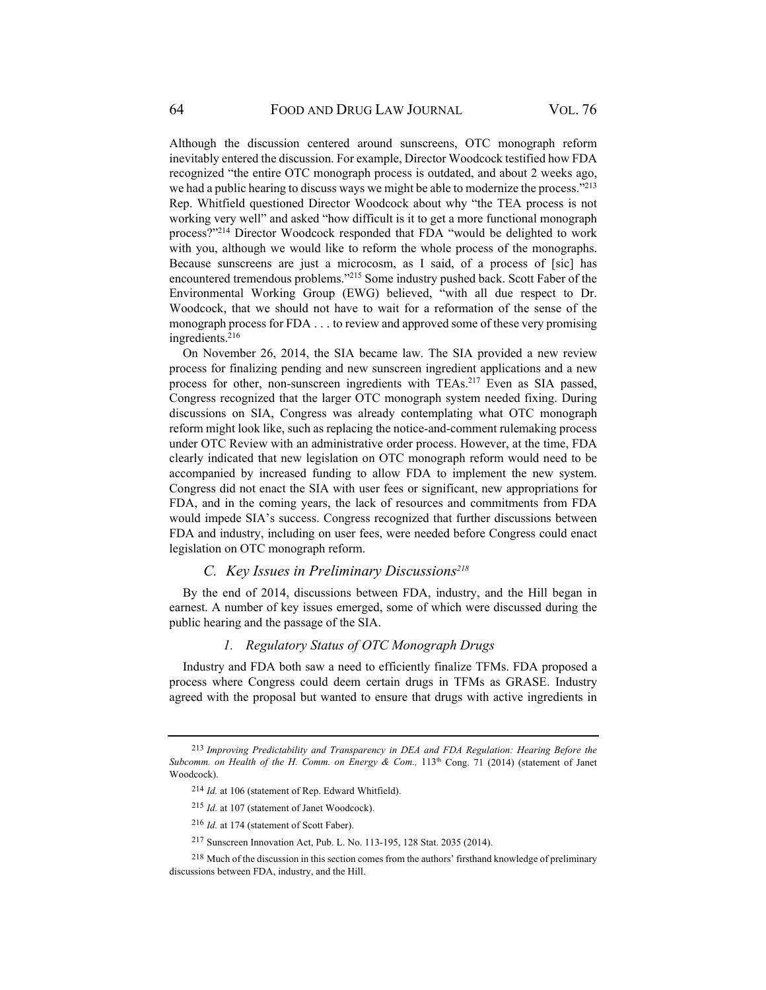Although the discussion centered around sunscreens, OTC monograph reform inevitably entered the discussion. For example, Director Woodcock testified how FDA recognized "the entire OTC monograph process is outdated, and about 2 weeks ago, we had a public hearing to discuss ways we might be able to modernize the process."<sup>213</sup> Rep. Whitfield questioned Director Woodcock about why "the TEA process is not working very well" and asked "how difficult is it to get a more functional monograph process?"<sup>214</sup> Director Woodcock responded that FDA "would be delighted to work with you, although we would like to reform the whole process of the monographs. Because sunscreens are just a microcosm, as I said, of a process of [sic] has encountered tremendous problems."215 Some industry pushed back. Scott Faber of the Environmental Working Group (EWG) believed, "with all due respect to Dr. Woodcock, that we should not have to wait for a reformation of the sense of the monograph process for FDA . . . to review and approved some of these very promising ingredients.<sup>216</sup>

On November 26, 2014, the SIA became law. The SIA provided a new review process for finalizing pending and new sunscreen ingredient applications and a new process for other, non-sunscreen ingredients with TEAs.217 Even as SIA passed, Congress recognized that the larger OTC monograph system needed fixing. During discussions on SIA, Congress was already contemplating what OTC monograph reform might look like, such as replacing the notice-and-comment rulemaking process under OTC Review with an administrative order process. However, at the time, FDA clearly indicated that new legislation on OTC monograph reform would need to be accompanied by increased funding to allow FDA to implement the new system. Congress did not enact the SIA with user fees or significant, new appropriations for FDA, and in the coming years, the lack of resources and commitments from FDA would impede SIA's success. Congress recognized that further discussions between FDA and industry, including on user fees, were needed before Congress could enact legislation on OTC monograph reform.

### *C. Key Issues in Preliminary Discussions218*

By the end of 2014, discussions between FDA, industry, and the Hill began in earnest. A number of key issues emerged, some of which were discussed during the public hearing and the passage of the SIA.

# *1. Regulatory Status of OTC Monograph Drugs*

Industry and FDA both saw a need to efficiently finalize TFMs. FDA proposed a process where Congress could deem certain drugs in TFMs as GRASE. Industry agreed with the proposal but wanted to ensure that drugs with active ingredients in

<sup>213</sup> *Improving Predictability and Transparency in DEA and FDA Regulation: Hearing Before the*  Subcomm. on Health of the H. Comm. on Energy & Com., 113<sup>th</sup> Cong. 71 (2014) (statement of Janet Woodcock).

<sup>214</sup> *Id.* at 106 (statement of Rep. Edward Whitfield).

<sup>215</sup> *Id.* at 107 (statement of Janet Woodcock).

<sup>216</sup> *Id.* at 174 (statement of Scott Faber).

<sup>217</sup> Sunscreen Innovation Act, Pub. L. No. 113-195, 128 Stat. 2035 (2014).

<sup>&</sup>lt;sup>218</sup> Much of the discussion in this section comes from the authors' firsthand knowledge of preliminary discussions between FDA, industry, and the Hill.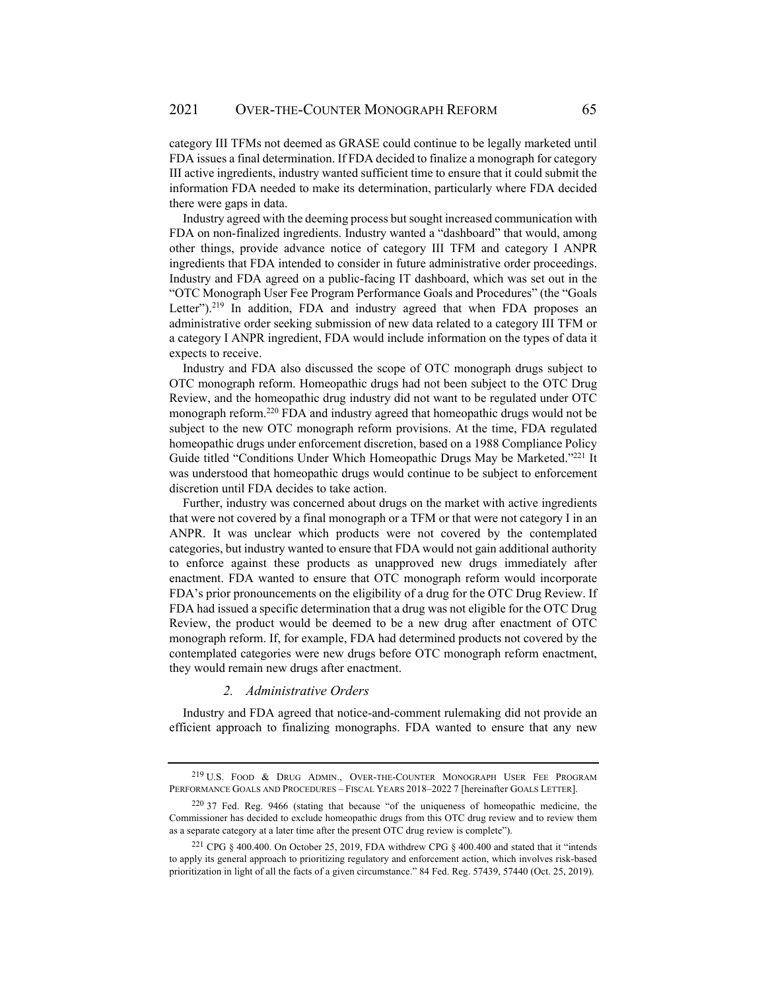category III TFMs not deemed as GRASE could continue to be legally marketed until FDA issues a final determination. If FDA decided to finalize a monograph for category III active ingredients, industry wanted sufficient time to ensure that it could submit the information FDA needed to make its determination, particularly where FDA decided there were gaps in data.

Industry agreed with the deeming process but sought increased communication with FDA on non-finalized ingredients. Industry wanted a "dashboard" that would, among other things, provide advance notice of category III TFM and category I ANPR ingredients that FDA intended to consider in future administrative order proceedings. Industry and FDA agreed on a public-facing IT dashboard, which was set out in the "OTC Monograph User Fee Program Performance Goals and Procedures" (the "Goals Letter").<sup>219</sup> In addition, FDA and industry agreed that when FDA proposes an administrative order seeking submission of new data related to a category III TFM or a category I ANPR ingredient, FDA would include information on the types of data it expects to receive.

Industry and FDA also discussed the scope of OTC monograph drugs subject to OTC monograph reform. Homeopathic drugs had not been subject to the OTC Drug Review, and the homeopathic drug industry did not want to be regulated under OTC monograph reform.220 FDA and industry agreed that homeopathic drugs would not be subject to the new OTC monograph reform provisions. At the time, FDA regulated homeopathic drugs under enforcement discretion, based on a 1988 Compliance Policy Guide titled "Conditions Under Which Homeopathic Drugs May be Marketed."<sup>221</sup> It was understood that homeopathic drugs would continue to be subject to enforcement discretion until FDA decides to take action.

Further, industry was concerned about drugs on the market with active ingredients that were not covered by a final monograph or a TFM or that were not category I in an ANPR. It was unclear which products were not covered by the contemplated categories, but industry wanted to ensure that FDA would not gain additional authority to enforce against these products as unapproved new drugs immediately after enactment. FDA wanted to ensure that OTC monograph reform would incorporate FDA's prior pronouncements on the eligibility of a drug for the OTC Drug Review. If FDA had issued a specific determination that a drug was not eligible for the OTC Drug Review, the product would be deemed to be a new drug after enactment of OTC monograph reform. If, for example, FDA had determined products not covered by the contemplated categories were new drugs before OTC monograph reform enactment, they would remain new drugs after enactment.

#### *2. Administrative Orders*

Industry and FDA agreed that notice-and-comment rulemaking did not provide an efficient approach to finalizing monographs. FDA wanted to ensure that any new

<sup>219</sup> U.S. FOOD & DRUG ADMIN., OVER-THE-COUNTER MONOGRAPH USER FEE PROGRAM PERFORMANCE GOALS AND PROCEDURES – FISCAL YEARS 2018–2022 7 [hereinafter GOALS LETTER].

<sup>220 37</sup> Fed. Reg. 9466 (stating that because "of the uniqueness of homeopathic medicine, the Commissioner has decided to exclude homeopathic drugs from this OTC drug review and to review them as a separate category at a later time after the present OTC drug review is complete").

<sup>&</sup>lt;sup>221</sup> CPG § 400.400. On October 25, 2019, FDA withdrew CPG § 400.400 and stated that it "intends to apply its general approach to prioritizing regulatory and enforcement action, which involves risk-based prioritization in light of all the facts of a given circumstance." 84 Fed. Reg. 57439, 57440 (Oct. 25, 2019).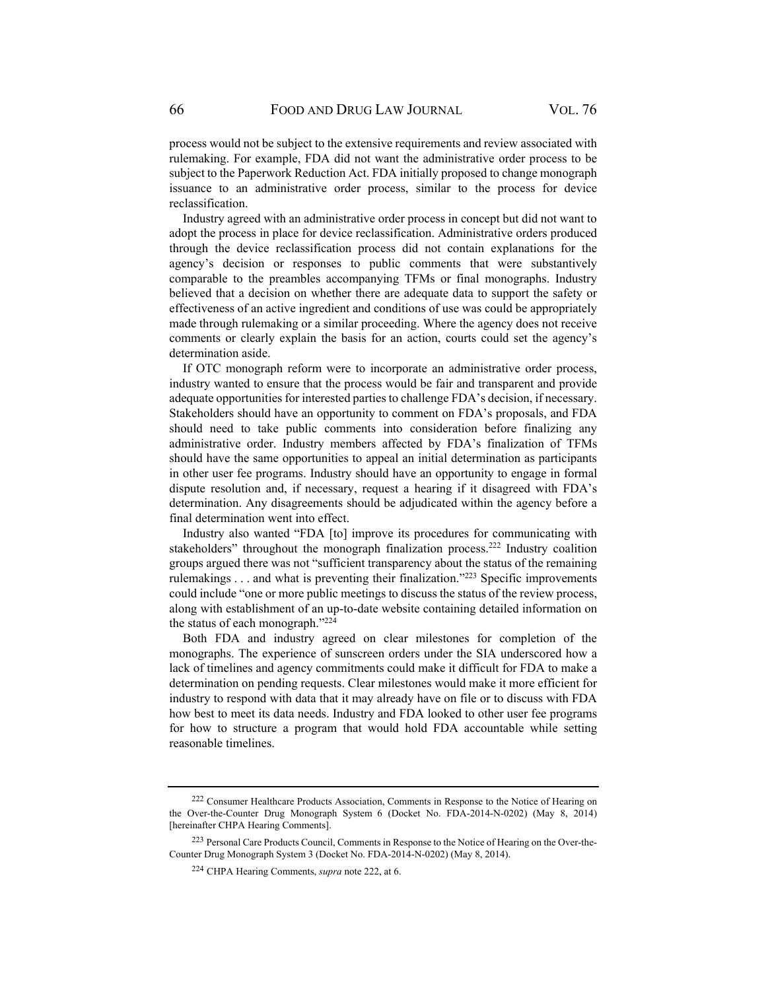process would not be subject to the extensive requirements and review associated with rulemaking. For example, FDA did not want the administrative order process to be subject to the Paperwork Reduction Act. FDA initially proposed to change monograph issuance to an administrative order process, similar to the process for device reclassification.

Industry agreed with an administrative order process in concept but did not want to adopt the process in place for device reclassification. Administrative orders produced through the device reclassification process did not contain explanations for the agency's decision or responses to public comments that were substantively comparable to the preambles accompanying TFMs or final monographs. Industry believed that a decision on whether there are adequate data to support the safety or effectiveness of an active ingredient and conditions of use was could be appropriately made through rulemaking or a similar proceeding. Where the agency does not receive comments or clearly explain the basis for an action, courts could set the agency's determination aside.

If OTC monograph reform were to incorporate an administrative order process, industry wanted to ensure that the process would be fair and transparent and provide adequate opportunities for interested parties to challenge FDA's decision, if necessary. Stakeholders should have an opportunity to comment on FDA's proposals, and FDA should need to take public comments into consideration before finalizing any administrative order. Industry members affected by FDA's finalization of TFMs should have the same opportunities to appeal an initial determination as participants in other user fee programs. Industry should have an opportunity to engage in formal dispute resolution and, if necessary, request a hearing if it disagreed with FDA's determination. Any disagreements should be adjudicated within the agency before a final determination went into effect.

Industry also wanted "FDA [to] improve its procedures for communicating with stakeholders" throughout the monograph finalization process.222 Industry coalition groups argued there was not "sufficient transparency about the status of the remaining rulemakings . . . and what is preventing their finalization."223 Specific improvements could include "one or more public meetings to discuss the status of the review process, along with establishment of an up-to-date website containing detailed information on the status of each monograph."224

Both FDA and industry agreed on clear milestones for completion of the monographs. The experience of sunscreen orders under the SIA underscored how a lack of timelines and agency commitments could make it difficult for FDA to make a determination on pending requests. Clear milestones would make it more efficient for industry to respond with data that it may already have on file or to discuss with FDA how best to meet its data needs. Industry and FDA looked to other user fee programs for how to structure a program that would hold FDA accountable while setting reasonable timelines.

<sup>222</sup> Consumer Healthcare Products Association, Comments in Response to the Notice of Hearing on the Over-the-Counter Drug Monograph System 6 (Docket No. FDA-2014-N-0202) (May 8, 2014) [hereinafter CHPA Hearing Comments].

<sup>223</sup> Personal Care Products Council, Comments in Response to the Notice of Hearing on the Over-the-Counter Drug Monograph System 3 (Docket No. FDA-2014-N-0202) (May 8, 2014).

<sup>224</sup> CHPA Hearing Comments, *supra* note 222, at 6.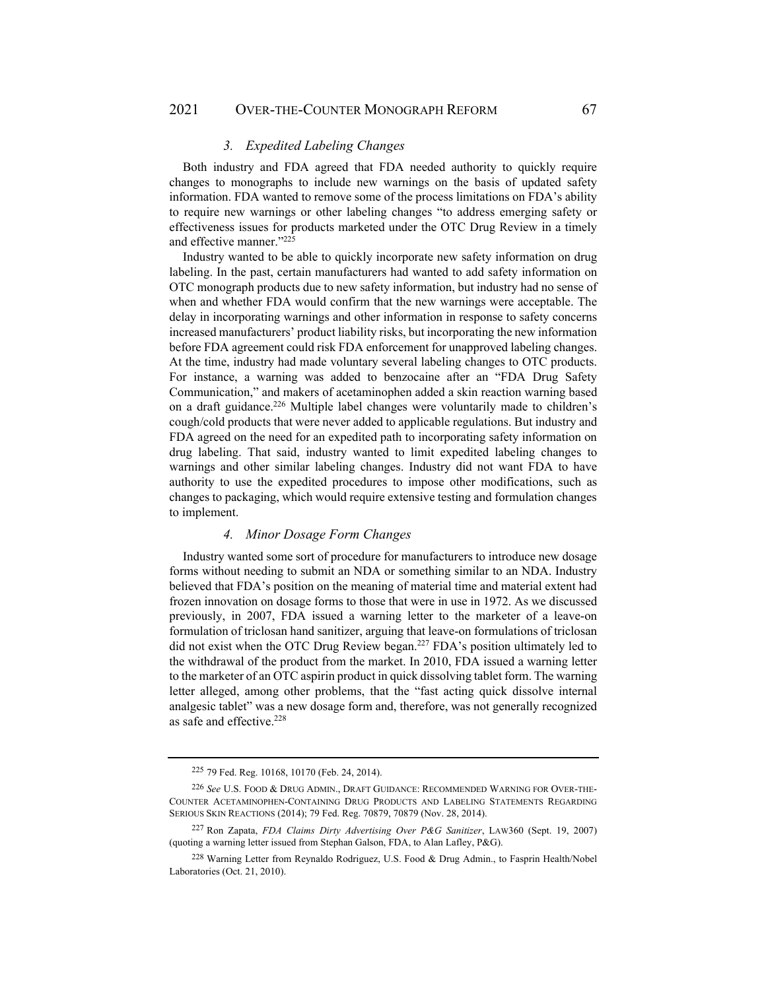### *3. Expedited Labeling Changes*

Both industry and FDA agreed that FDA needed authority to quickly require changes to monographs to include new warnings on the basis of updated safety information. FDA wanted to remove some of the process limitations on FDA's ability to require new warnings or other labeling changes "to address emerging safety or effectiveness issues for products marketed under the OTC Drug Review in a timely and effective manner."225

Industry wanted to be able to quickly incorporate new safety information on drug labeling. In the past, certain manufacturers had wanted to add safety information on OTC monograph products due to new safety information, but industry had no sense of when and whether FDA would confirm that the new warnings were acceptable. The delay in incorporating warnings and other information in response to safety concerns increased manufacturers' product liability risks, but incorporating the new information before FDA agreement could risk FDA enforcement for unapproved labeling changes. At the time, industry had made voluntary several labeling changes to OTC products. For instance, a warning was added to benzocaine after an "FDA Drug Safety Communication," and makers of acetaminophen added a skin reaction warning based on a draft guidance.<sup>226</sup> Multiple label changes were voluntarily made to children's cough/cold products that were never added to applicable regulations. But industry and FDA agreed on the need for an expedited path to incorporating safety information on drug labeling. That said, industry wanted to limit expedited labeling changes to warnings and other similar labeling changes. Industry did not want FDA to have authority to use the expedited procedures to impose other modifications, such as changes to packaging, which would require extensive testing and formulation changes to implement.

#### *4. Minor Dosage Form Changes*

Industry wanted some sort of procedure for manufacturers to introduce new dosage forms without needing to submit an NDA or something similar to an NDA. Industry believed that FDA's position on the meaning of material time and material extent had frozen innovation on dosage forms to those that were in use in 1972. As we discussed previously, in 2007, FDA issued a warning letter to the marketer of a leave-on formulation of triclosan hand sanitizer, arguing that leave-on formulations of triclosan did not exist when the OTC Drug Review began.<sup>227</sup> FDA's position ultimately led to the withdrawal of the product from the market. In 2010, FDA issued a warning letter to the marketer of an OTC aspirin product in quick dissolving tablet form. The warning letter alleged, among other problems, that the "fast acting quick dissolve internal analgesic tablet" was a new dosage form and, therefore, was not generally recognized as safe and effective.<sup>228</sup>

<sup>225 79</sup> Fed. Reg. 10168, 10170 (Feb. 24, 2014).

<sup>226</sup> *See* U.S. FOOD & DRUG ADMIN., DRAFT GUIDANCE: RECOMMENDED WARNING FOR OVER-THE-COUNTER ACETAMINOPHEN-CONTAINING DRUG PRODUCTS AND LABELING STATEMENTS REGARDING SERIOUS SKIN REACTIONS (2014); 79 Fed. Reg. 70879, 70879 (Nov. 28, 2014).

<sup>227</sup> Ron Zapata, *FDA Claims Dirty Advertising Over P&G Sanitizer*, LAW360 (Sept. 19, 2007) (quoting a warning letter issued from Stephan Galson, FDA, to Alan Lafley, P&G).

<sup>&</sup>lt;sup>228</sup> Warning Letter from Reynaldo Rodriguez, U.S. Food & Drug Admin., to Fasprin Health/Nobel Laboratories (Oct. 21, 2010).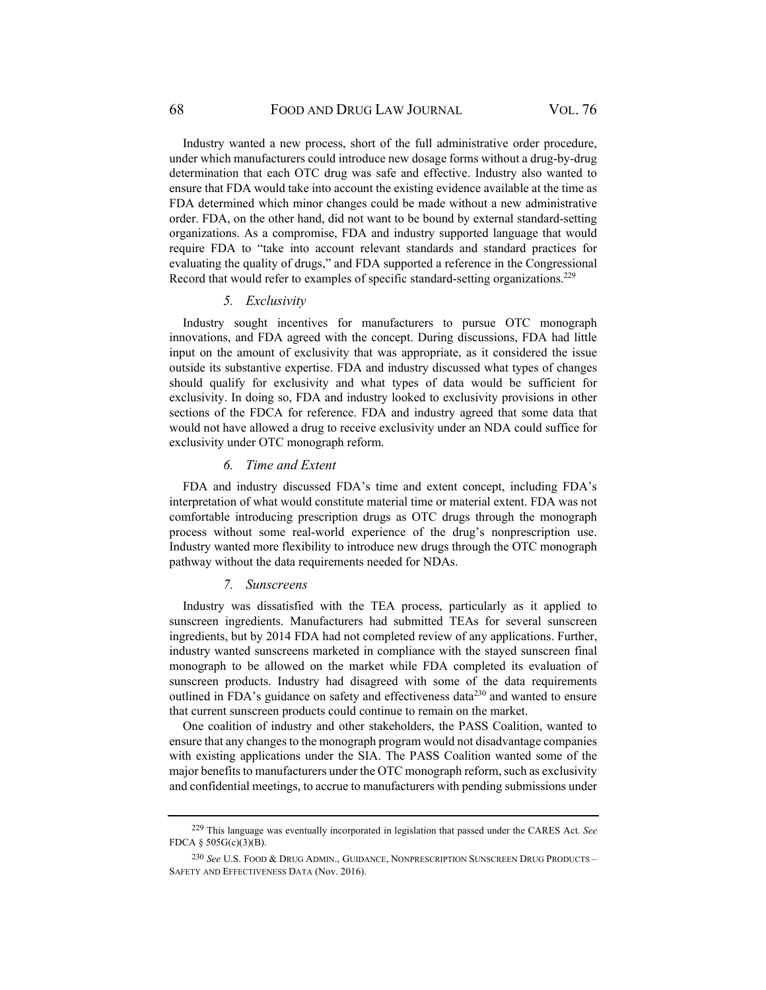Industry wanted a new process, short of the full administrative order procedure, under which manufacturers could introduce new dosage forms without a drug-by-drug determination that each OTC drug was safe and effective. Industry also wanted to ensure that FDA would take into account the existing evidence available at the time as FDA determined which minor changes could be made without a new administrative order. FDA, on the other hand, did not want to be bound by external standard-setting organizations. As a compromise, FDA and industry supported language that would require FDA to "take into account relevant standards and standard practices for evaluating the quality of drugs," and FDA supported a reference in the Congressional Record that would refer to examples of specific standard-setting organizations.229

#### *5. Exclusivity*

Industry sought incentives for manufacturers to pursue OTC monograph innovations, and FDA agreed with the concept. During discussions, FDA had little input on the amount of exclusivity that was appropriate, as it considered the issue outside its substantive expertise. FDA and industry discussed what types of changes should qualify for exclusivity and what types of data would be sufficient for exclusivity. In doing so, FDA and industry looked to exclusivity provisions in other sections of the FDCA for reference. FDA and industry agreed that some data that would not have allowed a drug to receive exclusivity under an NDA could suffice for exclusivity under OTC monograph reform.

#### *6. Time and Extent*

FDA and industry discussed FDA's time and extent concept, including FDA's interpretation of what would constitute material time or material extent. FDA was not comfortable introducing prescription drugs as OTC drugs through the monograph process without some real-world experience of the drug's nonprescription use. Industry wanted more flexibility to introduce new drugs through the OTC monograph pathway without the data requirements needed for NDAs.

### *7. Sunscreens*

Industry was dissatisfied with the TEA process, particularly as it applied to sunscreen ingredients. Manufacturers had submitted TEAs for several sunscreen ingredients, but by 2014 FDA had not completed review of any applications. Further, industry wanted sunscreens marketed in compliance with the stayed sunscreen final monograph to be allowed on the market while FDA completed its evaluation of sunscreen products. Industry had disagreed with some of the data requirements outlined in FDA's guidance on safety and effectiveness data<sup>230</sup> and wanted to ensure that current sunscreen products could continue to remain on the market.

One coalition of industry and other stakeholders, the PASS Coalition, wanted to ensure that any changes to the monograph program would not disadvantage companies with existing applications under the SIA. The PASS Coalition wanted some of the major benefits to manufacturers under the OTC monograph reform, such as exclusivity and confidential meetings, to accrue to manufacturers with pending submissions under

<sup>229</sup> This language was eventually incorporated in legislation that passed under the CARES Act. *See*  FDCA § 505G(c)(3)(B).

<sup>230</sup> *See* U.S. FOOD & DRUG ADMIN., GUIDANCE, NONPRESCRIPTION SUNSCREEN DRUG PRODUCTS – SAFETY AND EFFECTIVENESS DATA (Nov. 2016).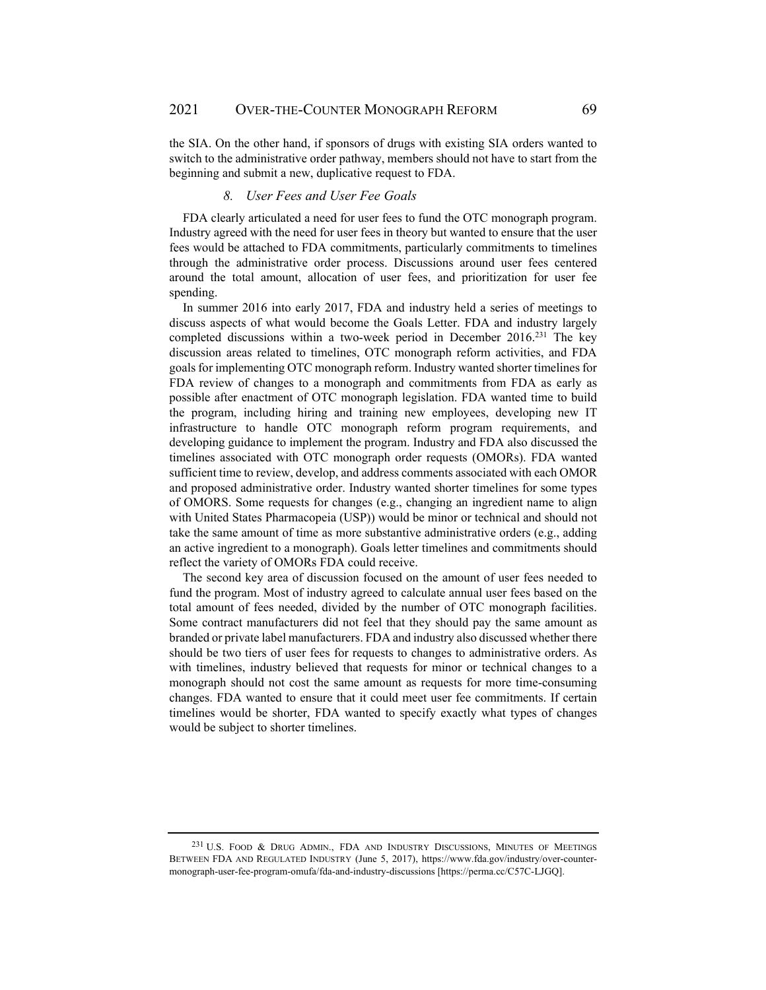the SIA. On the other hand, if sponsors of drugs with existing SIA orders wanted to switch to the administrative order pathway, members should not have to start from the beginning and submit a new, duplicative request to FDA.

### *8. User Fees and User Fee Goals*

FDA clearly articulated a need for user fees to fund the OTC monograph program. Industry agreed with the need for user fees in theory but wanted to ensure that the user fees would be attached to FDA commitments, particularly commitments to timelines through the administrative order process. Discussions around user fees centered around the total amount, allocation of user fees, and prioritization for user fee spending.

In summer 2016 into early 2017, FDA and industry held a series of meetings to discuss aspects of what would become the Goals Letter. FDA and industry largely completed discussions within a two-week period in December 2016.<sup>231</sup> The key discussion areas related to timelines, OTC monograph reform activities, and FDA goals for implementing OTC monograph reform. Industry wanted shorter timelines for FDA review of changes to a monograph and commitments from FDA as early as possible after enactment of OTC monograph legislation. FDA wanted time to build the program, including hiring and training new employees, developing new IT infrastructure to handle OTC monograph reform program requirements, and developing guidance to implement the program. Industry and FDA also discussed the timelines associated with OTC monograph order requests (OMORs). FDA wanted sufficient time to review, develop, and address comments associated with each OMOR and proposed administrative order. Industry wanted shorter timelines for some types of OMORS. Some requests for changes (e.g., changing an ingredient name to align with United States Pharmacopeia (USP)) would be minor or technical and should not take the same amount of time as more substantive administrative orders (e.g., adding an active ingredient to a monograph). Goals letter timelines and commitments should reflect the variety of OMORs FDA could receive.

The second key area of discussion focused on the amount of user fees needed to fund the program. Most of industry agreed to calculate annual user fees based on the total amount of fees needed, divided by the number of OTC monograph facilities. Some contract manufacturers did not feel that they should pay the same amount as branded or private label manufacturers. FDA and industry also discussed whether there should be two tiers of user fees for requests to changes to administrative orders. As with timelines, industry believed that requests for minor or technical changes to a monograph should not cost the same amount as requests for more time-consuming changes. FDA wanted to ensure that it could meet user fee commitments. If certain timelines would be shorter, FDA wanted to specify exactly what types of changes would be subject to shorter timelines.

<sup>231</sup> U.S. FOOD & DRUG ADMIN., FDA AND INDUSTRY DISCUSSIONS, MINUTES OF MEETINGS BETWEEN FDA AND REGULATED INDUSTRY (June 5, 2017), https://www.fda.gov/industry/over-countermonograph-user-fee-program-omufa/fda-and-industry-discussions [https://perma.cc/C57C-LJGQ].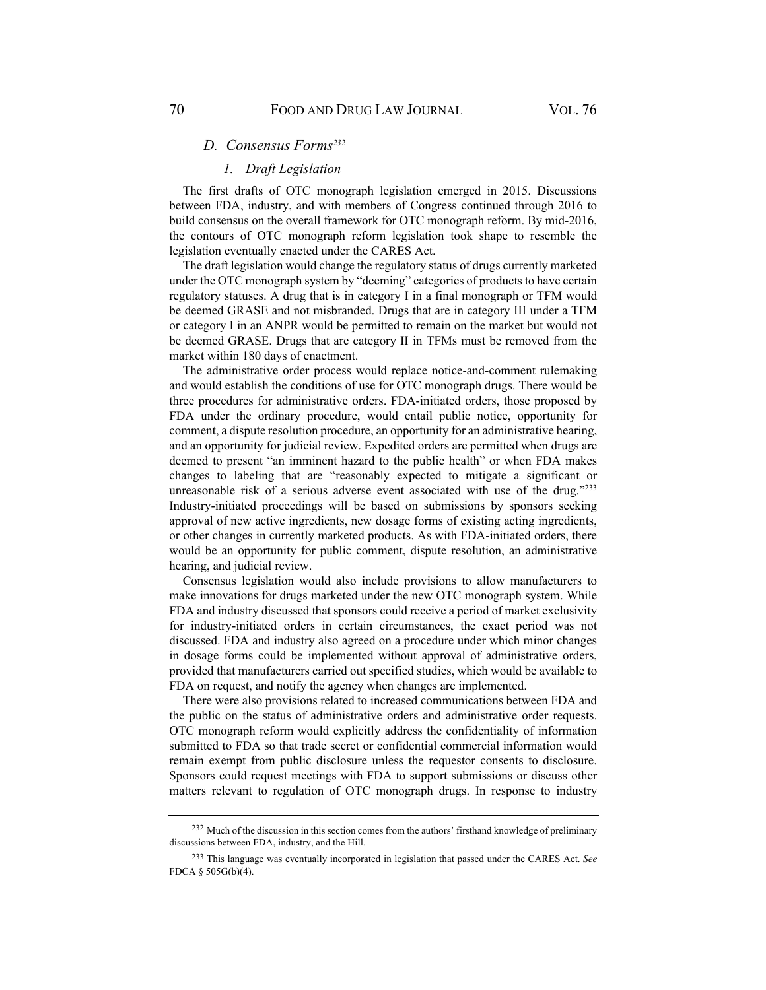#### *D. Consensus Forms232*

# *1. Draft Legislation*

The first drafts of OTC monograph legislation emerged in 2015. Discussions between FDA, industry, and with members of Congress continued through 2016 to build consensus on the overall framework for OTC monograph reform. By mid-2016, the contours of OTC monograph reform legislation took shape to resemble the legislation eventually enacted under the CARES Act.

The draft legislation would change the regulatory status of drugs currently marketed under the OTC monograph system by "deeming" categories of products to have certain regulatory statuses. A drug that is in category I in a final monograph or TFM would be deemed GRASE and not misbranded. Drugs that are in category III under a TFM or category I in an ANPR would be permitted to remain on the market but would not be deemed GRASE. Drugs that are category II in TFMs must be removed from the market within 180 days of enactment.

The administrative order process would replace notice-and-comment rulemaking and would establish the conditions of use for OTC monograph drugs. There would be three procedures for administrative orders. FDA-initiated orders, those proposed by FDA under the ordinary procedure, would entail public notice, opportunity for comment, a dispute resolution procedure, an opportunity for an administrative hearing, and an opportunity for judicial review. Expedited orders are permitted when drugs are deemed to present "an imminent hazard to the public health" or when FDA makes changes to labeling that are "reasonably expected to mitigate a significant or unreasonable risk of a serious adverse event associated with use of the drug."233 Industry-initiated proceedings will be based on submissions by sponsors seeking approval of new active ingredients, new dosage forms of existing acting ingredients, or other changes in currently marketed products. As with FDA-initiated orders, there would be an opportunity for public comment, dispute resolution, an administrative hearing, and judicial review.

Consensus legislation would also include provisions to allow manufacturers to make innovations for drugs marketed under the new OTC monograph system. While FDA and industry discussed that sponsors could receive a period of market exclusivity for industry-initiated orders in certain circumstances, the exact period was not discussed. FDA and industry also agreed on a procedure under which minor changes in dosage forms could be implemented without approval of administrative orders, provided that manufacturers carried out specified studies, which would be available to FDA on request, and notify the agency when changes are implemented.

There were also provisions related to increased communications between FDA and the public on the status of administrative orders and administrative order requests. OTC monograph reform would explicitly address the confidentiality of information submitted to FDA so that trade secret or confidential commercial information would remain exempt from public disclosure unless the requestor consents to disclosure. Sponsors could request meetings with FDA to support submissions or discuss other matters relevant to regulation of OTC monograph drugs. In response to industry

<sup>232</sup> Much of the discussion in this section comes from the authors' firsthand knowledge of preliminary discussions between FDA, industry, and the Hill.

<sup>233</sup> This language was eventually incorporated in legislation that passed under the CARES Act. *See*  FDCA § 505G(b)(4).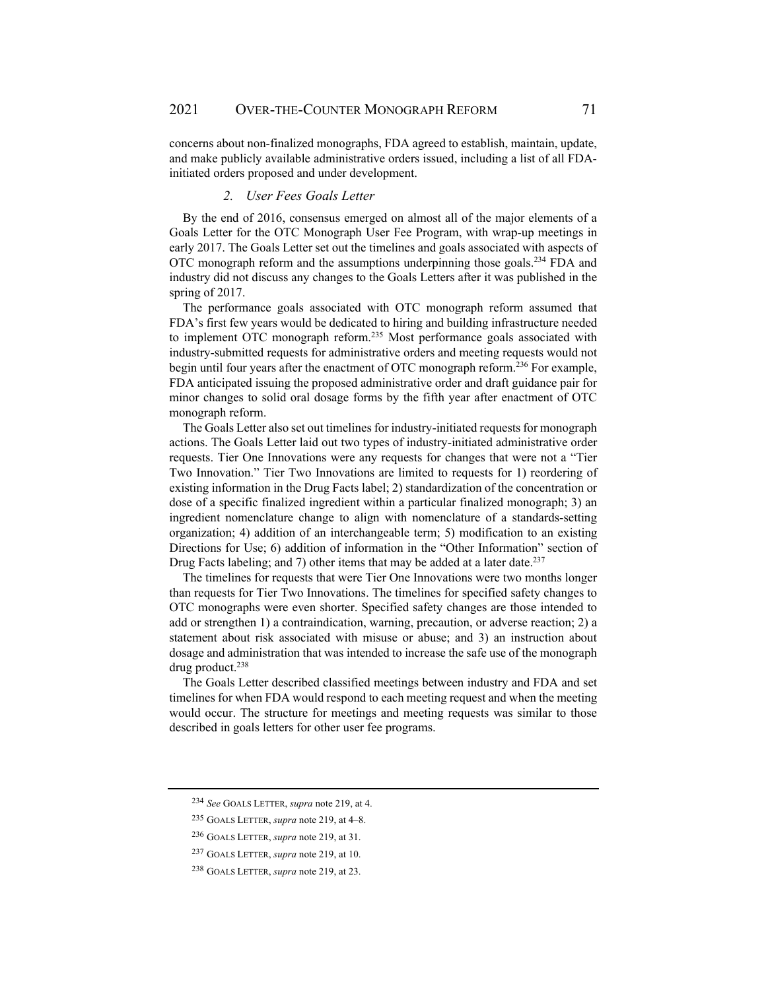concerns about non-finalized monographs, FDA agreed to establish, maintain, update, and make publicly available administrative orders issued, including a list of all FDAinitiated orders proposed and under development.

### *2. User Fees Goals Letter*

By the end of 2016, consensus emerged on almost all of the major elements of a Goals Letter for the OTC Monograph User Fee Program, with wrap-up meetings in early 2017. The Goals Letter set out the timelines and goals associated with aspects of OTC monograph reform and the assumptions underpinning those goals.234 FDA and industry did not discuss any changes to the Goals Letters after it was published in the spring of 2017.

The performance goals associated with OTC monograph reform assumed that FDA's first few years would be dedicated to hiring and building infrastructure needed to implement OTC monograph reform.235 Most performance goals associated with industry-submitted requests for administrative orders and meeting requests would not begin until four years after the enactment of OTC monograph reform.<sup>236</sup> For example, FDA anticipated issuing the proposed administrative order and draft guidance pair for minor changes to solid oral dosage forms by the fifth year after enactment of OTC monograph reform.

The Goals Letter also set out timelines for industry-initiated requests for monograph actions. The Goals Letter laid out two types of industry-initiated administrative order requests. Tier One Innovations were any requests for changes that were not a "Tier Two Innovation." Tier Two Innovations are limited to requests for 1) reordering of existing information in the Drug Facts label; 2) standardization of the concentration or dose of a specific finalized ingredient within a particular finalized monograph; 3) an ingredient nomenclature change to align with nomenclature of a standards-setting organization; 4) addition of an interchangeable term; 5) modification to an existing Directions for Use; 6) addition of information in the "Other Information" section of Drug Facts labeling; and 7) other items that may be added at a later date.<sup>237</sup>

The timelines for requests that were Tier One Innovations were two months longer than requests for Tier Two Innovations. The timelines for specified safety changes to OTC monographs were even shorter. Specified safety changes are those intended to add or strengthen 1) a contraindication, warning, precaution, or adverse reaction; 2) a statement about risk associated with misuse or abuse; and 3) an instruction about dosage and administration that was intended to increase the safe use of the monograph drug product.<sup>238</sup>

The Goals Letter described classified meetings between industry and FDA and set timelines for when FDA would respond to each meeting request and when the meeting would occur. The structure for meetings and meeting requests was similar to those described in goals letters for other user fee programs.

<sup>234</sup> *See* GOALS LETTER, *supra* note 219, at 4.

<sup>235</sup> GOALS LETTER, *supra* note 219, at 4–8.

<sup>236</sup> GOALS LETTER, *supra* note 219, at 31.

<sup>237</sup> GOALS LETTER, *supra* note 219, at 10.

<sup>238</sup> GOALS LETTER, *supra* note 219, at 23.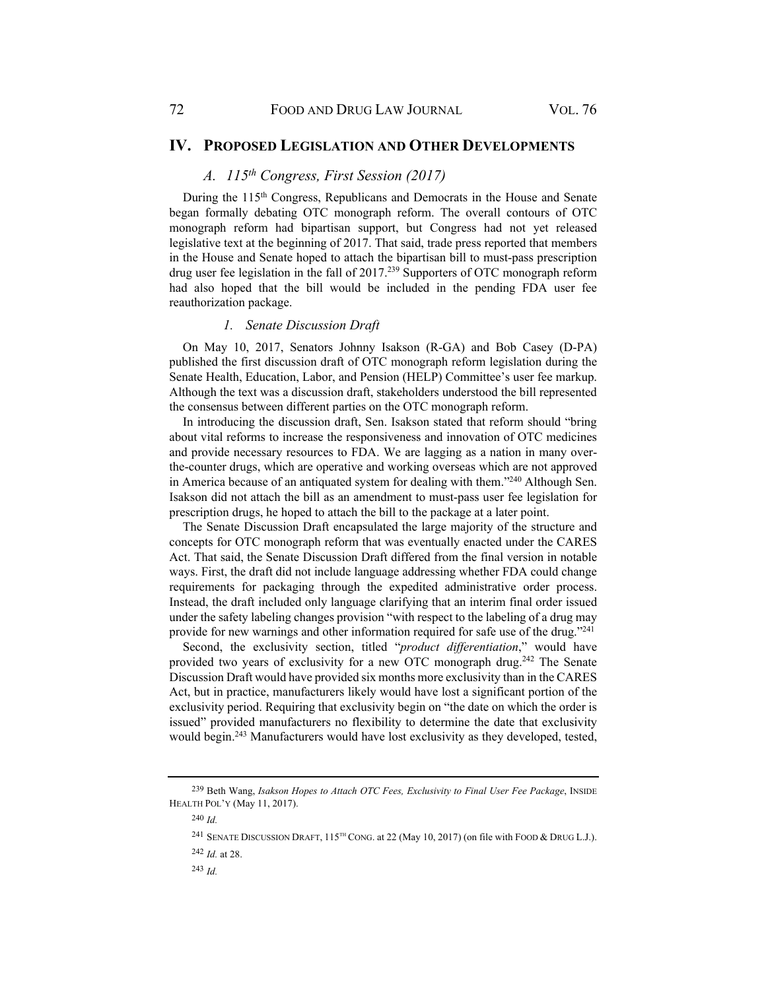### **IV. PROPOSED LEGISLATION AND OTHER DEVELOPMENTS**

# *A. 115th Congress, First Session (2017)*

During the 115<sup>th</sup> Congress, Republicans and Democrats in the House and Senate began formally debating OTC monograph reform. The overall contours of OTC monograph reform had bipartisan support, but Congress had not yet released legislative text at the beginning of 2017. That said, trade press reported that members in the House and Senate hoped to attach the bipartisan bill to must-pass prescription drug user fee legislation in the fall of 2017.239 Supporters of OTC monograph reform had also hoped that the bill would be included in the pending FDA user fee reauthorization package.

#### *1. Senate Discussion Draft*

On May 10, 2017, Senators Johnny Isakson (R-GA) and Bob Casey (D-PA) published the first discussion draft of OTC monograph reform legislation during the Senate Health, Education, Labor, and Pension (HELP) Committee's user fee markup. Although the text was a discussion draft, stakeholders understood the bill represented the consensus between different parties on the OTC monograph reform.

In introducing the discussion draft, Sen. Isakson stated that reform should "bring about vital reforms to increase the responsiveness and innovation of OTC medicines and provide necessary resources to FDA. We are lagging as a nation in many overthe-counter drugs, which are operative and working overseas which are not approved in America because of an antiquated system for dealing with them."240 Although Sen. Isakson did not attach the bill as an amendment to must-pass user fee legislation for prescription drugs, he hoped to attach the bill to the package at a later point.

The Senate Discussion Draft encapsulated the large majority of the structure and concepts for OTC monograph reform that was eventually enacted under the CARES Act. That said, the Senate Discussion Draft differed from the final version in notable ways. First, the draft did not include language addressing whether FDA could change requirements for packaging through the expedited administrative order process. Instead, the draft included only language clarifying that an interim final order issued under the safety labeling changes provision "with respect to the labeling of a drug may provide for new warnings and other information required for safe use of the drug."241

Second, the exclusivity section, titled "*product differentiation*," would have provided two years of exclusivity for a new OTC monograph drug.<sup>242</sup> The Senate Discussion Draft would have provided six months more exclusivity than in the CARES Act, but in practice, manufacturers likely would have lost a significant portion of the exclusivity period. Requiring that exclusivity begin on "the date on which the order is issued" provided manufacturers no flexibility to determine the date that exclusivity would begin.243 Manufacturers would have lost exclusivity as they developed, tested,

<sup>239</sup> Beth Wang, *Isakson Hopes to Attach OTC Fees, Exclusivity to Final User Fee Package*, INSIDE HEALTH POL'Y (May 11, 2017).

<sup>240</sup> *Id.*

<sup>241</sup> SENATE DISCUSSION DRAFT, 115TH CONG. at 22 (May 10, 2017) (on file with FOOD & DRUG L.J.).

<sup>242</sup> *Id.* at 28.

<sup>243</sup> *Id.*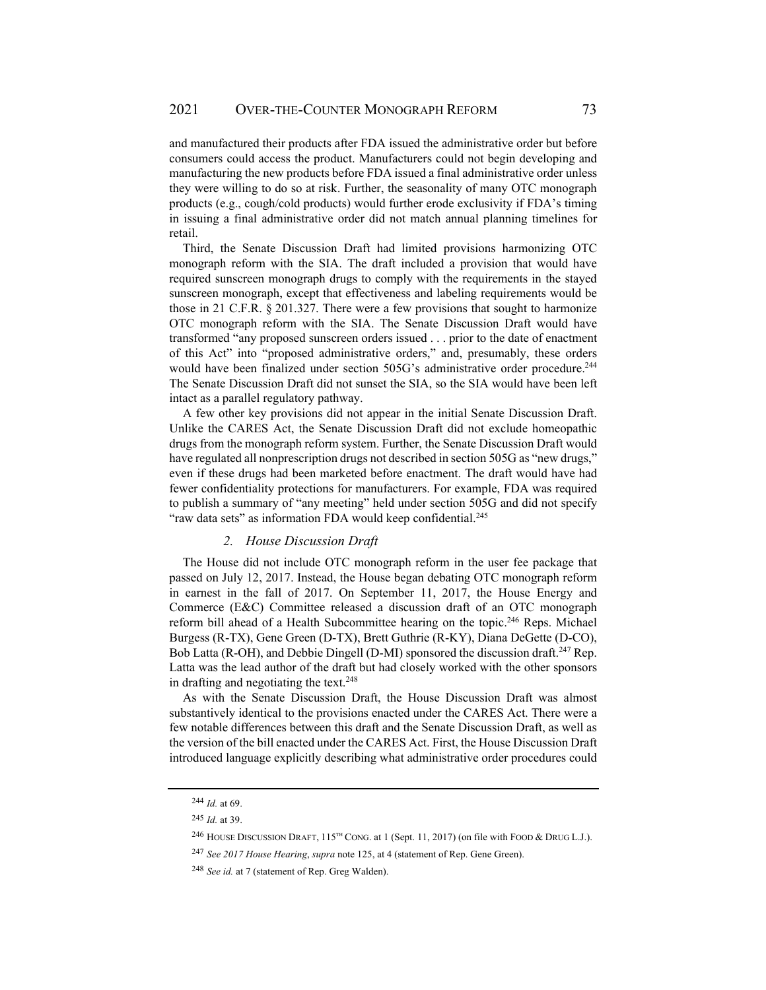and manufactured their products after FDA issued the administrative order but before consumers could access the product. Manufacturers could not begin developing and manufacturing the new products before FDA issued a final administrative order unless they were willing to do so at risk. Further, the seasonality of many OTC monograph products (e.g., cough/cold products) would further erode exclusivity if FDA's timing in issuing a final administrative order did not match annual planning timelines for retail.

Third, the Senate Discussion Draft had limited provisions harmonizing OTC monograph reform with the SIA. The draft included a provision that would have required sunscreen monograph drugs to comply with the requirements in the stayed sunscreen monograph, except that effectiveness and labeling requirements would be those in 21 C.F.R. § 201.327. There were a few provisions that sought to harmonize OTC monograph reform with the SIA. The Senate Discussion Draft would have transformed "any proposed sunscreen orders issued . . . prior to the date of enactment of this Act" into "proposed administrative orders," and, presumably, these orders would have been finalized under section 505G's administrative order procedure.244 The Senate Discussion Draft did not sunset the SIA, so the SIA would have been left intact as a parallel regulatory pathway.

A few other key provisions did not appear in the initial Senate Discussion Draft. Unlike the CARES Act, the Senate Discussion Draft did not exclude homeopathic drugs from the monograph reform system. Further, the Senate Discussion Draft would have regulated all nonprescription drugs not described in section 505G as "new drugs," even if these drugs had been marketed before enactment. The draft would have had fewer confidentiality protections for manufacturers. For example, FDA was required to publish a summary of "any meeting" held under section 505G and did not specify "raw data sets" as information FDA would keep confidential.<sup>245</sup>

#### *2. House Discussion Draft*

The House did not include OTC monograph reform in the user fee package that passed on July 12, 2017. Instead, the House began debating OTC monograph reform in earnest in the fall of 2017. On September 11, 2017, the House Energy and Commerce (E&C) Committee released a discussion draft of an OTC monograph reform bill ahead of a Health Subcommittee hearing on the topic.<sup>246</sup> Reps. Michael Burgess (R-TX), Gene Green (D-TX), Brett Guthrie (R-KY), Diana DeGette (D-CO), Bob Latta (R-OH), and Debbie Dingell (D-MI) sponsored the discussion draft.<sup>247</sup> Rep. Latta was the lead author of the draft but had closely worked with the other sponsors in drafting and negotiating the text.<sup>248</sup>

As with the Senate Discussion Draft, the House Discussion Draft was almost substantively identical to the provisions enacted under the CARES Act. There were a few notable differences between this draft and the Senate Discussion Draft, as well as the version of the bill enacted under the CARES Act. First, the House Discussion Draft introduced language explicitly describing what administrative order procedures could

<sup>244</sup> *Id.* at 69.

<sup>245</sup> *Id.* at 39.

<sup>246</sup> HOUSE DISCUSSION DRAFT, 115<sup>TH</sup> CONG. at 1 (Sept. 11, 2017) (on file with FOOD & DRUG L.J.).

<sup>247</sup> *See 2017 House Hearing*, *supra* note 125, at 4 (statement of Rep. Gene Green).

<sup>248</sup> *See id.* at 7 (statement of Rep. Greg Walden).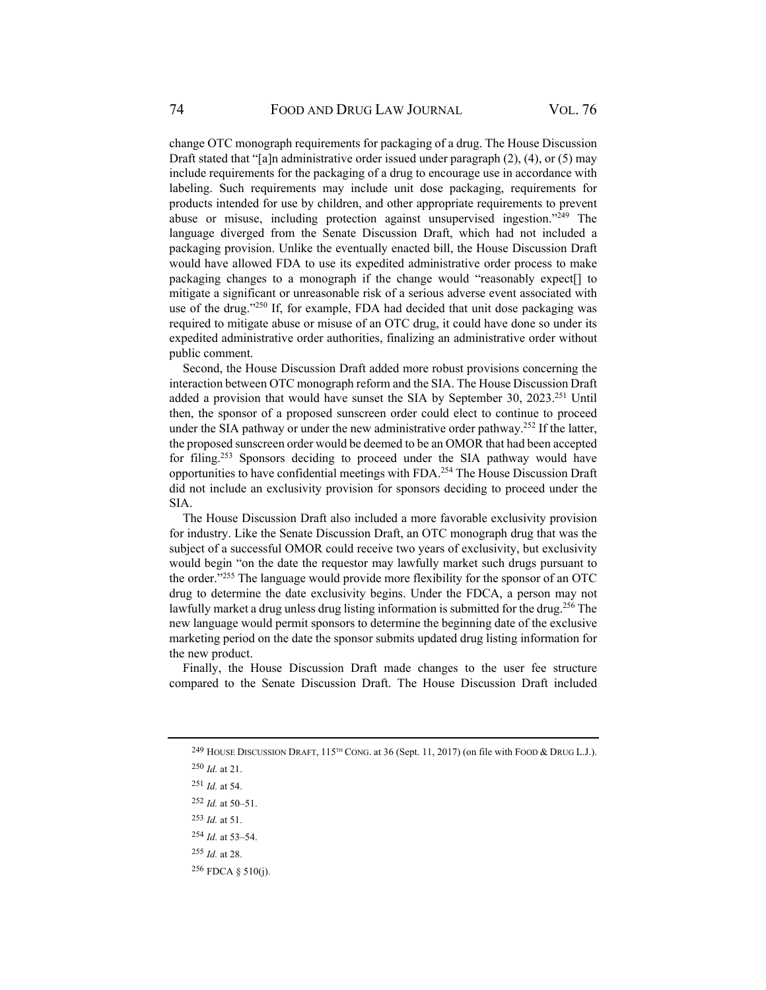change OTC monograph requirements for packaging of a drug. The House Discussion Draft stated that "[a]n administrative order issued under paragraph  $(2)$ ,  $(4)$ , or  $(5)$  may include requirements for the packaging of a drug to encourage use in accordance with labeling. Such requirements may include unit dose packaging, requirements for products intended for use by children, and other appropriate requirements to prevent abuse or misuse, including protection against unsupervised ingestion."249 The language diverged from the Senate Discussion Draft, which had not included a packaging provision. Unlike the eventually enacted bill, the House Discussion Draft would have allowed FDA to use its expedited administrative order process to make packaging changes to a monograph if the change would "reasonably expect[] to mitigate a significant or unreasonable risk of a serious adverse event associated with use of the drug."250 If, for example, FDA had decided that unit dose packaging was required to mitigate abuse or misuse of an OTC drug, it could have done so under its expedited administrative order authorities, finalizing an administrative order without public comment.

Second, the House Discussion Draft added more robust provisions concerning the interaction between OTC monograph reform and the SIA. The House Discussion Draft added a provision that would have sunset the SIA by September 30, 2023.<sup>251</sup> Until then, the sponsor of a proposed sunscreen order could elect to continue to proceed under the SIA pathway or under the new administrative order pathway.<sup>252</sup> If the latter, the proposed sunscreen order would be deemed to be an OMOR that had been accepted for filing.<sup>253</sup> Sponsors deciding to proceed under the SIA pathway would have opportunities to have confidential meetings with FDA.254 The House Discussion Draft did not include an exclusivity provision for sponsors deciding to proceed under the SIA.

The House Discussion Draft also included a more favorable exclusivity provision for industry. Like the Senate Discussion Draft, an OTC monograph drug that was the subject of a successful OMOR could receive two years of exclusivity, but exclusivity would begin "on the date the requestor may lawfully market such drugs pursuant to the order."255 The language would provide more flexibility for the sponsor of an OTC drug to determine the date exclusivity begins. Under the FDCA, a person may not lawfully market a drug unless drug listing information is submitted for the drug.<sup>256</sup> The new language would permit sponsors to determine the beginning date of the exclusive marketing period on the date the sponsor submits updated drug listing information for the new product.

Finally, the House Discussion Draft made changes to the user fee structure compared to the Senate Discussion Draft. The House Discussion Draft included

<sup>&</sup>lt;sup>249</sup> HOUSE DISCUSSION DRAFT,  $115^{TH}$  CONG. at 36 (Sept. 11, 2017) (on file with FOOD & DRUG L.J.).

<sup>250</sup> *Id.* at 21.

<sup>251</sup> *Id.* at 54.

<sup>252</sup> *Id.* at 50–51.

<sup>253</sup> *Id.* at 51.

<sup>254</sup> *Id.* at 53–54.

<sup>255</sup> *Id.* at 28.

 $256$  FDCA § 510(j).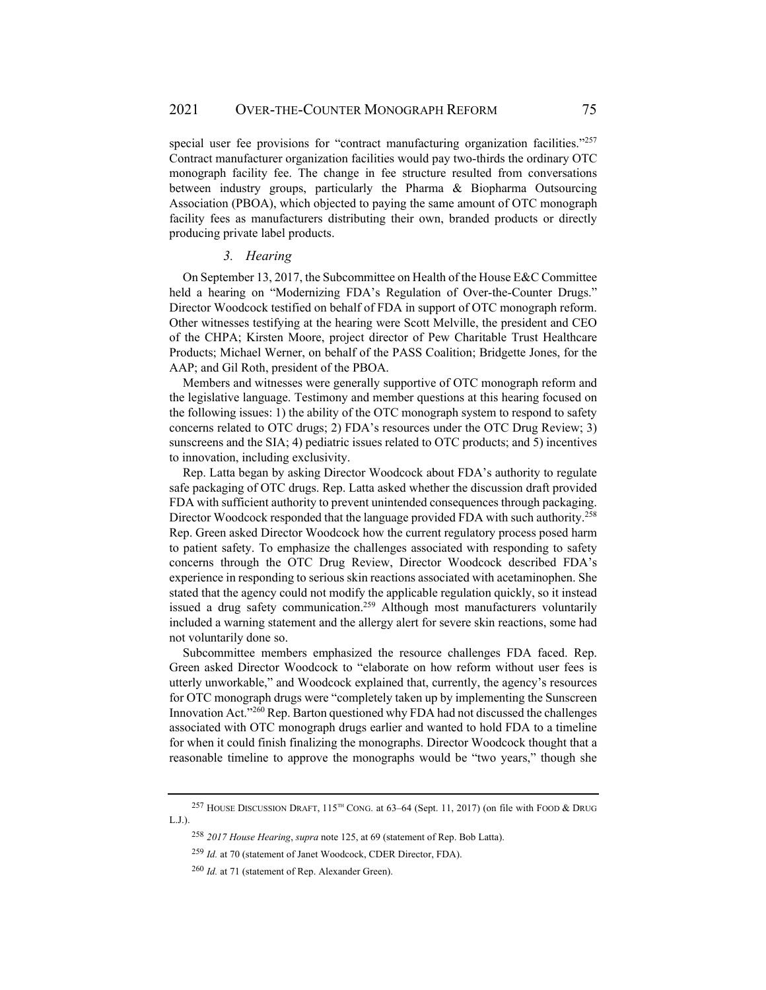special user fee provisions for "contract manufacturing organization facilities."<sup>257</sup> Contract manufacturer organization facilities would pay two-thirds the ordinary OTC monograph facility fee. The change in fee structure resulted from conversations between industry groups, particularly the Pharma & Biopharma Outsourcing Association (PBOA), which objected to paying the same amount of OTC monograph facility fees as manufacturers distributing their own, branded products or directly producing private label products.

#### *3. Hearing*

On September 13, 2017, the Subcommittee on Health of the House E&C Committee held a hearing on "Modernizing FDA's Regulation of Over-the-Counter Drugs." Director Woodcock testified on behalf of FDA in support of OTC monograph reform. Other witnesses testifying at the hearing were Scott Melville, the president and CEO of the CHPA; Kirsten Moore, project director of Pew Charitable Trust Healthcare Products; Michael Werner, on behalf of the PASS Coalition; Bridgette Jones, for the AAP; and Gil Roth, president of the PBOA.

Members and witnesses were generally supportive of OTC monograph reform and the legislative language. Testimony and member questions at this hearing focused on the following issues: 1) the ability of the OTC monograph system to respond to safety concerns related to OTC drugs; 2) FDA's resources under the OTC Drug Review; 3) sunscreens and the SIA; 4) pediatric issues related to OTC products; and 5) incentives to innovation, including exclusivity.

Rep. Latta began by asking Director Woodcock about FDA's authority to regulate safe packaging of OTC drugs. Rep. Latta asked whether the discussion draft provided FDA with sufficient authority to prevent unintended consequences through packaging. Director Woodcock responded that the language provided FDA with such authority.<sup>258</sup> Rep. Green asked Director Woodcock how the current regulatory process posed harm to patient safety. To emphasize the challenges associated with responding to safety concerns through the OTC Drug Review, Director Woodcock described FDA's experience in responding to serious skin reactions associated with acetaminophen. She stated that the agency could not modify the applicable regulation quickly, so it instead issued a drug safety communication.<sup>259</sup> Although most manufacturers voluntarily included a warning statement and the allergy alert for severe skin reactions, some had not voluntarily done so.

Subcommittee members emphasized the resource challenges FDA faced. Rep. Green asked Director Woodcock to "elaborate on how reform without user fees is utterly unworkable," and Woodcock explained that, currently, the agency's resources for OTC monograph drugs were "completely taken up by implementing the Sunscreen Innovation Act."260 Rep. Barton questioned why FDA had not discussed the challenges associated with OTC monograph drugs earlier and wanted to hold FDA to a timeline for when it could finish finalizing the monographs. Director Woodcock thought that a reasonable timeline to approve the monographs would be "two years," though she

<sup>&</sup>lt;sup>257</sup> HOUSE DISCUSSION DRAFT,  $115^{TH}$  CONG. at 63–64 (Sept. 11, 2017) (on file with FOOD & DRUG L.J.).

<sup>258</sup> *2017 House Hearing*, *supra* note 125, at 69 (statement of Rep. Bob Latta).

<sup>259</sup> *Id.* at 70 (statement of Janet Woodcock, CDER Director, FDA).

<sup>260</sup> *Id.* at 71 (statement of Rep. Alexander Green).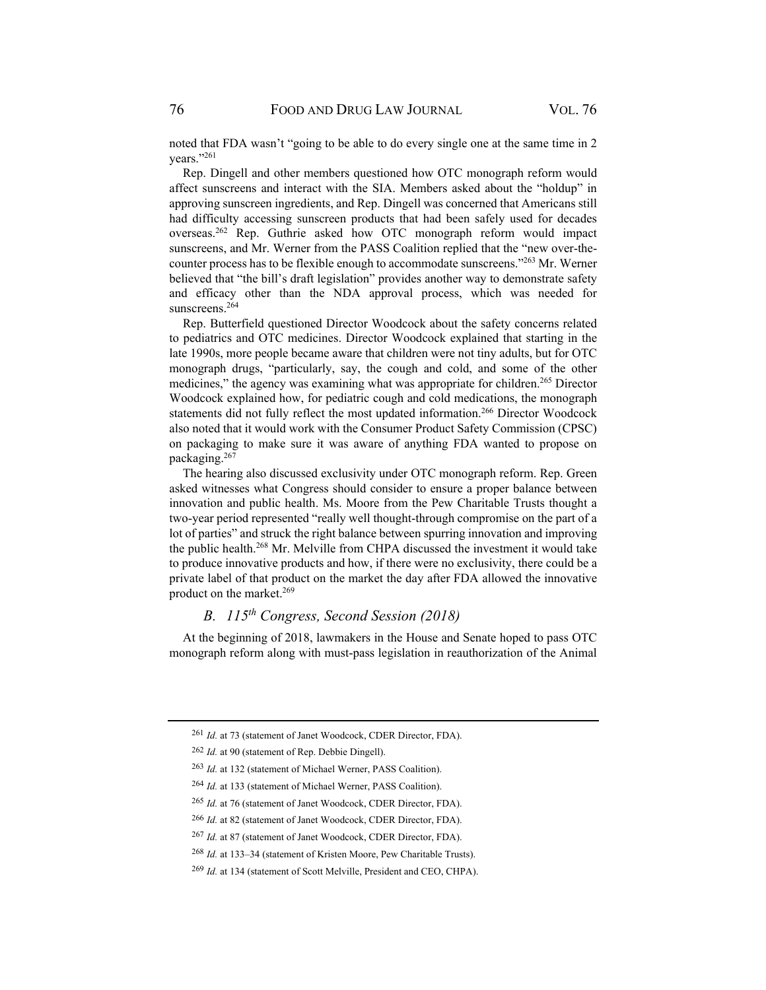noted that FDA wasn't "going to be able to do every single one at the same time in 2 years."261

Rep. Dingell and other members questioned how OTC monograph reform would affect sunscreens and interact with the SIA. Members asked about the "holdup" in approving sunscreen ingredients, and Rep. Dingell was concerned that Americans still had difficulty accessing sunscreen products that had been safely used for decades overseas.262 Rep. Guthrie asked how OTC monograph reform would impact sunscreens, and Mr. Werner from the PASS Coalition replied that the "new over-thecounter process has to be flexible enough to accommodate sunscreens."263 Mr. Werner believed that "the bill's draft legislation" provides another way to demonstrate safety and efficacy other than the NDA approval process, which was needed for sunscreens.<sup>264</sup>

Rep. Butterfield questioned Director Woodcock about the safety concerns related to pediatrics and OTC medicines. Director Woodcock explained that starting in the late 1990s, more people became aware that children were not tiny adults, but for OTC monograph drugs, "particularly, say, the cough and cold, and some of the other medicines," the agency was examining what was appropriate for children.<sup>265</sup> Director Woodcock explained how, for pediatric cough and cold medications, the monograph statements did not fully reflect the most updated information.266 Director Woodcock also noted that it would work with the Consumer Product Safety Commission (CPSC) on packaging to make sure it was aware of anything FDA wanted to propose on packaging.267

The hearing also discussed exclusivity under OTC monograph reform. Rep. Green asked witnesses what Congress should consider to ensure a proper balance between innovation and public health. Ms. Moore from the Pew Charitable Trusts thought a two-year period represented "really well thought-through compromise on the part of a lot of parties" and struck the right balance between spurring innovation and improving the public health.268 Mr. Melville from CHPA discussed the investment it would take to produce innovative products and how, if there were no exclusivity, there could be a private label of that product on the market the day after FDA allowed the innovative product on the market.<sup>269</sup>

# *B. 115th Congress, Second Session (2018)*

At the beginning of 2018, lawmakers in the House and Senate hoped to pass OTC monograph reform along with must-pass legislation in reauthorization of the Animal

<sup>261</sup> *Id.* at 73 (statement of Janet Woodcock, CDER Director, FDA).

<sup>262</sup> *Id.* at 90 (statement of Rep. Debbie Dingell).

<sup>263</sup> *Id.* at 132 (statement of Michael Werner, PASS Coalition).

<sup>264</sup> *Id.* at 133 (statement of Michael Werner, PASS Coalition).

<sup>265</sup> *Id.* at 76 (statement of Janet Woodcock, CDER Director, FDA).

<sup>266</sup> *Id.* at 82 (statement of Janet Woodcock, CDER Director, FDA).

<sup>267</sup> *Id.* at 87 (statement of Janet Woodcock, CDER Director, FDA).

<sup>268</sup> *Id.* at 133–34 (statement of Kristen Moore, Pew Charitable Trusts).

<sup>269</sup> *Id.* at 134 (statement of Scott Melville, President and CEO, CHPA).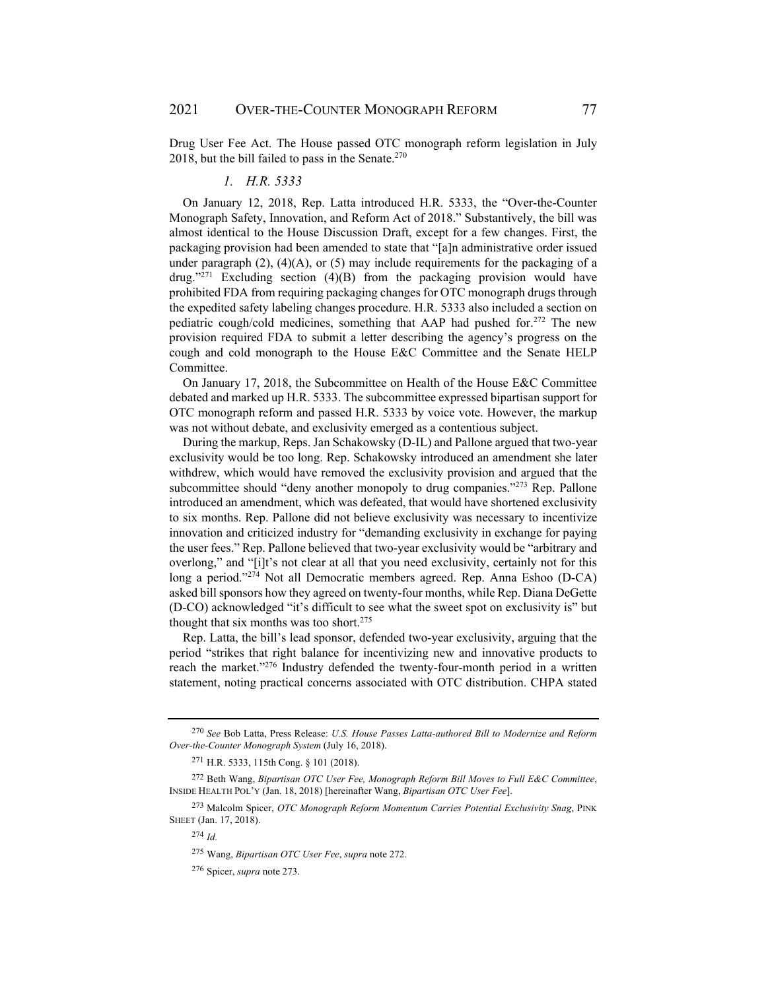Drug User Fee Act. The House passed OTC monograph reform legislation in July 2018, but the bill failed to pass in the Senate. $270$ 

#### *1. H.R. 5333*

On January 12, 2018, Rep. Latta introduced H.R. 5333, the "Over-the-Counter Monograph Safety, Innovation, and Reform Act of 2018." Substantively, the bill was almost identical to the House Discussion Draft, except for a few changes. First, the packaging provision had been amended to state that "[a]n administrative order issued under paragraph  $(2)$ ,  $(4)(A)$ , or  $(5)$  may include requirements for the packaging of a drug."271 Excluding section (4)(B) from the packaging provision would have prohibited FDA from requiring packaging changes for OTC monograph drugs through the expedited safety labeling changes procedure. H.R. 5333 also included a section on pediatric cough/cold medicines, something that AAP had pushed for.<sup>272</sup> The new provision required FDA to submit a letter describing the agency's progress on the cough and cold monograph to the House E&C Committee and the Senate HELP Committee.

On January 17, 2018, the Subcommittee on Health of the House E&C Committee debated and marked up H.R. 5333. The subcommittee expressed bipartisan support for OTC monograph reform and passed H.R. 5333 by voice vote. However, the markup was not without debate, and exclusivity emerged as a contentious subject.

During the markup, Reps. Jan Schakowsky (D-IL) and Pallone argued that two-year exclusivity would be too long. Rep. Schakowsky introduced an amendment she later withdrew, which would have removed the exclusivity provision and argued that the subcommittee should "deny another monopoly to drug companies."<sup>273</sup> Rep. Pallone introduced an amendment, which was defeated, that would have shortened exclusivity to six months. Rep. Pallone did not believe exclusivity was necessary to incentivize innovation and criticized industry for "demanding exclusivity in exchange for paying the user fees." Rep. Pallone believed that two-year exclusivity would be "arbitrary and overlong," and "[i]t's not clear at all that you need exclusivity, certainly not for this long a period."274 Not all Democratic members agreed. Rep. Anna Eshoo (D-CA) asked bill sponsors how they agreed on twenty-four months, while Rep. Diana DeGette (D-CO) acknowledged "it's difficult to see what the sweet spot on exclusivity is" but thought that six months was too short.<sup>275</sup>

Rep. Latta, the bill's lead sponsor, defended two-year exclusivity, arguing that the period "strikes that right balance for incentivizing new and innovative products to reach the market."276 Industry defended the twenty-four-month period in a written statement, noting practical concerns associated with OTC distribution. CHPA stated

<sup>270</sup> *See* Bob Latta, Press Release: *U.S. House Passes Latta-authored Bill to Modernize and Reform Over-the-Counter Monograph System* (July 16, 2018).

<sup>271</sup> H.R. 5333, 115th Cong. § 101 (2018).

<sup>272</sup> Beth Wang, *Bipartisan OTC User Fee, Monograph Reform Bill Moves to Full E&C Committee*, INSIDE HEALTH POL'Y (Jan. 18, 2018) [hereinafter Wang, *Bipartisan OTC User Fee*].

<sup>273</sup> Malcolm Spicer, *OTC Monograph Reform Momentum Carries Potential Exclusivity Snag*, PINK SHEET (Jan. 17, 2018).

<sup>274</sup> *Id.*

<sup>275</sup> Wang, *Bipartisan OTC User Fee*, *supra* note 272.

<sup>276</sup> Spicer, *supra* note 273.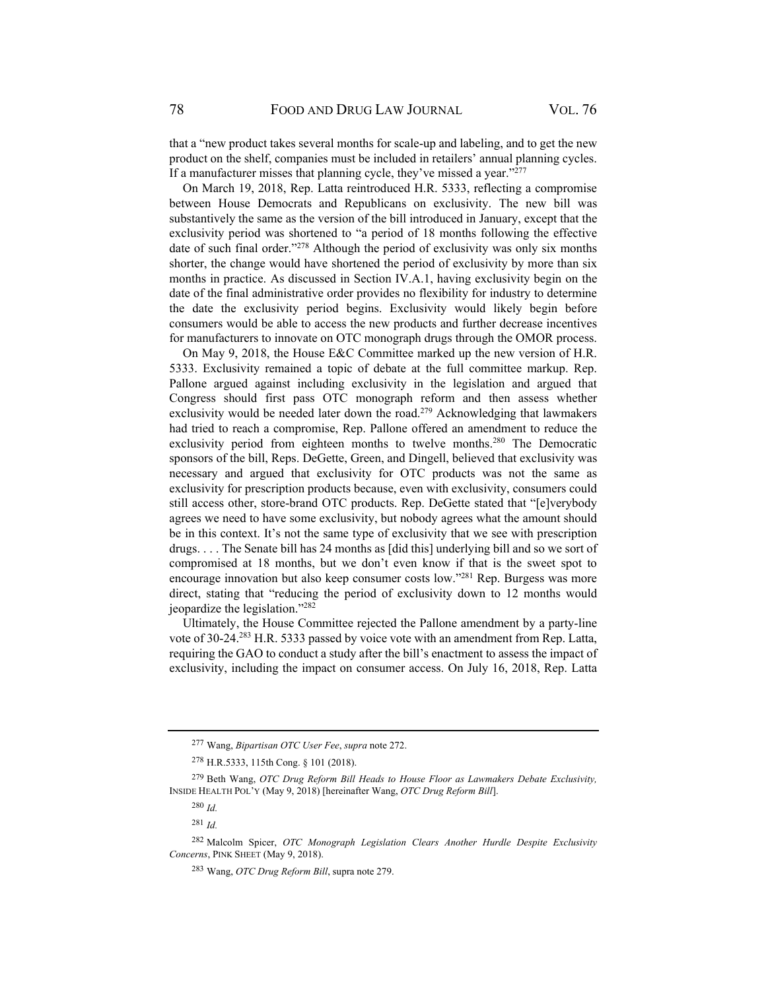that a "new product takes several months for scale-up and labeling, and to get the new product on the shelf, companies must be included in retailers' annual planning cycles. If a manufacturer misses that planning cycle, they've missed a year."<sup>277</sup>

On March 19, 2018, Rep. Latta reintroduced H.R. 5333, reflecting a compromise between House Democrats and Republicans on exclusivity. The new bill was substantively the same as the version of the bill introduced in January, except that the exclusivity period was shortened to "a period of 18 months following the effective date of such final order."<sup>278</sup> Although the period of exclusivity was only six months shorter, the change would have shortened the period of exclusivity by more than six months in practice. As discussed in Section IV.A.1, having exclusivity begin on the date of the final administrative order provides no flexibility for industry to determine the date the exclusivity period begins. Exclusivity would likely begin before consumers would be able to access the new products and further decrease incentives for manufacturers to innovate on OTC monograph drugs through the OMOR process.

On May 9, 2018, the House E&C Committee marked up the new version of H.R. 5333. Exclusivity remained a topic of debate at the full committee markup. Rep. Pallone argued against including exclusivity in the legislation and argued that Congress should first pass OTC monograph reform and then assess whether exclusivity would be needed later down the road.<sup>279</sup> Acknowledging that lawmakers had tried to reach a compromise, Rep. Pallone offered an amendment to reduce the exclusivity period from eighteen months to twelve months.<sup>280</sup> The Democratic sponsors of the bill, Reps. DeGette, Green, and Dingell, believed that exclusivity was necessary and argued that exclusivity for OTC products was not the same as exclusivity for prescription products because, even with exclusivity, consumers could still access other, store-brand OTC products. Rep. DeGette stated that "[e]verybody agrees we need to have some exclusivity, but nobody agrees what the amount should be in this context. It's not the same type of exclusivity that we see with prescription drugs. . . . The Senate bill has 24 months as [did this] underlying bill and so we sort of compromised at 18 months, but we don't even know if that is the sweet spot to encourage innovation but also keep consumer costs low."281 Rep. Burgess was more direct, stating that "reducing the period of exclusivity down to 12 months would jeopardize the legislation."282

Ultimately, the House Committee rejected the Pallone amendment by a party-line vote of 30-24.283 H.R. 5333 passed by voice vote with an amendment from Rep. Latta, requiring the GAO to conduct a study after the bill's enactment to assess the impact of exclusivity, including the impact on consumer access. On July 16, 2018, Rep. Latta

<sup>277</sup> Wang, *Bipartisan OTC User Fee*, *supra* note 272.

<sup>278</sup> H.R.5333, 115th Cong. § 101 (2018).

<sup>279</sup> Beth Wang, *OTC Drug Reform Bill Heads to House Floor as Lawmakers Debate Exclusivity,* INSIDE HEALTH POL'Y (May 9, 2018) [hereinafter Wang, *OTC Drug Reform Bill*].

<sup>280</sup> *Id.*

<sup>281</sup> *Id.*

<sup>282</sup> Malcolm Spicer, *OTC Monograph Legislation Clears Another Hurdle Despite Exclusivity Concerns*, PINK SHEET (May 9, 2018).

<sup>283</sup> Wang, *OTC Drug Reform Bill*, supra note 279.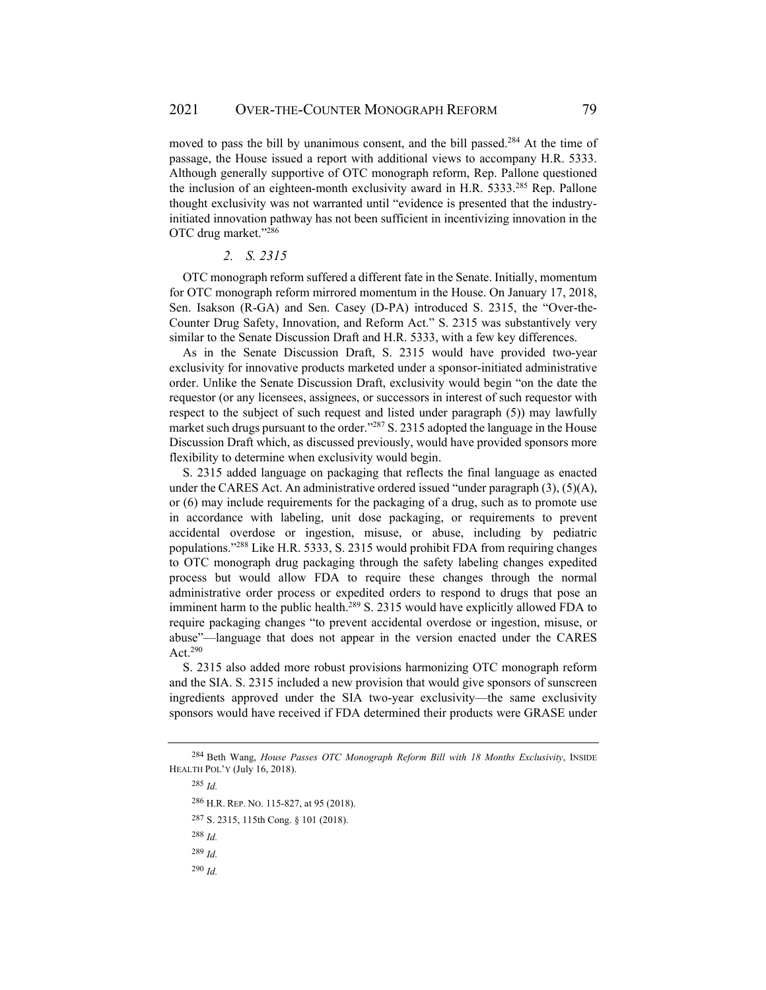moved to pass the bill by unanimous consent, and the bill passed.<sup>284</sup> At the time of passage, the House issued a report with additional views to accompany H.R. 5333. Although generally supportive of OTC monograph reform, Rep. Pallone questioned the inclusion of an eighteen-month exclusivity award in H.R.  $5333^{285}$  Rep. Pallone thought exclusivity was not warranted until "evidence is presented that the industryinitiated innovation pathway has not been sufficient in incentivizing innovation in the OTC drug market."286

#### *2. S. 2315*

OTC monograph reform suffered a different fate in the Senate. Initially, momentum for OTC monograph reform mirrored momentum in the House. On January 17, 2018, Sen. Isakson (R-GA) and Sen. Casey (D-PA) introduced S. 2315, the "Over-the-Counter Drug Safety, Innovation, and Reform Act." S. 2315 was substantively very similar to the Senate Discussion Draft and H.R. 5333, with a few key differences.

As in the Senate Discussion Draft, S. 2315 would have provided two-year exclusivity for innovative products marketed under a sponsor-initiated administrative order. Unlike the Senate Discussion Draft, exclusivity would begin "on the date the requestor (or any licensees, assignees, or successors in interest of such requestor with respect to the subject of such request and listed under paragraph (5)) may lawfully market such drugs pursuant to the order."287 S. 2315 adopted the language in the House Discussion Draft which, as discussed previously, would have provided sponsors more flexibility to determine when exclusivity would begin.

S. 2315 added language on packaging that reflects the final language as enacted under the CARES Act. An administrative ordered issued "under paragraph  $(3)$ ,  $(5)(A)$ , or (6) may include requirements for the packaging of a drug, such as to promote use in accordance with labeling, unit dose packaging, or requirements to prevent accidental overdose or ingestion, misuse, or abuse, including by pediatric populations."288 Like H.R. 5333, S. 2315 would prohibit FDA from requiring changes to OTC monograph drug packaging through the safety labeling changes expedited process but would allow FDA to require these changes through the normal administrative order process or expedited orders to respond to drugs that pose an imminent harm to the public health.<sup>289</sup> S. 2315 would have explicitly allowed FDA to require packaging changes "to prevent accidental overdose or ingestion, misuse, or abuse"—language that does not appear in the version enacted under the CARES Act.290

S. 2315 also added more robust provisions harmonizing OTC monograph reform and the SIA. S. 2315 included a new provision that would give sponsors of sunscreen ingredients approved under the SIA two-year exclusivity—the same exclusivity sponsors would have received if FDA determined their products were GRASE under

<sup>285</sup> *Id.* <sup>286</sup> H.R. REP. NO. 115-827, at 95 (2018). 287 S. 2315, 115th Cong. § 101 (2018). <sup>288</sup> *Id.* <sup>289</sup> *Id.* <sup>290</sup> *Id.*

<sup>284</sup> Beth Wang, *House Passes OTC Monograph Reform Bill with 18 Months Exclusivity*, INSIDE HEALTH POL'Y (July 16, 2018).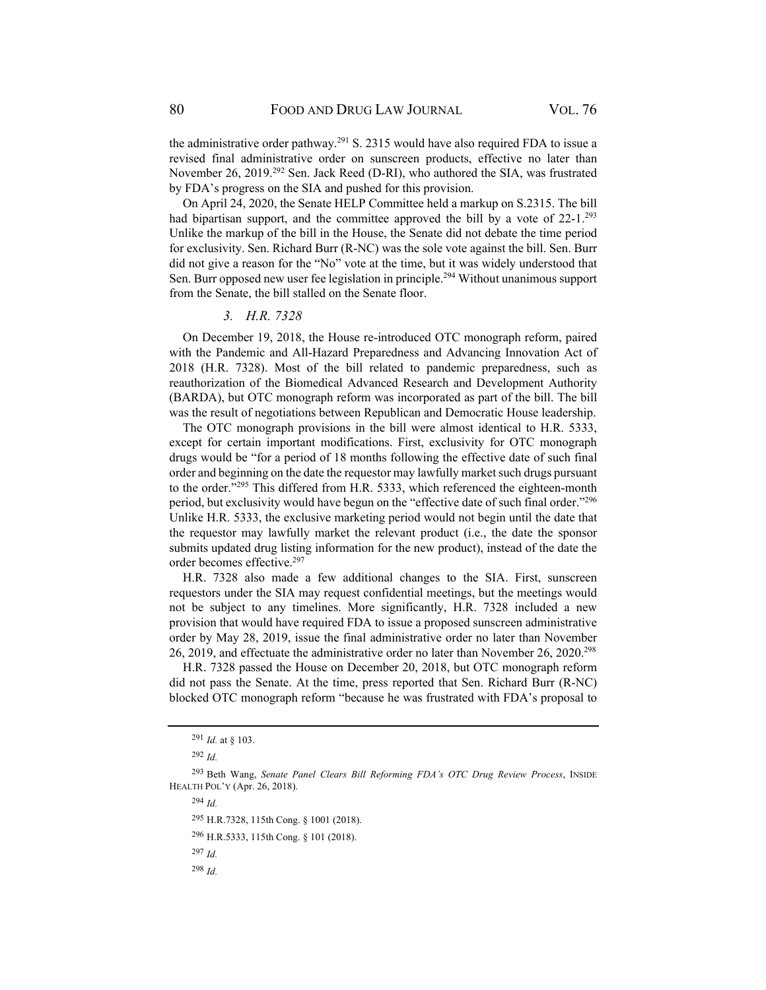the administrative order pathway.<sup>291</sup> S. 2315 would have also required FDA to issue a revised final administrative order on sunscreen products, effective no later than November 26, 2019.292 Sen. Jack Reed (D-RI), who authored the SIA, was frustrated by FDA's progress on the SIA and pushed for this provision.

On April 24, 2020, the Senate HELP Committee held a markup on S.2315. The bill had bipartisan support, and the committee approved the bill by a vote of  $22-1$ .<sup>293</sup> Unlike the markup of the bill in the House, the Senate did not debate the time period for exclusivity. Sen. Richard Burr (R-NC) was the sole vote against the bill. Sen. Burr did not give a reason for the "No" vote at the time, but it was widely understood that Sen. Burr opposed new user fee legislation in principle.294 Without unanimous support from the Senate, the bill stalled on the Senate floor.

#### *3. H.R. 7328*

On December 19, 2018, the House re-introduced OTC monograph reform, paired with the Pandemic and All-Hazard Preparedness and Advancing Innovation Act of 2018 (H.R. 7328). Most of the bill related to pandemic preparedness, such as reauthorization of the Biomedical Advanced Research and Development Authority (BARDA), but OTC monograph reform was incorporated as part of the bill. The bill was the result of negotiations between Republican and Democratic House leadership.

The OTC monograph provisions in the bill were almost identical to H.R. 5333, except for certain important modifications. First, exclusivity for OTC monograph drugs would be "for a period of 18 months following the effective date of such final order and beginning on the date the requestor may lawfully market such drugs pursuant to the order."295 This differed from H.R. 5333, which referenced the eighteen-month period, but exclusivity would have begun on the "effective date of such final order."296 Unlike H.R. 5333, the exclusive marketing period would not begin until the date that the requestor may lawfully market the relevant product (i.e., the date the sponsor submits updated drug listing information for the new product), instead of the date the order becomes effective.297

H.R. 7328 also made a few additional changes to the SIA. First, sunscreen requestors under the SIA may request confidential meetings, but the meetings would not be subject to any timelines. More significantly, H.R. 7328 included a new provision that would have required FDA to issue a proposed sunscreen administrative order by May 28, 2019, issue the final administrative order no later than November 26, 2019, and effectuate the administrative order no later than November 26, 2020.298

H.R. 7328 passed the House on December 20, 2018, but OTC monograph reform did not pass the Senate. At the time, press reported that Sen. Richard Burr (R-NC) blocked OTC monograph reform "because he was frustrated with FDA's proposal to

<sup>294</sup> *Id.*

296 H.R.5333, 115th Cong. § 101 (2018).

<sup>291</sup> *Id.* at § 103.

<sup>292</sup> *Id.*

<sup>293</sup> Beth Wang, *Senate Panel Clears Bill Reforming FDA's OTC Drug Review Process*, INSIDE HEALTH POL'Y (Apr. 26, 2018).

<sup>295</sup> H.R.7328, 115th Cong. § 1001 (2018).

<sup>297</sup> *Id.*

<sup>298</sup> *Id.*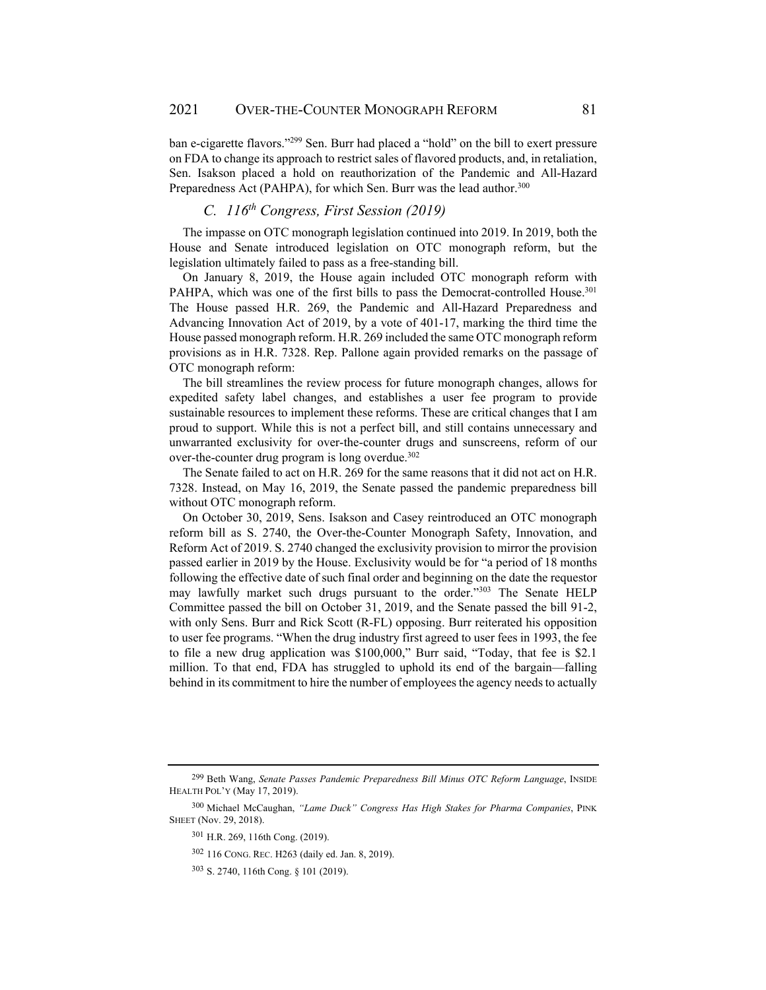ban e-cigarette flavors."<sup>299</sup> Sen. Burr had placed a "hold" on the bill to exert pressure on FDA to change its approach to restrict sales of flavored products, and, in retaliation, Sen. Isakson placed a hold on reauthorization of the Pandemic and All-Hazard Preparedness Act (PAHPA), for which Sen. Burr was the lead author.<sup>300</sup>

# *C. 116th Congress, First Session (2019)*

The impasse on OTC monograph legislation continued into 2019. In 2019, both the House and Senate introduced legislation on OTC monograph reform, but the legislation ultimately failed to pass as a free-standing bill.

On January 8, 2019, the House again included OTC monograph reform with PAHPA, which was one of the first bills to pass the Democrat-controlled House.<sup>301</sup> The House passed H.R. 269, the Pandemic and All-Hazard Preparedness and Advancing Innovation Act of 2019, by a vote of 401-17, marking the third time the House passed monograph reform. H.R. 269 included the same OTC monograph reform provisions as in H.R. 7328. Rep. Pallone again provided remarks on the passage of OTC monograph reform:

The bill streamlines the review process for future monograph changes, allows for expedited safety label changes, and establishes a user fee program to provide sustainable resources to implement these reforms. These are critical changes that I am proud to support. While this is not a perfect bill, and still contains unnecessary and unwarranted exclusivity for over-the-counter drugs and sunscreens, reform of our over-the-counter drug program is long overdue.<sup>302</sup>

The Senate failed to act on H.R. 269 for the same reasons that it did not act on H.R. 7328. Instead, on May 16, 2019, the Senate passed the pandemic preparedness bill without OTC monograph reform.

On October 30, 2019, Sens. Isakson and Casey reintroduced an OTC monograph reform bill as S. 2740, the Over-the-Counter Monograph Safety, Innovation, and Reform Act of 2019. S. 2740 changed the exclusivity provision to mirror the provision passed earlier in 2019 by the House. Exclusivity would be for "a period of 18 months following the effective date of such final order and beginning on the date the requestor may lawfully market such drugs pursuant to the order."303 The Senate HELP Committee passed the bill on October 31, 2019, and the Senate passed the bill 91-2, with only Sens. Burr and Rick Scott (R-FL) opposing. Burr reiterated his opposition to user fee programs. "When the drug industry first agreed to user fees in 1993, the fee to file a new drug application was \$100,000," Burr said, "Today, that fee is \$2.1 million. To that end, FDA has struggled to uphold its end of the bargain—falling behind in its commitment to hire the number of employees the agency needs to actually

<sup>299</sup> Beth Wang, *Senate Passes Pandemic Preparedness Bill Minus OTC Reform Language*, INSIDE HEALTH POL'Y (May 17, 2019).

<sup>300</sup> Michael McCaughan, *"Lame Duck" Congress Has High Stakes for Pharma Companies*, PINK SHEET (Nov. 29, 2018).

<sup>301</sup> H.R. 269, 116th Cong. (2019).

<sup>302 116</sup> CONG. REC. H263 (daily ed. Jan. 8, 2019).

<sup>303</sup> S. 2740, 116th Cong. § 101 (2019).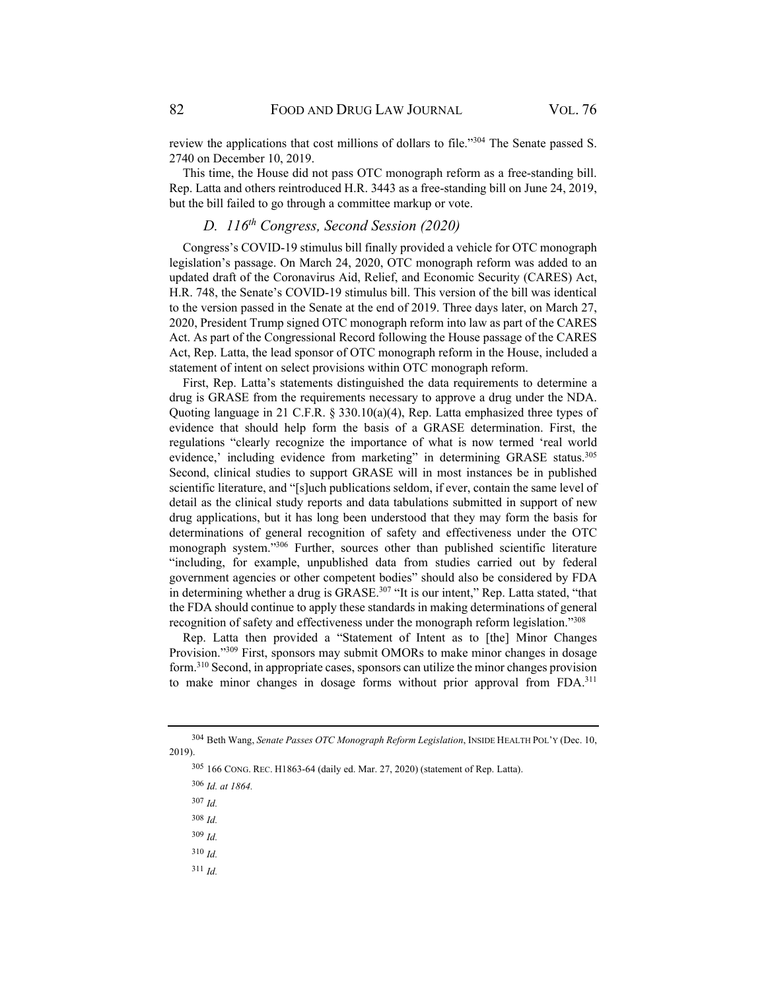review the applications that cost millions of dollars to file."304 The Senate passed S. 2740 on December 10, 2019.

This time, the House did not pass OTC monograph reform as a free-standing bill. Rep. Latta and others reintroduced H.R. 3443 as a free-standing bill on June 24, 2019, but the bill failed to go through a committee markup or vote.

# *D. 116th Congress, Second Session (2020)*

Congress's COVID-19 stimulus bill finally provided a vehicle for OTC monograph legislation's passage. On March 24, 2020, OTC monograph reform was added to an updated draft of the Coronavirus Aid, Relief, and Economic Security (CARES) Act, H.R. 748, the Senate's COVID-19 stimulus bill. This version of the bill was identical to the version passed in the Senate at the end of 2019. Three days later, on March 27, 2020, President Trump signed OTC monograph reform into law as part of the CARES Act. As part of the Congressional Record following the House passage of the CARES Act, Rep. Latta, the lead sponsor of OTC monograph reform in the House, included a statement of intent on select provisions within OTC monograph reform.

First, Rep. Latta's statements distinguished the data requirements to determine a drug is GRASE from the requirements necessary to approve a drug under the NDA. Quoting language in 21 C.F.R. § 330.10(a)(4), Rep. Latta emphasized three types of evidence that should help form the basis of a GRASE determination. First, the regulations "clearly recognize the importance of what is now termed 'real world evidence,' including evidence from marketing" in determining GRASE status.<sup>305</sup> Second, clinical studies to support GRASE will in most instances be in published scientific literature, and "[s]uch publications seldom, if ever, contain the same level of detail as the clinical study reports and data tabulations submitted in support of new drug applications, but it has long been understood that they may form the basis for determinations of general recognition of safety and effectiveness under the OTC monograph system."306 Further, sources other than published scientific literature "including, for example, unpublished data from studies carried out by federal government agencies or other competent bodies" should also be considered by FDA in determining whether a drug is GRASE.<sup>307</sup> "It is our intent," Rep. Latta stated, "that the FDA should continue to apply these standards in making determinations of general recognition of safety and effectiveness under the monograph reform legislation."308

Rep. Latta then provided a "Statement of Intent as to [the] Minor Changes Provision."<sup>309</sup> First, sponsors may submit OMORs to make minor changes in dosage form.310 Second, in appropriate cases, sponsors can utilize the minor changes provision to make minor changes in dosage forms without prior approval from FDA.311

- <sup>307</sup> *Id.*
- <sup>308</sup> *Id.*
- <sup>309</sup> *Id.*
- <sup>310</sup> *Id.*
- <sup>311</sup> *Id.*

<sup>304</sup> Beth Wang, *Senate Passes OTC Monograph Reform Legislation*, INSIDE HEALTH POL'Y (Dec. 10, 2019).

<sup>305 166</sup> CONG. REC. H1863-64 (daily ed. Mar. 27, 2020) (statement of Rep. Latta).

<sup>306</sup> *Id. at 1864.*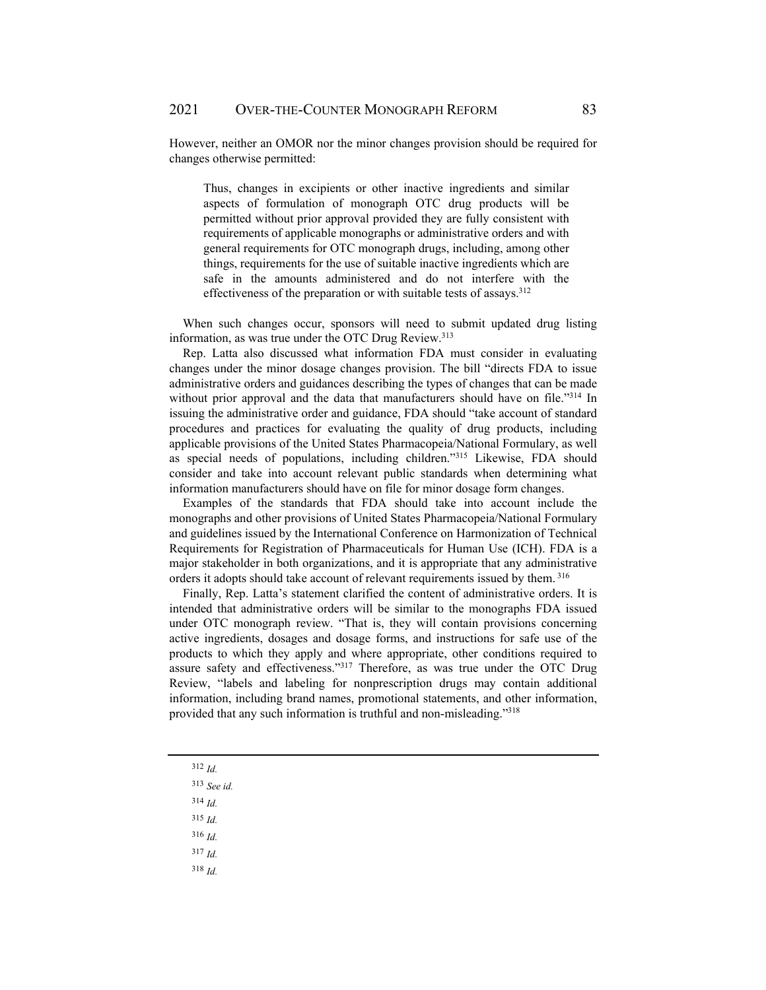However, neither an OMOR nor the minor changes provision should be required for changes otherwise permitted:

Thus, changes in excipients or other inactive ingredients and similar aspects of formulation of monograph OTC drug products will be permitted without prior approval provided they are fully consistent with requirements of applicable monographs or administrative orders and with general requirements for OTC monograph drugs, including, among other things, requirements for the use of suitable inactive ingredients which are safe in the amounts administered and do not interfere with the effectiveness of the preparation or with suitable tests of assays.<sup>312</sup>

When such changes occur, sponsors will need to submit updated drug listing information, as was true under the OTC Drug Review.<sup>313</sup>

Rep. Latta also discussed what information FDA must consider in evaluating changes under the minor dosage changes provision. The bill "directs FDA to issue administrative orders and guidances describing the types of changes that can be made without prior approval and the data that manufacturers should have on file."314 In issuing the administrative order and guidance, FDA should "take account of standard procedures and practices for evaluating the quality of drug products, including applicable provisions of the United States Pharmacopeia/National Formulary, as well as special needs of populations, including children."315 Likewise, FDA should consider and take into account relevant public standards when determining what information manufacturers should have on file for minor dosage form changes.

Examples of the standards that FDA should take into account include the monographs and other provisions of United States Pharmacopeia/National Formulary and guidelines issued by the International Conference on Harmonization of Technical Requirements for Registration of Pharmaceuticals for Human Use (ICH). FDA is a major stakeholder in both organizations, and it is appropriate that any administrative orders it adopts should take account of relevant requirements issued by them. 316

Finally, Rep. Latta's statement clarified the content of administrative orders. It is intended that administrative orders will be similar to the monographs FDA issued under OTC monograph review. "That is, they will contain provisions concerning active ingredients, dosages and dosage forms, and instructions for safe use of the products to which they apply and where appropriate, other conditions required to assure safety and effectiveness."317 Therefore, as was true under the OTC Drug Review, "labels and labeling for nonprescription drugs may contain additional information, including brand names, promotional statements, and other information, provided that any such information is truthful and non-misleading."318

- <sup>312</sup> *Id.*
- <sup>313</sup> *See id.*
- <sup>314</sup> *Id.*
- <sup>315</sup> *Id.*
- <sup>316</sup> *Id.*
- <sup>317</sup> *Id.*
- <sup>318</sup> *Id.*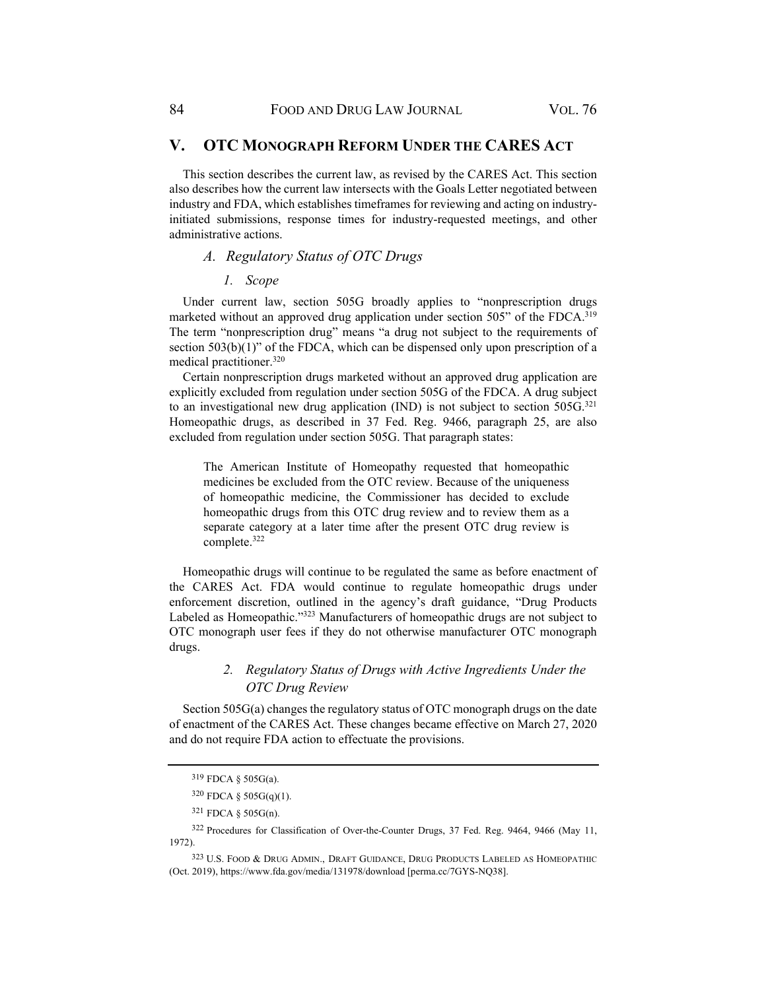### **V. OTC MONOGRAPH REFORM UNDER THE CARES ACT**

This section describes the current law, as revised by the CARES Act. This section also describes how the current law intersects with the Goals Letter negotiated between industry and FDA, which establishes timeframes for reviewing and acting on industryinitiated submissions, response times for industry-requested meetings, and other administrative actions.

# *A. Regulatory Status of OTC Drugs*

*1. Scope* 

Under current law, section 505G broadly applies to "nonprescription drugs marketed without an approved drug application under section 505" of the FDCA.<sup>319</sup> The term "nonprescription drug" means "a drug not subject to the requirements of section  $503(b)(1)$ " of the FDCA, which can be dispensed only upon prescription of a medical practitioner.320

Certain nonprescription drugs marketed without an approved drug application are explicitly excluded from regulation under section 505G of the FDCA. A drug subject to an investigational new drug application (IND) is not subject to section 505G.<sup>321</sup> Homeopathic drugs, as described in 37 Fed. Reg. 9466, paragraph 25, are also excluded from regulation under section 505G. That paragraph states:

The American Institute of Homeopathy requested that homeopathic medicines be excluded from the OTC review. Because of the uniqueness of homeopathic medicine, the Commissioner has decided to exclude homeopathic drugs from this OTC drug review and to review them as a separate category at a later time after the present OTC drug review is complete.322

Homeopathic drugs will continue to be regulated the same as before enactment of the CARES Act. FDA would continue to regulate homeopathic drugs under enforcement discretion, outlined in the agency's draft guidance, "Drug Products Labeled as Homeopathic."323 Manufacturers of homeopathic drugs are not subject to OTC monograph user fees if they do not otherwise manufacturer OTC monograph drugs.

# *2. Regulatory Status of Drugs with Active Ingredients Under the OTC Drug Review*

Section 505G(a) changes the regulatory status of OTC monograph drugs on the date of enactment of the CARES Act. These changes became effective on March 27, 2020 and do not require FDA action to effectuate the provisions.

<sup>319</sup> FDCA § 505G(a).

<sup>320</sup> FDCA § 505G(q)(1).

<sup>321</sup> FDCA § 505G(n).

<sup>322</sup> Procedures for Classification of Over-the-Counter Drugs, 37 Fed. Reg. 9464, 9466 (May 11, 1972).

<sup>323</sup> U.S. FOOD & DRUG ADMIN., DRAFT GUIDANCE, DRUG PRODUCTS LABELED AS HOMEOPATHIC (Oct. 2019), https://www.fda.gov/media/131978/download [perma.cc/7GYS-NQ38].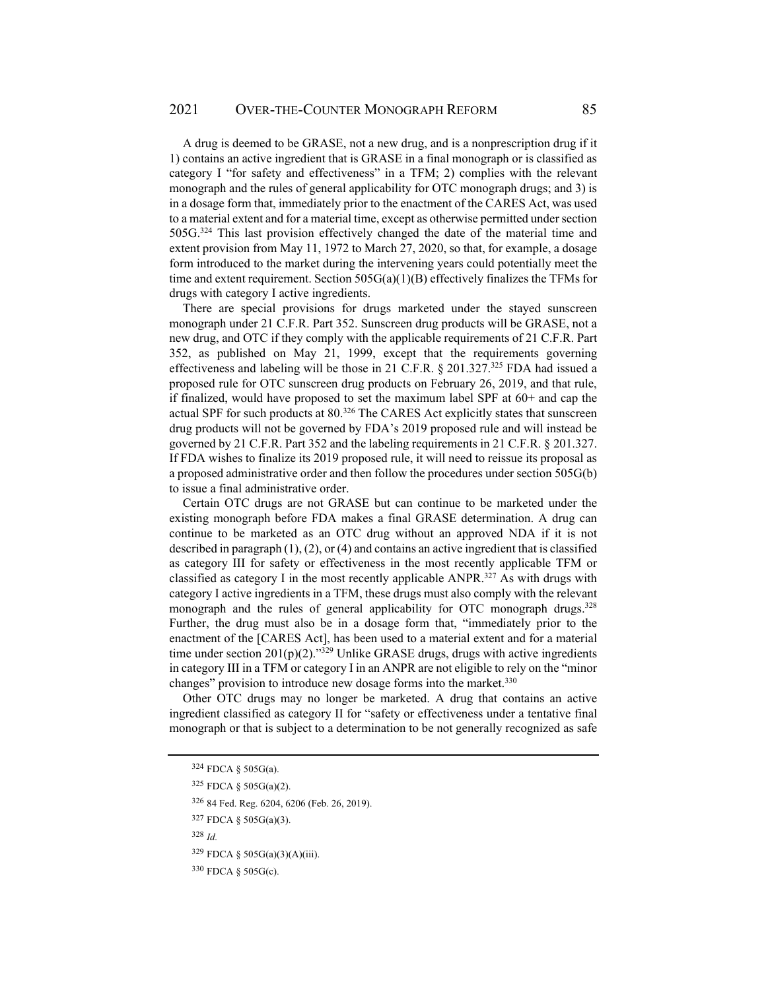A drug is deemed to be GRASE, not a new drug, and is a nonprescription drug if it 1) contains an active ingredient that is GRASE in a final monograph or is classified as category I "for safety and effectiveness" in a TFM; 2) complies with the relevant monograph and the rules of general applicability for OTC monograph drugs; and 3) is in a dosage form that, immediately prior to the enactment of the CARES Act, was used to a material extent and for a material time, except as otherwise permitted under section 505G.324 This last provision effectively changed the date of the material time and extent provision from May 11, 1972 to March 27, 2020, so that, for example, a dosage form introduced to the market during the intervening years could potentially meet the time and extent requirement. Section  $505G(a)(1)(B)$  effectively finalizes the TFMs for drugs with category I active ingredients.

There are special provisions for drugs marketed under the stayed sunscreen monograph under 21 C.F.R. Part 352. Sunscreen drug products will be GRASE, not a new drug, and OTC if they comply with the applicable requirements of 21 C.F.R. Part 352, as published on May 21, 1999, except that the requirements governing effectiveness and labeling will be those in 21 C.F.R.  $\S$  201.327.<sup>325</sup> FDA had issued a proposed rule for OTC sunscreen drug products on February 26, 2019, and that rule, if finalized, would have proposed to set the maximum label SPF at 60+ and cap the actual SPF for such products at 80.<sup>326</sup> The CARES Act explicitly states that sunscreen drug products will not be governed by FDA's 2019 proposed rule and will instead be governed by 21 C.F.R. Part 352 and the labeling requirements in 21 C.F.R. § 201.327. If FDA wishes to finalize its 2019 proposed rule, it will need to reissue its proposal as a proposed administrative order and then follow the procedures under section 505G(b) to issue a final administrative order.

Certain OTC drugs are not GRASE but can continue to be marketed under the existing monograph before FDA makes a final GRASE determination. A drug can continue to be marketed as an OTC drug without an approved NDA if it is not described in paragraph  $(1)$ ,  $(2)$ , or  $(4)$  and contains an active ingredient that is classified as category III for safety or effectiveness in the most recently applicable TFM or classified as category I in the most recently applicable ANPR.327 As with drugs with category I active ingredients in a TFM, these drugs must also comply with the relevant monograph and the rules of general applicability for OTC monograph drugs.<sup>328</sup> Further, the drug must also be in a dosage form that, "immediately prior to the enactment of the [CARES Act], has been used to a material extent and for a material time under section  $201(p)(2)$ ."<sup>329</sup> Unlike GRASE drugs, drugs with active ingredients in category III in a TFM or category I in an ANPR are not eligible to rely on the "minor changes" provision to introduce new dosage forms into the market.<sup>330</sup>

Other OTC drugs may no longer be marketed. A drug that contains an active ingredient classified as category II for "safety or effectiveness under a tentative final monograph or that is subject to a determination to be not generally recognized as safe

325 FDCA § 505G(a)(2).

327 FDCA § 505G(a)(3).

<sup>328</sup> *Id.* 

329 FDCA § 505G(a)(3)(A)(iii).

<sup>324</sup> FDCA § 505G(a).

<sup>326 84</sup> Fed. Reg. 6204, 6206 (Feb. 26, 2019).

<sup>330</sup> FDCA § 505G(c).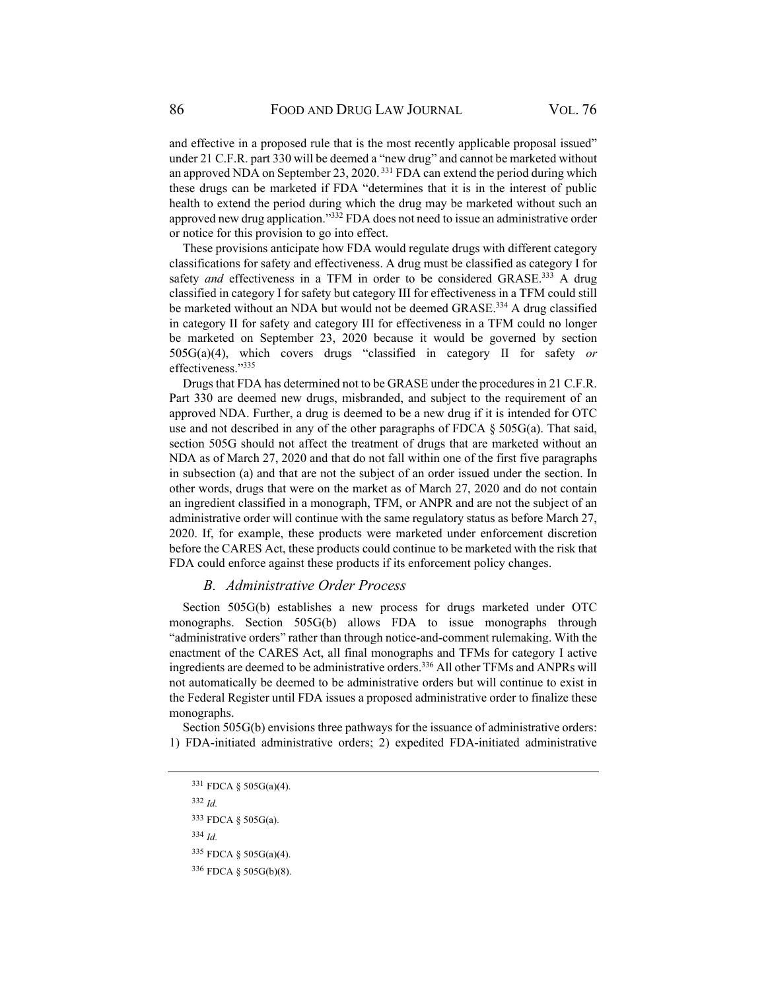and effective in a proposed rule that is the most recently applicable proposal issued" under 21 C.F.R. part 330 will be deemed a "new drug" and cannot be marketed without an approved NDA on September 23, 2020. 331 FDA can extend the period during which these drugs can be marketed if FDA "determines that it is in the interest of public health to extend the period during which the drug may be marketed without such an approved new drug application."332 FDA does not need to issue an administrative order or notice for this provision to go into effect.

These provisions anticipate how FDA would regulate drugs with different category classifications for safety and effectiveness. A drug must be classified as category I for safety *and* effectiveness in a TFM in order to be considered GRASE.<sup>333</sup> A drug classified in category I for safety but category III for effectiveness in a TFM could still be marketed without an NDA but would not be deemed GRASE.<sup>334</sup> A drug classified in category II for safety and category III for effectiveness in a TFM could no longer be marketed on September 23, 2020 because it would be governed by section 505G(a)(4), which covers drugs "classified in category II for safety *or*  effectiveness."335

Drugs that FDA has determined not to be GRASE under the procedures in 21 C.F.R. Part 330 are deemed new drugs, misbranded, and subject to the requirement of an approved NDA. Further, a drug is deemed to be a new drug if it is intended for OTC use and not described in any of the other paragraphs of FDCA  $\S$  505G(a). That said, section 505G should not affect the treatment of drugs that are marketed without an NDA as of March 27, 2020 and that do not fall within one of the first five paragraphs in subsection (a) and that are not the subject of an order issued under the section. In other words, drugs that were on the market as of March 27, 2020 and do not contain an ingredient classified in a monograph, TFM, or ANPR and are not the subject of an administrative order will continue with the same regulatory status as before March 27, 2020. If, for example, these products were marketed under enforcement discretion before the CARES Act, these products could continue to be marketed with the risk that FDA could enforce against these products if its enforcement policy changes.

### *B. Administrative Order Process*

Section 505G(b) establishes a new process for drugs marketed under OTC monographs. Section 505G(b) allows FDA to issue monographs through "administrative orders" rather than through notice-and-comment rulemaking. With the enactment of the CARES Act, all final monographs and TFMs for category I active ingredients are deemed to be administrative orders.336 All other TFMs and ANPRs will not automatically be deemed to be administrative orders but will continue to exist in the Federal Register until FDA issues a proposed administrative order to finalize these monographs.

Section 505G(b) envisions three pathways for the issuance of administrative orders: 1) FDA-initiated administrative orders; 2) expedited FDA-initiated administrative

<sup>332</sup> *Id.*

<sup>334</sup> *Id.* 

<sup>331</sup> FDCA § 505G(a)(4).

<sup>333</sup> FDCA § 505G(a).

<sup>335</sup> FDCA § 505G(a)(4).

<sup>336</sup> FDCA § 505G(b)(8).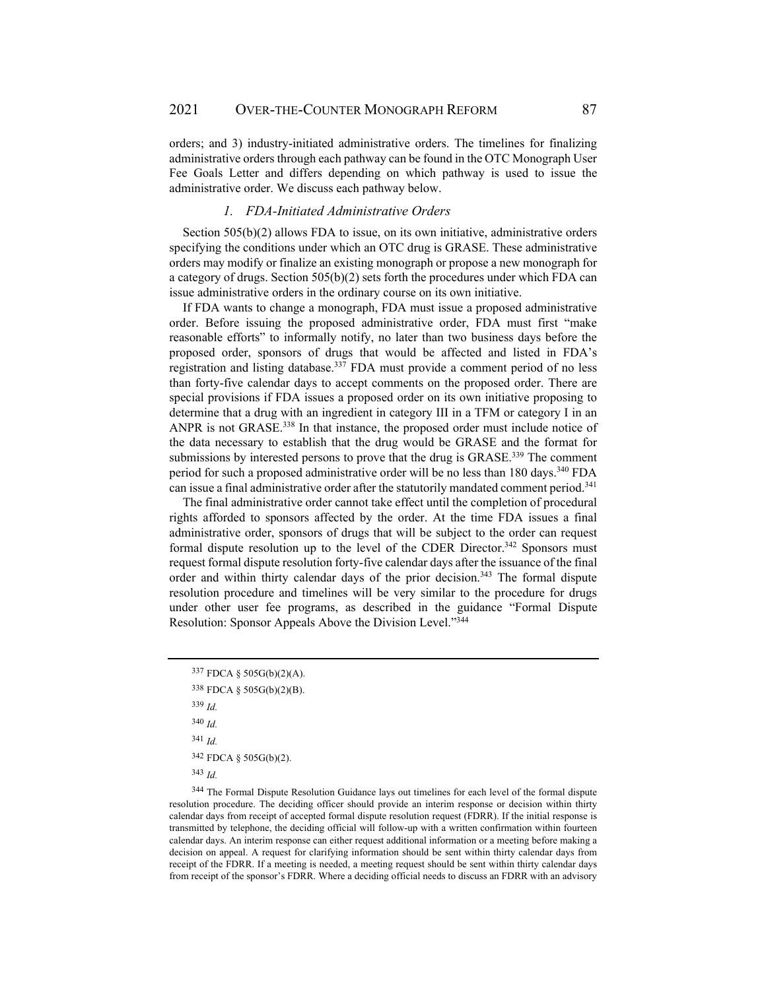orders; and 3) industry-initiated administrative orders. The timelines for finalizing administrative orders through each pathway can be found in the OTC Monograph User Fee Goals Letter and differs depending on which pathway is used to issue the administrative order. We discuss each pathway below.

#### *1. FDA-Initiated Administrative Orders*

Section 505(b)(2) allows FDA to issue, on its own initiative, administrative orders specifying the conditions under which an OTC drug is GRASE. These administrative orders may modify or finalize an existing monograph or propose a new monograph for a category of drugs. Section 505(b)(2) sets forth the procedures under which FDA can issue administrative orders in the ordinary course on its own initiative.

If FDA wants to change a monograph, FDA must issue a proposed administrative order. Before issuing the proposed administrative order, FDA must first "make reasonable efforts" to informally notify, no later than two business days before the proposed order, sponsors of drugs that would be affected and listed in FDA's registration and listing database.337 FDA must provide a comment period of no less than forty-five calendar days to accept comments on the proposed order. There are special provisions if FDA issues a proposed order on its own initiative proposing to determine that a drug with an ingredient in category III in a TFM or category I in an ANPR is not GRASE.338 In that instance, the proposed order must include notice of the data necessary to establish that the drug would be GRASE and the format for submissions by interested persons to prove that the drug is GRASE.<sup>339</sup> The comment period for such a proposed administrative order will be no less than 180 days.<sup>340</sup> FDA can issue a final administrative order after the statutorily mandated comment period.<sup>341</sup>

The final administrative order cannot take effect until the completion of procedural rights afforded to sponsors affected by the order. At the time FDA issues a final administrative order, sponsors of drugs that will be subject to the order can request formal dispute resolution up to the level of the CDER Director.<sup>342</sup> Sponsors must request formal dispute resolution forty-five calendar days after the issuance of the final order and within thirty calendar days of the prior decision.<sup>343</sup> The formal dispute resolution procedure and timelines will be very similar to the procedure for drugs under other user fee programs, as described in the guidance "Formal Dispute Resolution: Sponsor Appeals Above the Division Level."344

<sup>339</sup> *Id.*  <sup>340</sup> *Id.*

<sup>341</sup> *Id.*

342 FDCA § 505G(b)(2).

<sup>343</sup> *Id.*

344 The Formal Dispute Resolution Guidance lays out timelines for each level of the formal dispute resolution procedure. The deciding officer should provide an interim response or decision within thirty calendar days from receipt of accepted formal dispute resolution request (FDRR). If the initial response is transmitted by telephone, the deciding official will follow-up with a written confirmation within fourteen calendar days. An interim response can either request additional information or a meeting before making a decision on appeal. A request for clarifying information should be sent within thirty calendar days from receipt of the FDRR. If a meeting is needed, a meeting request should be sent within thirty calendar days from receipt of the sponsor's FDRR. Where a deciding official needs to discuss an FDRR with an advisory

<sup>337</sup> FDCA § 505G(b)(2)(A).

<sup>338</sup> FDCA § 505G(b)(2)(B).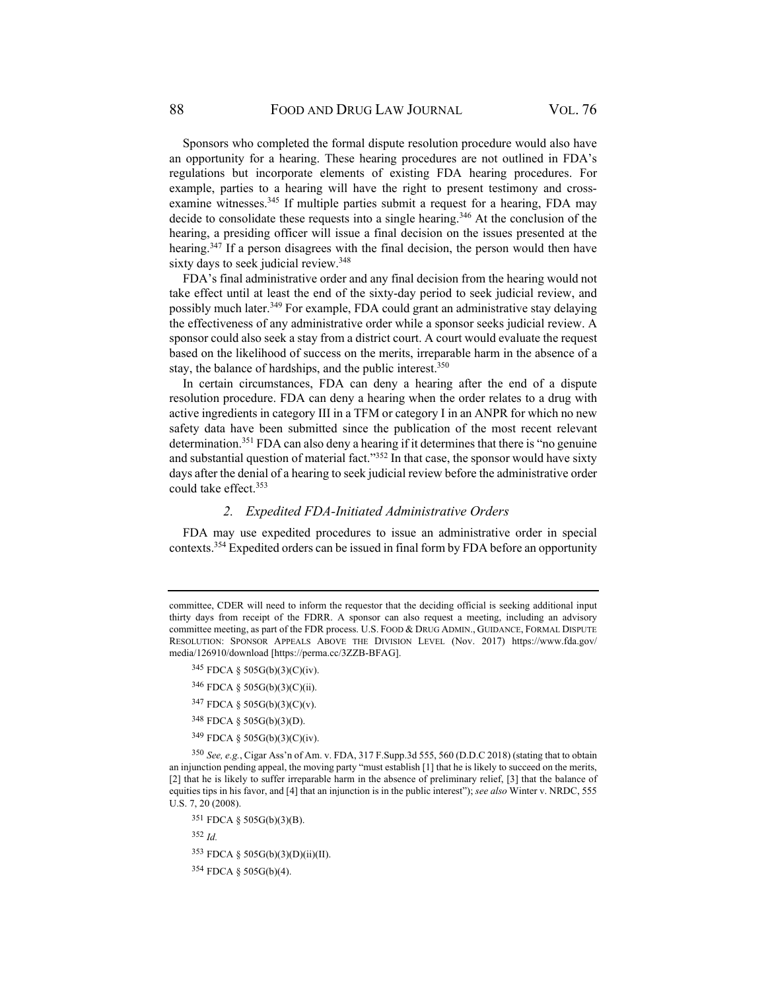Sponsors who completed the formal dispute resolution procedure would also have an opportunity for a hearing. These hearing procedures are not outlined in FDA's regulations but incorporate elements of existing FDA hearing procedures. For example, parties to a hearing will have the right to present testimony and crossexamine witnesses.<sup>345</sup> If multiple parties submit a request for a hearing, FDA may decide to consolidate these requests into a single hearing.<sup>346</sup> At the conclusion of the hearing, a presiding officer will issue a final decision on the issues presented at the hearing.<sup>347</sup> If a person disagrees with the final decision, the person would then have sixty days to seek judicial review.<sup>348</sup>

FDA's final administrative order and any final decision from the hearing would not take effect until at least the end of the sixty-day period to seek judicial review, and possibly much later.<sup>349</sup> For example, FDA could grant an administrative stay delaying the effectiveness of any administrative order while a sponsor seeks judicial review. A sponsor could also seek a stay from a district court. A court would evaluate the request based on the likelihood of success on the merits, irreparable harm in the absence of a stay, the balance of hardships, and the public interest.<sup>350</sup>

In certain circumstances, FDA can deny a hearing after the end of a dispute resolution procedure. FDA can deny a hearing when the order relates to a drug with active ingredients in category III in a TFM or category I in an ANPR for which no new safety data have been submitted since the publication of the most recent relevant determination.351 FDA can also deny a hearing if it determines that there is "no genuine and substantial question of material fact."<sup>352</sup> In that case, the sponsor would have sixty days after the denial of a hearing to seek judicial review before the administrative order could take effect.353

#### *2. Expedited FDA-Initiated Administrative Orders*

FDA may use expedited procedures to issue an administrative order in special contexts.354 Expedited orders can be issued in final form by FDA before an opportunity

- 346 FDCA § 505G(b)(3)(C)(ii).
- 347 FDCA § 505G(b)(3)(C)(v).
- 348 FDCA § 505G(b)(3)(D).
- 349 FDCA § 505G(b)(3)(C)(iv).

<sup>350</sup> *See, e.g.*, Cigar Ass'n of Am. v. FDA, 317 F.Supp.3d 555, 560 (D.D.C 2018) (stating that to obtain an injunction pending appeal, the moving party "must establish [1] that he is likely to succeed on the merits, [2] that he is likely to suffer irreparable harm in the absence of preliminary relief, [3] that the balance of equities tips in his favor, and [4] that an injunction is in the public interest"); *see also* Winter v. NRDC, 555 U.S. 7, 20 (2008).

351 FDCA § 505G(b)(3)(B).

<sup>352</sup> *Id.*

353 FDCA § 505G(b)(3)(D)(ii)(II).

354 FDCA § 505G(b)(4).

committee, CDER will need to inform the requestor that the deciding official is seeking additional input thirty days from receipt of the FDRR. A sponsor can also request a meeting, including an advisory committee meeting, as part of the FDR process. U.S. FOOD & DRUG ADMIN., GUIDANCE, FORMAL DISPUTE RESOLUTION: SPONSOR APPEALS ABOVE THE DIVISION LEVEL (Nov. 2017) https://www.fda.gov/ media/126910/download [https://perma.cc/3ZZB-BFAG].

<sup>345</sup> FDCA § 505G(b)(3)(C)(iv).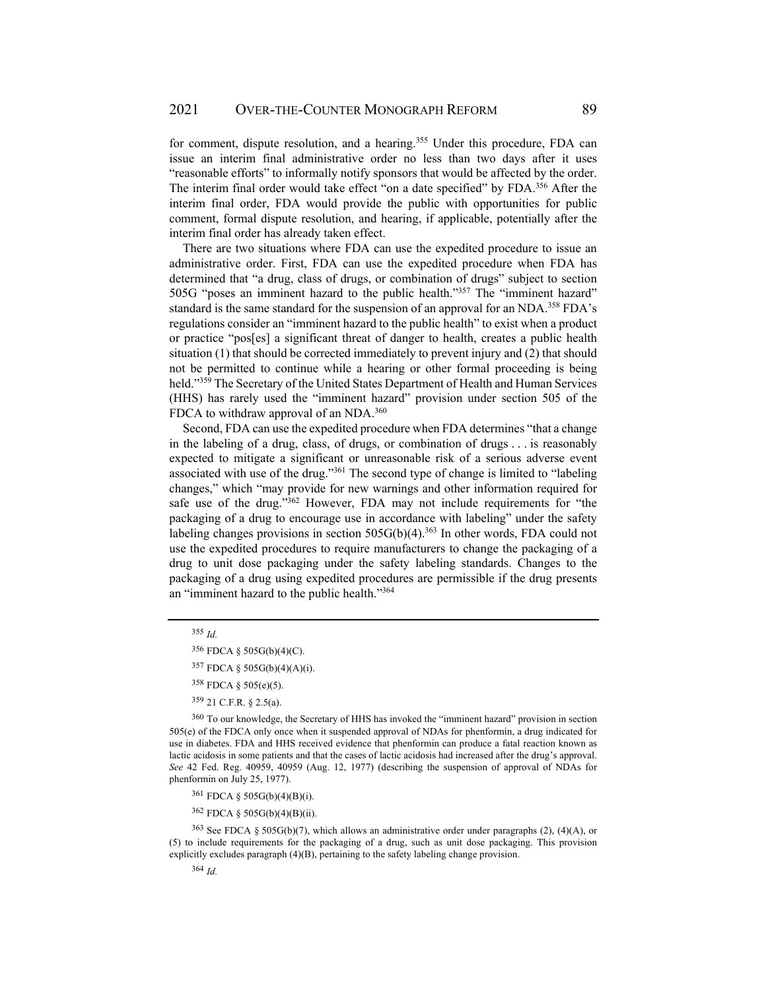for comment, dispute resolution, and a hearing.<sup>355</sup> Under this procedure, FDA can issue an interim final administrative order no less than two days after it uses "reasonable efforts" to informally notify sponsors that would be affected by the order. The interim final order would take effect "on a date specified" by FDA.<sup>356</sup> After the interim final order, FDA would provide the public with opportunities for public comment, formal dispute resolution, and hearing, if applicable, potentially after the interim final order has already taken effect.

There are two situations where FDA can use the expedited procedure to issue an administrative order. First, FDA can use the expedited procedure when FDA has determined that "a drug, class of drugs, or combination of drugs" subject to section 505G "poses an imminent hazard to the public health."357 The "imminent hazard" standard is the same standard for the suspension of an approval for an NDA.<sup>358</sup> FDA's regulations consider an "imminent hazard to the public health" to exist when a product or practice "pos[es] a significant threat of danger to health, creates a public health situation (1) that should be corrected immediately to prevent injury and (2) that should not be permitted to continue while a hearing or other formal proceeding is being held."359 The Secretary of the United States Department of Health and Human Services (HHS) has rarely used the "imminent hazard" provision under section 505 of the FDCA to withdraw approval of an NDA.<sup>360</sup>

Second, FDA can use the expedited procedure when FDA determines "that a change in the labeling of a drug, class, of drugs, or combination of drugs . . . is reasonably expected to mitigate a significant or unreasonable risk of a serious adverse event associated with use of the drug."361 The second type of change is limited to "labeling changes," which "may provide for new warnings and other information required for safe use of the drug."<sup>362</sup> However, FDA may not include requirements for "the packaging of a drug to encourage use in accordance with labeling" under the safety labeling changes provisions in section  $505G(b)(4)$ .<sup>363</sup> In other words, FDA could not use the expedited procedures to require manufacturers to change the packaging of a drug to unit dose packaging under the safety labeling standards. Changes to the packaging of a drug using expedited procedures are permissible if the drug presents an "imminent hazard to the public health."364

361 FDCA § 505G(b)(4)(B)(i).

362 FDCA § 505G(b)(4)(B)(ii).

<sup>363</sup>See FDCA § 505G(b)(7), which allows an administrative order under paragraphs (2), (4)(A), or (5) to include requirements for the packaging of a drug, such as unit dose packaging. This provision explicitly excludes paragraph (4)(B), pertaining to the safety labeling change provision.

<sup>355</sup> *Id.*

<sup>356</sup> FDCA § 505G(b)(4)(C).

<sup>357</sup> FDCA § 505G(b)(4)(A)(i).

<sup>358</sup> FDCA § 505(e)(5).

<sup>359 21</sup> C.F.R. § 2.5(a).

<sup>360</sup> To our knowledge, the Secretary of HHS has invoked the "imminent hazard" provision in section 505(e) of the FDCA only once when it suspended approval of NDAs for phenformin, a drug indicated for use in diabetes. FDA and HHS received evidence that phenformin can produce a fatal reaction known as lactic acidosis in some patients and that the cases of lactic acidosis had increased after the drug's approval. *See* 42 Fed. Reg. 40959, 40959 (Aug. 12, 1977) (describing the suspension of approval of NDAs for phenformin on July 25, 1977).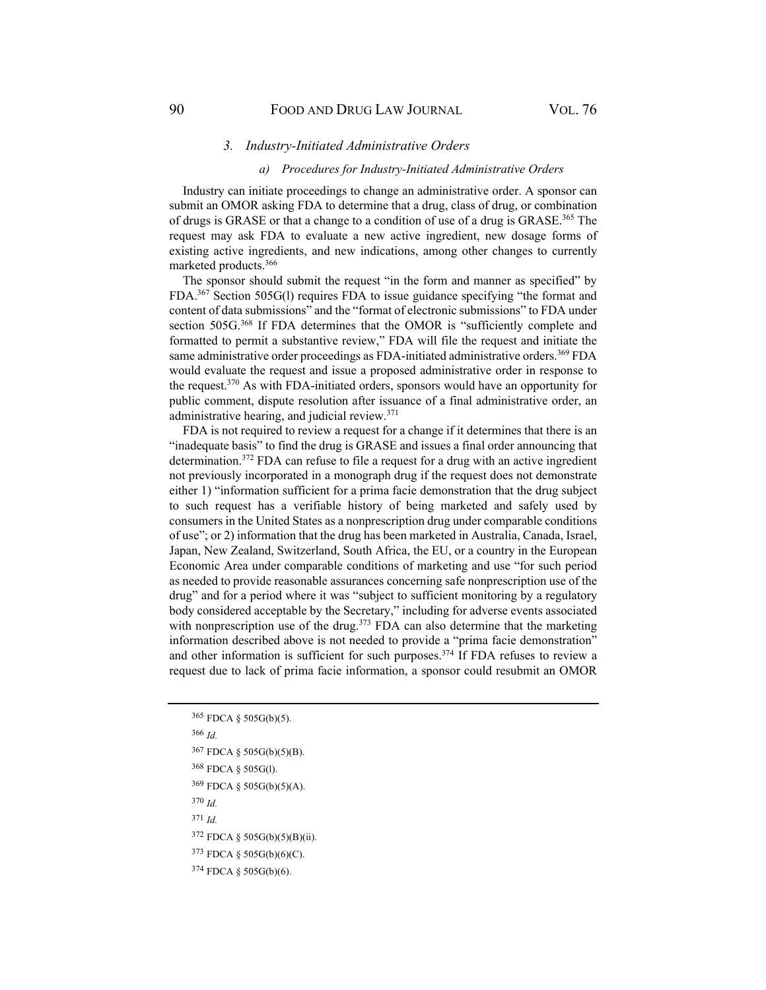#### *3. Industry-Initiated Administrative Orders*

#### *a) Procedures for Industry-Initiated Administrative Orders*

Industry can initiate proceedings to change an administrative order. A sponsor can submit an OMOR asking FDA to determine that a drug, class of drug, or combination of drugs is GRASE or that a change to a condition of use of a drug is GRASE.<sup>365</sup> The request may ask FDA to evaluate a new active ingredient, new dosage forms of existing active ingredients, and new indications, among other changes to currently marketed products.366

The sponsor should submit the request "in the form and manner as specified" by FDA.367 Section 505G(l) requires FDA to issue guidance specifying "the format and content of data submissions" and the "format of electronic submissions" to FDA under section 505G.<sup>368</sup> If FDA determines that the OMOR is "sufficiently complete and formatted to permit a substantive review," FDA will file the request and initiate the same administrative order proceedings as FDA-initiated administrative orders.<sup>369</sup> FDA would evaluate the request and issue a proposed administrative order in response to the request.370 As with FDA-initiated orders, sponsors would have an opportunity for public comment, dispute resolution after issuance of a final administrative order, an administrative hearing, and judicial review.371

FDA is not required to review a request for a change if it determines that there is an "inadequate basis" to find the drug is GRASE and issues a final order announcing that determination.<sup>372</sup> FDA can refuse to file a request for a drug with an active ingredient not previously incorporated in a monograph drug if the request does not demonstrate either 1) "information sufficient for a prima facie demonstration that the drug subject to such request has a verifiable history of being marketed and safely used by consumers in the United States as a nonprescription drug under comparable conditions of use"; or 2) information that the drug has been marketed in Australia, Canada, Israel, Japan, New Zealand, Switzerland, South Africa, the EU, or a country in the European Economic Area under comparable conditions of marketing and use "for such period as needed to provide reasonable assurances concerning safe nonprescription use of the drug" and for a period where it was "subject to sufficient monitoring by a regulatory body considered acceptable by the Secretary," including for adverse events associated with nonprescription use of the drug. $373$  FDA can also determine that the marketing information described above is not needed to provide a "prima facie demonstration" and other information is sufficient for such purposes.<sup>374</sup> If FDA refuses to review a request due to lack of prima facie information, a sponsor could resubmit an OMOR

<sup>366</sup> *Id.*

<sup>370</sup> *Id.*

<sup>371</sup> *Id.*

<sup>365</sup> FDCA § 505G(b)(5).

<sup>367</sup> FDCA § 505G(b)(5)(B).

<sup>368</sup> FDCA § 505G(l).

<sup>369</sup> FDCA § 505G(b)(5)(A).

<sup>372</sup> FDCA § 505G(b)(5)(B)(ii).

<sup>373</sup> FDCA § 505G(b)(6)(C).

<sup>374</sup> FDCA § 505G(b)(6).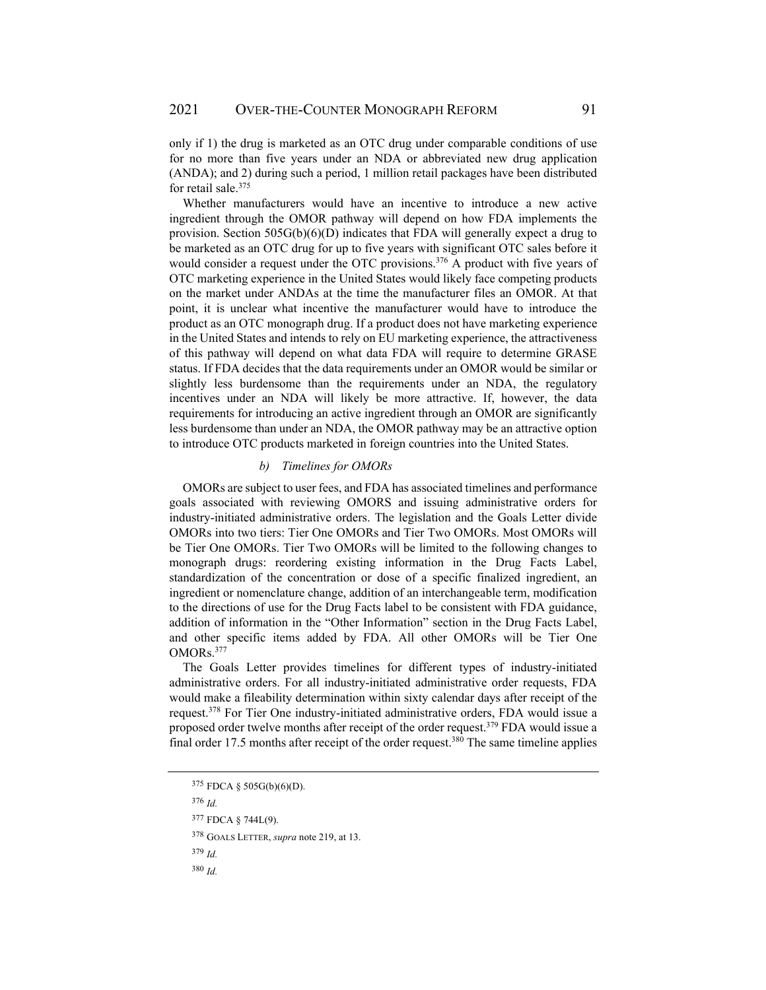only if 1) the drug is marketed as an OTC drug under comparable conditions of use for no more than five years under an NDA or abbreviated new drug application (ANDA); and 2) during such a period, 1 million retail packages have been distributed for retail sale.<sup>375</sup>

Whether manufacturers would have an incentive to introduce a new active ingredient through the OMOR pathway will depend on how FDA implements the provision. Section 505G(b)(6)(D) indicates that FDA will generally expect a drug to be marketed as an OTC drug for up to five years with significant OTC sales before it would consider a request under the OTC provisions.<sup>376</sup> A product with five years of OTC marketing experience in the United States would likely face competing products on the market under ANDAs at the time the manufacturer files an OMOR. At that point, it is unclear what incentive the manufacturer would have to introduce the product as an OTC monograph drug. If a product does not have marketing experience in the United States and intends to rely on EU marketing experience, the attractiveness of this pathway will depend on what data FDA will require to determine GRASE status. If FDA decides that the data requirements under an OMOR would be similar or slightly less burdensome than the requirements under an NDA, the regulatory incentives under an NDA will likely be more attractive. If, however, the data requirements for introducing an active ingredient through an OMOR are significantly less burdensome than under an NDA, the OMOR pathway may be an attractive option to introduce OTC products marketed in foreign countries into the United States.

### *b) Timelines for OMORs*

OMORs are subject to user fees, and FDA has associated timelines and performance goals associated with reviewing OMORS and issuing administrative orders for industry-initiated administrative orders. The legislation and the Goals Letter divide OMORs into two tiers: Tier One OMORs and Tier Two OMORs. Most OMORs will be Tier One OMORs. Tier Two OMORs will be limited to the following changes to monograph drugs: reordering existing information in the Drug Facts Label, standardization of the concentration or dose of a specific finalized ingredient, an ingredient or nomenclature change, addition of an interchangeable term, modification to the directions of use for the Drug Facts label to be consistent with FDA guidance, addition of information in the "Other Information" section in the Drug Facts Label, and other specific items added by FDA. All other OMORs will be Tier One OMORs.377

The Goals Letter provides timelines for different types of industry-initiated administrative orders. For all industry-initiated administrative order requests, FDA would make a fileability determination within sixty calendar days after receipt of the request.378 For Tier One industry-initiated administrative orders, FDA would issue a proposed order twelve months after receipt of the order request.<sup>379</sup> FDA would issue a final order 17.5 months after receipt of the order request.380 The same timeline applies

<sup>376</sup> *Id.*

<sup>379</sup> *Id.* 

<sup>375</sup> FDCA § 505G(b)(6)(D).

<sup>377</sup> FDCA § 744L(9).

<sup>378</sup> GOALS LETTER, *supra* note 219, at 13.

<sup>380</sup> *Id.*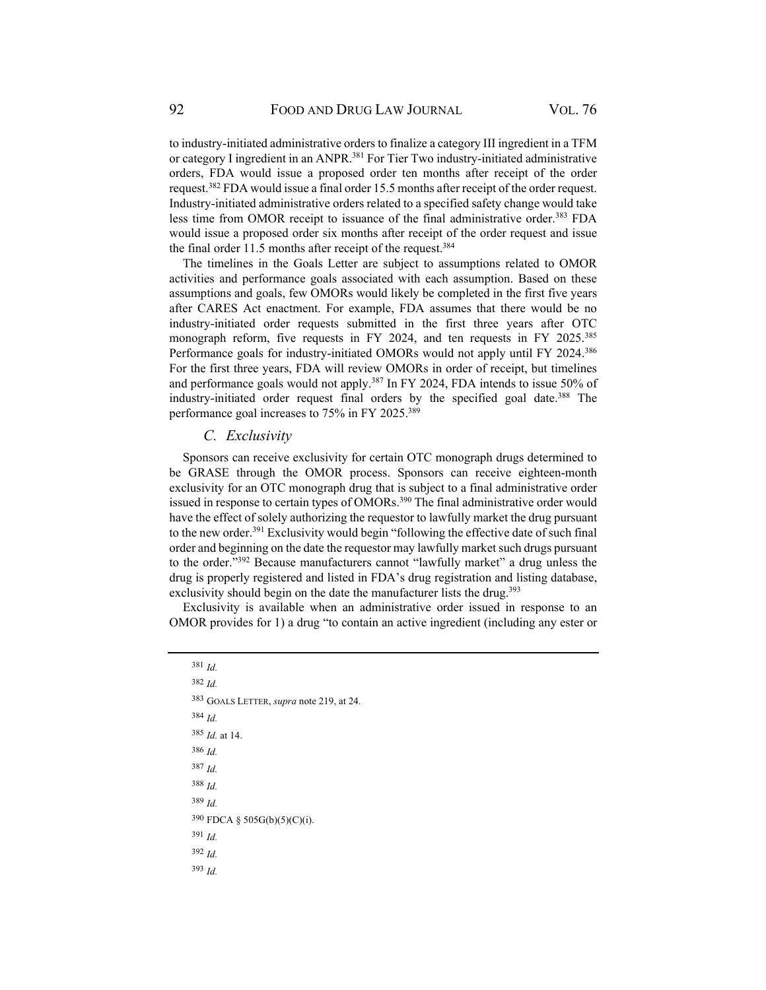to industry-initiated administrative orders to finalize a category III ingredient in a TFM or category I ingredient in an ANPR.<sup>381</sup> For Tier Two industry-initiated administrative orders, FDA would issue a proposed order ten months after receipt of the order request.382 FDA would issue a final order 15.5 months after receipt of the order request. Industry-initiated administrative orders related to a specified safety change would take less time from OMOR receipt to issuance of the final administrative order.<sup>383</sup> FDA would issue a proposed order six months after receipt of the order request and issue the final order 11.5 months after receipt of the request.<sup>384</sup>

The timelines in the Goals Letter are subject to assumptions related to OMOR activities and performance goals associated with each assumption. Based on these assumptions and goals, few OMORs would likely be completed in the first five years after CARES Act enactment. For example, FDA assumes that there would be no industry-initiated order requests submitted in the first three years after OTC monograph reform, five requests in FY 2024, and ten requests in FY 2025.<sup>385</sup> Performance goals for industry-initiated OMORs would not apply until FY 2024.386 For the first three years, FDA will review OMORs in order of receipt, but timelines and performance goals would not apply.<sup>387</sup> In FY 2024, FDA intends to issue 50% of industry-initiated order request final orders by the specified goal date.<sup>388</sup> The performance goal increases to 75% in FY 2025.389

### *C. Exclusivity*

Sponsors can receive exclusivity for certain OTC monograph drugs determined to be GRASE through the OMOR process. Sponsors can receive eighteen-month exclusivity for an OTC monograph drug that is subject to a final administrative order issued in response to certain types of OMORs.<sup>390</sup> The final administrative order would have the effect of solely authorizing the requestor to lawfully market the drug pursuant to the new order.<sup>391</sup> Exclusivity would begin "following the effective date of such final order and beginning on the date the requestor may lawfully market such drugs pursuant to the order."392 Because manufacturers cannot "lawfully market" a drug unless the drug is properly registered and listed in FDA's drug registration and listing database, exclusivity should begin on the date the manufacturer lists the drug.<sup>393</sup>

Exclusivity is available when an administrative order issued in response to an OMOR provides for 1) a drug "to contain an active ingredient (including any ester or

<sup>381</sup> *Id.* <sup>382</sup> *Id.* 383 GOALS LETTER, *supra* note 219, at 24. <sup>384</sup> *Id.* <sup>385</sup> *Id.* at 14. <sup>386</sup> *Id.* <sup>387</sup> *Id.* <sup>388</sup> *Id.* <sup>389</sup> *Id.* 390 FDCA § 505G(b)(5)(C)(i). <sup>391</sup> *Id.* <sup>392</sup> *Id.* <sup>393</sup> *Id.*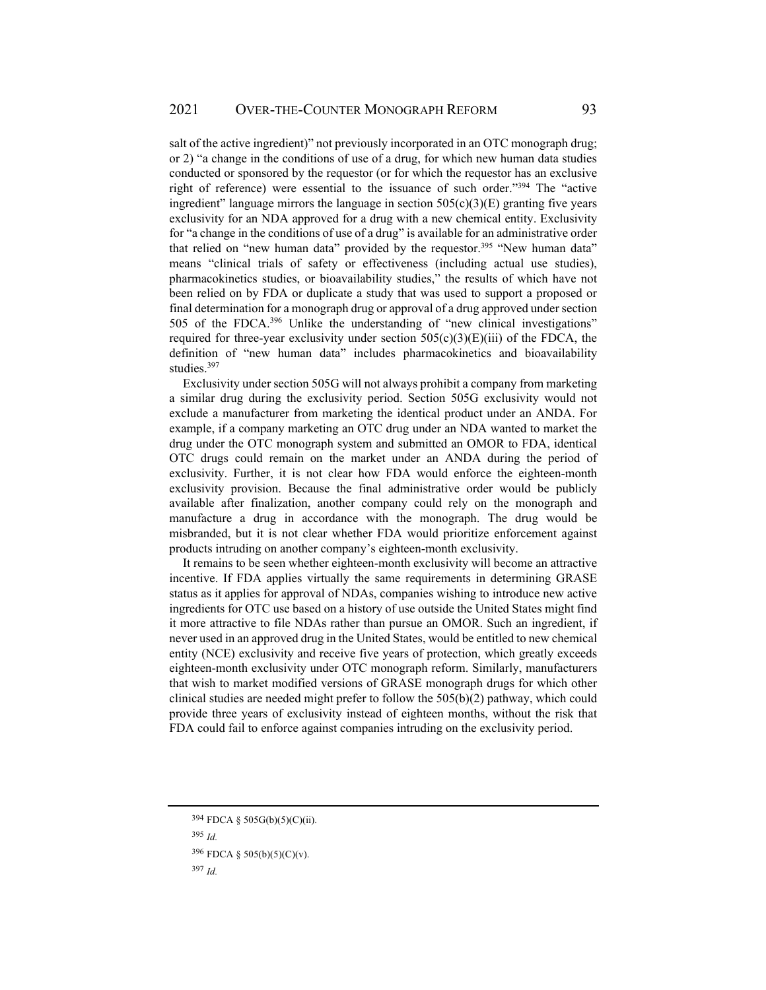salt of the active ingredient)" not previously incorporated in an OTC monograph drug; or 2) "a change in the conditions of use of a drug, for which new human data studies conducted or sponsored by the requestor (or for which the requestor has an exclusive right of reference) were essential to the issuance of such order."394 The "active ingredient" language mirrors the language in section  $505(c)(3)(E)$  granting five years exclusivity for an NDA approved for a drug with a new chemical entity. Exclusivity for "a change in the conditions of use of a drug" is available for an administrative order that relied on "new human data" provided by the requestor.<sup>395</sup> "New human data" means "clinical trials of safety or effectiveness (including actual use studies), pharmacokinetics studies, or bioavailability studies," the results of which have not been relied on by FDA or duplicate a study that was used to support a proposed or final determination for a monograph drug or approval of a drug approved under section 505 of the FDCA.396 Unlike the understanding of "new clinical investigations" required for three-year exclusivity under section  $505(c)(3)(E)(iii)$  of the FDCA, the definition of "new human data" includes pharmacokinetics and bioavailability studies.397

Exclusivity under section 505G will not always prohibit a company from marketing a similar drug during the exclusivity period. Section 505G exclusivity would not exclude a manufacturer from marketing the identical product under an ANDA. For example, if a company marketing an OTC drug under an NDA wanted to market the drug under the OTC monograph system and submitted an OMOR to FDA, identical OTC drugs could remain on the market under an ANDA during the period of exclusivity. Further, it is not clear how FDA would enforce the eighteen-month exclusivity provision. Because the final administrative order would be publicly available after finalization, another company could rely on the monograph and manufacture a drug in accordance with the monograph. The drug would be misbranded, but it is not clear whether FDA would prioritize enforcement against products intruding on another company's eighteen-month exclusivity.

It remains to be seen whether eighteen-month exclusivity will become an attractive incentive. If FDA applies virtually the same requirements in determining GRASE status as it applies for approval of NDAs, companies wishing to introduce new active ingredients for OTC use based on a history of use outside the United States might find it more attractive to file NDAs rather than pursue an OMOR. Such an ingredient, if never used in an approved drug in the United States, would be entitled to new chemical entity (NCE) exclusivity and receive five years of protection, which greatly exceeds eighteen-month exclusivity under OTC monograph reform. Similarly, manufacturers that wish to market modified versions of GRASE monograph drugs for which other clinical studies are needed might prefer to follow the 505(b)(2) pathway, which could provide three years of exclusivity instead of eighteen months, without the risk that FDA could fail to enforce against companies intruding on the exclusivity period.

<sup>394</sup> FDCA § 505G(b)(5)(C)(ii).

<sup>395</sup> *Id.*

<sup>396</sup> FDCA § 505(b)(5)(C)(v).

<sup>397</sup> *Id.*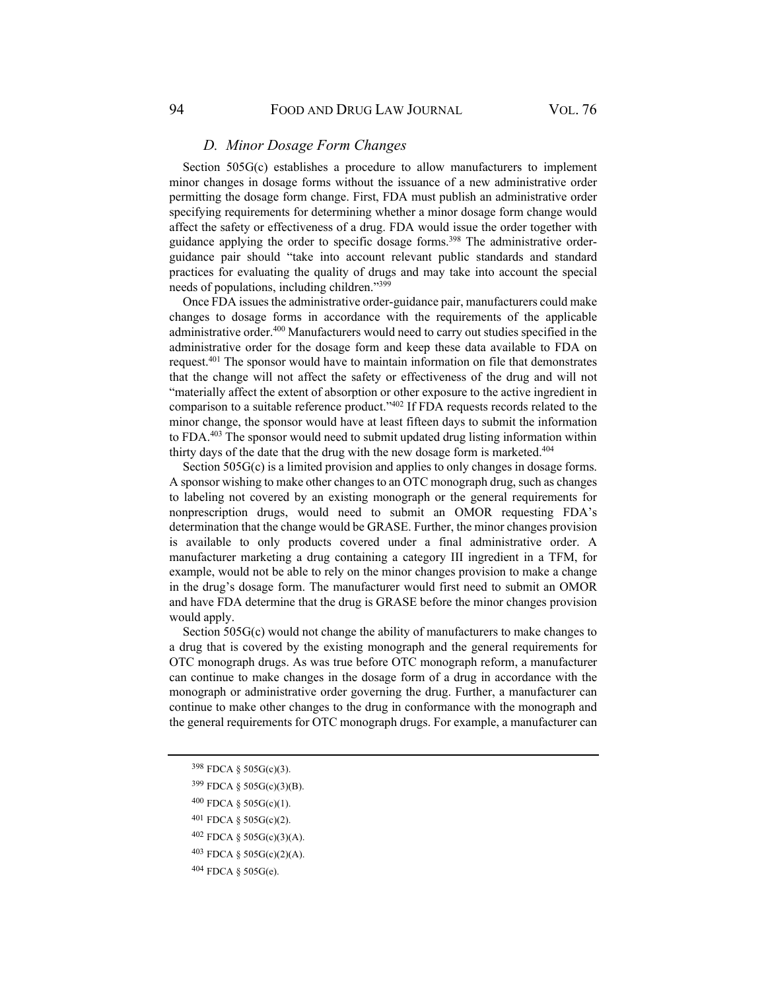# *D. Minor Dosage Form Changes*

Section 505G(c) establishes a procedure to allow manufacturers to implement minor changes in dosage forms without the issuance of a new administrative order permitting the dosage form change. First, FDA must publish an administrative order specifying requirements for determining whether a minor dosage form change would affect the safety or effectiveness of a drug. FDA would issue the order together with guidance applying the order to specific dosage forms.<sup>398</sup> The administrative orderguidance pair should "take into account relevant public standards and standard practices for evaluating the quality of drugs and may take into account the special needs of populations, including children."399

Once FDA issues the administrative order-guidance pair, manufacturers could make changes to dosage forms in accordance with the requirements of the applicable administrative order.<sup>400</sup> Manufacturers would need to carry out studies specified in the administrative order for the dosage form and keep these data available to FDA on request.401 The sponsor would have to maintain information on file that demonstrates that the change will not affect the safety or effectiveness of the drug and will not "materially affect the extent of absorption or other exposure to the active ingredient in comparison to a suitable reference product."402 If FDA requests records related to the minor change, the sponsor would have at least fifteen days to submit the information to FDA.403 The sponsor would need to submit updated drug listing information within thirty days of the date that the drug with the new dosage form is marketed.<sup>404</sup>

Section 505G(c) is a limited provision and applies to only changes in dosage forms. A sponsor wishing to make other changes to an OTC monograph drug, such as changes to labeling not covered by an existing monograph or the general requirements for nonprescription drugs, would need to submit an OMOR requesting FDA's determination that the change would be GRASE. Further, the minor changes provision is available to only products covered under a final administrative order. A manufacturer marketing a drug containing a category III ingredient in a TFM, for example, would not be able to rely on the minor changes provision to make a change in the drug's dosage form. The manufacturer would first need to submit an OMOR and have FDA determine that the drug is GRASE before the minor changes provision would apply.

Section 505G(c) would not change the ability of manufacturers to make changes to a drug that is covered by the existing monograph and the general requirements for OTC monograph drugs. As was true before OTC monograph reform, a manufacturer can continue to make changes in the dosage form of a drug in accordance with the monograph or administrative order governing the drug. Further, a manufacturer can continue to make other changes to the drug in conformance with the monograph and the general requirements for OTC monograph drugs. For example, a manufacturer can

- 398 FDCA § 505G(c)(3).
- 399 FDCA § 505G(c)(3)(B).
- 400 FDCA § 505G(c)(1).
- 401 FDCA § 505G(c)(2).
- 402 FDCA § 505G(c)(3)(A).
- 403 FDCA § 505G(c)(2)(A).
- 404 FDCA § 505G(e).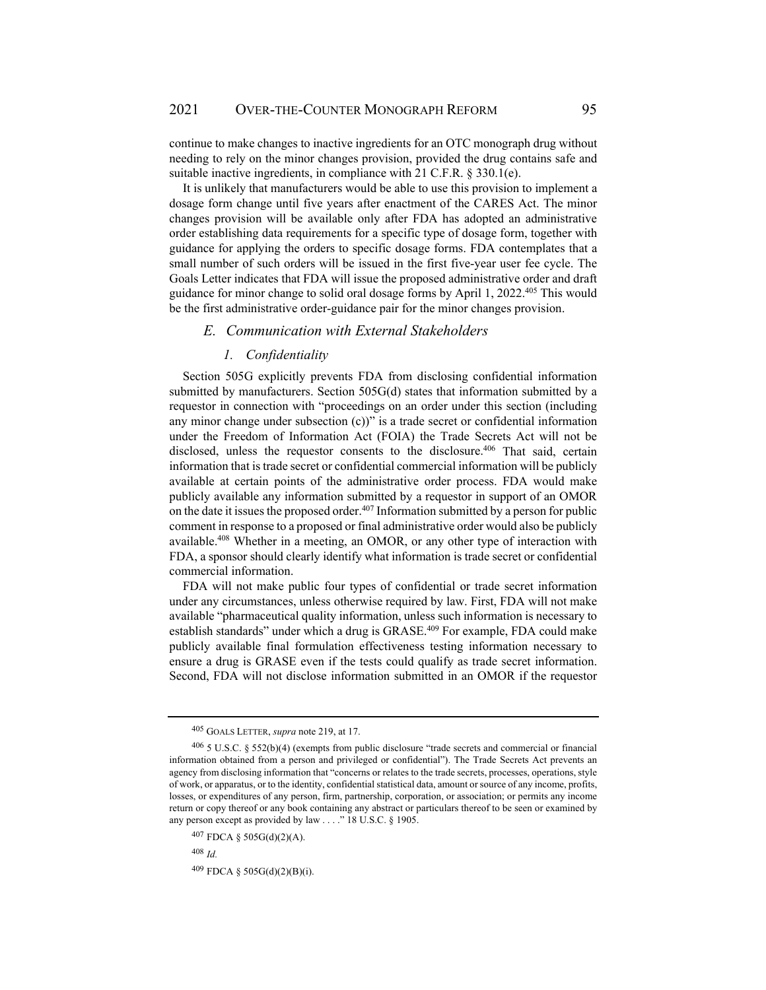continue to make changes to inactive ingredients for an OTC monograph drug without needing to rely on the minor changes provision, provided the drug contains safe and suitable inactive ingredients, in compliance with 21 C.F.R. § 330.1(e).

It is unlikely that manufacturers would be able to use this provision to implement a dosage form change until five years after enactment of the CARES Act. The minor changes provision will be available only after FDA has adopted an administrative order establishing data requirements for a specific type of dosage form, together with guidance for applying the orders to specific dosage forms. FDA contemplates that a small number of such orders will be issued in the first five-year user fee cycle. The Goals Letter indicates that FDA will issue the proposed administrative order and draft guidance for minor change to solid oral dosage forms by April 1, 2022.405 This would be the first administrative order-guidance pair for the minor changes provision.

## *E. Communication with External Stakeholders*

#### *1. Confidentiality*

Section 505G explicitly prevents FDA from disclosing confidential information submitted by manufacturers. Section 505G(d) states that information submitted by a requestor in connection with "proceedings on an order under this section (including any minor change under subsection  $(c)$ )" is a trade secret or confidential information under the Freedom of Information Act (FOIA) the Trade Secrets Act will not be disclosed, unless the requestor consents to the disclosure.<sup>406</sup> That said, certain information that is trade secret or confidential commercial information will be publicly available at certain points of the administrative order process. FDA would make publicly available any information submitted by a requestor in support of an OMOR on the date it issues the proposed order. $407$  Information submitted by a person for public comment in response to a proposed or final administrative order would also be publicly available.408 Whether in a meeting, an OMOR, or any other type of interaction with FDA, a sponsor should clearly identify what information is trade secret or confidential commercial information.

FDA will not make public four types of confidential or trade secret information under any circumstances, unless otherwise required by law. First, FDA will not make available "pharmaceutical quality information, unless such information is necessary to establish standards" under which a drug is GRASE.<sup>409</sup> For example, FDA could make publicly available final formulation effectiveness testing information necessary to ensure a drug is GRASE even if the tests could qualify as trade secret information. Second, FDA will not disclose information submitted in an OMOR if the requestor

<sup>405</sup> GOALS LETTER, *supra* note 219, at 17.

<sup>406 5</sup> U.S.C. § 552(b)(4) (exempts from public disclosure "trade secrets and commercial or financial information obtained from a person and privileged or confidential"). The Trade Secrets Act prevents an agency from disclosing information that "concerns or relates to the trade secrets, processes, operations, style of work, or apparatus, or to the identity, confidential statistical data, amount or source of any income, profits, losses, or expenditures of any person, firm, partnership, corporation, or association; or permits any income return or copy thereof or any book containing any abstract or particulars thereof to be seen or examined by any person except as provided by law . . . ." 18 U.S.C. § 1905.

<sup>407</sup> FDCA § 505G(d)(2)(A).

<sup>408</sup> *Id.*

<sup>409</sup> FDCA § 505G(d)(2)(B)(i).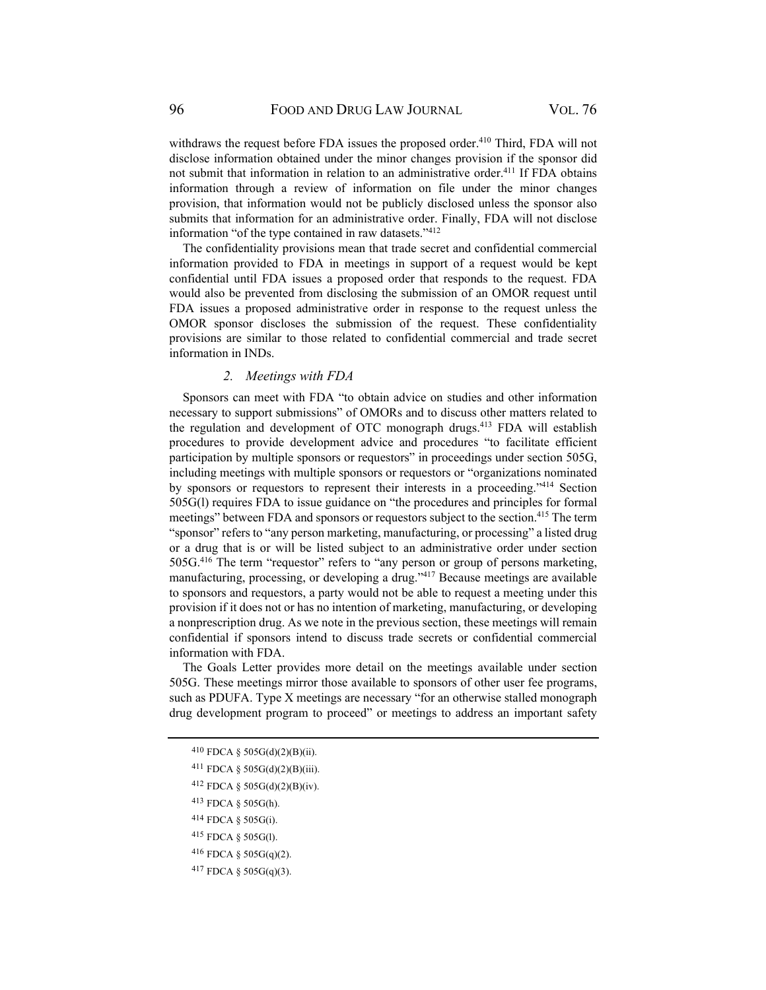withdraws the request before FDA issues the proposed order.<sup>410</sup> Third, FDA will not disclose information obtained under the minor changes provision if the sponsor did not submit that information in relation to an administrative order.<sup>411</sup> If FDA obtains information through a review of information on file under the minor changes provision, that information would not be publicly disclosed unless the sponsor also submits that information for an administrative order. Finally, FDA will not disclose information "of the type contained in raw datasets."412

The confidentiality provisions mean that trade secret and confidential commercial information provided to FDA in meetings in support of a request would be kept confidential until FDA issues a proposed order that responds to the request. FDA would also be prevented from disclosing the submission of an OMOR request until FDA issues a proposed administrative order in response to the request unless the OMOR sponsor discloses the submission of the request. These confidentiality provisions are similar to those related to confidential commercial and trade secret information in INDs.

#### *2. Meetings with FDA*

Sponsors can meet with FDA "to obtain advice on studies and other information necessary to support submissions" of OMORs and to discuss other matters related to the regulation and development of OTC monograph drugs.413 FDA will establish procedures to provide development advice and procedures "to facilitate efficient participation by multiple sponsors or requestors" in proceedings under section 505G, including meetings with multiple sponsors or requestors or "organizations nominated by sponsors or requestors to represent their interests in a proceeding."414 Section 505G(l) requires FDA to issue guidance on "the procedures and principles for formal meetings" between FDA and sponsors or requestors subject to the section.<sup>415</sup> The term "sponsor" refers to "any person marketing, manufacturing, or processing" a listed drug or a drug that is or will be listed subject to an administrative order under section 505G.416 The term "requestor" refers to "any person or group of persons marketing, manufacturing, processing, or developing a drug."417 Because meetings are available to sponsors and requestors, a party would not be able to request a meeting under this provision if it does not or has no intention of marketing, manufacturing, or developing a nonprescription drug. As we note in the previous section, these meetings will remain confidential if sponsors intend to discuss trade secrets or confidential commercial information with FDA.

The Goals Letter provides more detail on the meetings available under section 505G. These meetings mirror those available to sponsors of other user fee programs, such as PDUFA. Type X meetings are necessary "for an otherwise stalled monograph drug development program to proceed" or meetings to address an important safety

- 413 FDCA § 505G(h).
- 414 FDCA § 505G(i).
- 415 FDCA § 505G(l).
- 416 FDCA § 505G(q)(2).
- 417 FDCA § 505G(q)(3).

<sup>410</sup> FDCA § 505G(d)(2)(B)(ii).

<sup>411</sup> FDCA § 505G(d)(2)(B)(iii).

<sup>412</sup> FDCA § 505G(d)(2)(B)(iv).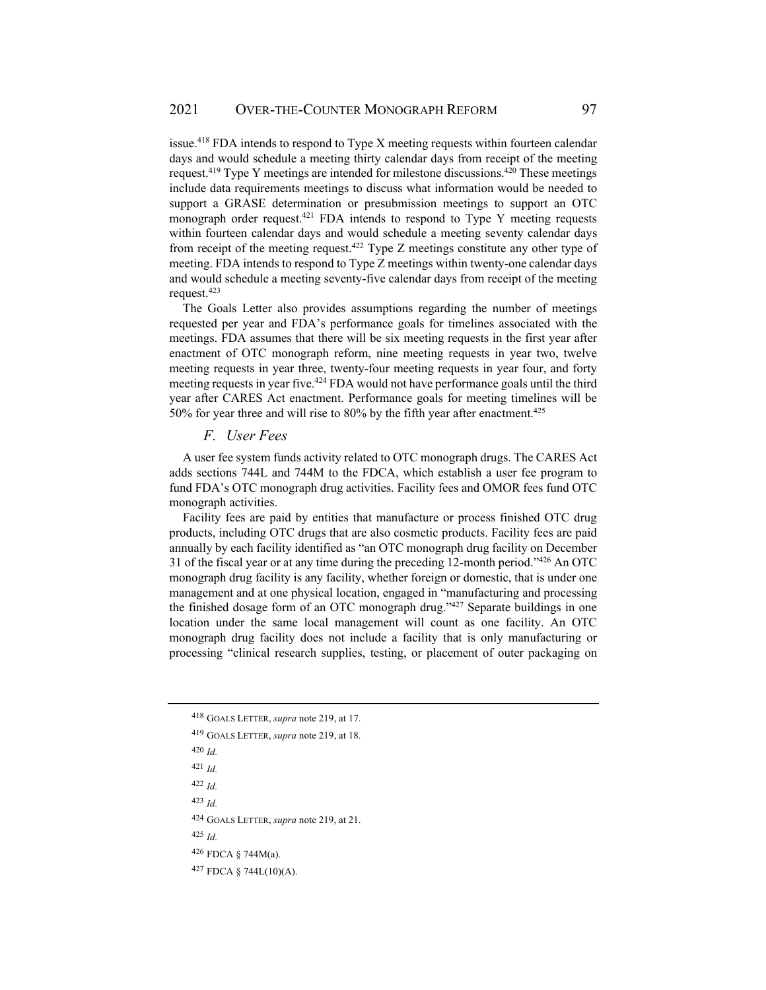issue.418 FDA intends to respond to Type X meeting requests within fourteen calendar days and would schedule a meeting thirty calendar days from receipt of the meeting request.<sup>419</sup> Type Y meetings are intended for milestone discussions.<sup>420</sup> These meetings include data requirements meetings to discuss what information would be needed to support a GRASE determination or presubmission meetings to support an OTC monograph order request.<sup>421</sup> FDA intends to respond to Type Y meeting requests within fourteen calendar days and would schedule a meeting seventy calendar days from receipt of the meeting request.<sup>422</sup> Type Z meetings constitute any other type of meeting. FDA intends to respond to Type Z meetings within twenty-one calendar days and would schedule a meeting seventy-five calendar days from receipt of the meeting request.423

The Goals Letter also provides assumptions regarding the number of meetings requested per year and FDA's performance goals for timelines associated with the meetings. FDA assumes that there will be six meeting requests in the first year after enactment of OTC monograph reform, nine meeting requests in year two, twelve meeting requests in year three, twenty-four meeting requests in year four, and forty meeting requests in year five.424 FDA would not have performance goals until the third year after CARES Act enactment. Performance goals for meeting timelines will be 50% for year three and will rise to 80% by the fifth year after enactment.<sup>425</sup>

# *F. User Fees*

A user fee system funds activity related to OTC monograph drugs. The CARES Act adds sections 744L and 744M to the FDCA, which establish a user fee program to fund FDA's OTC monograph drug activities. Facility fees and OMOR fees fund OTC monograph activities.

Facility fees are paid by entities that manufacture or process finished OTC drug products, including OTC drugs that are also cosmetic products. Facility fees are paid annually by each facility identified as "an OTC monograph drug facility on December 31 of the fiscal year or at any time during the preceding 12-month period."426 An OTC monograph drug facility is any facility, whether foreign or domestic, that is under one management and at one physical location, engaged in "manufacturing and processing the finished dosage form of an OTC monograph drug."427 Separate buildings in one location under the same local management will count as one facility. An OTC monograph drug facility does not include a facility that is only manufacturing or processing "clinical research supplies, testing, or placement of outer packaging on

<sup>420</sup> *Id.*

<sup>422</sup> *Id.*

<sup>423</sup> *Id.*

424 GOALS LETTER, *supra* note 219, at 21.

<sup>425</sup> *Id.*

426 FDCA § 744M(a).

427 FDCA § 744L(10)(A).

<sup>418</sup> GOALS LETTER, *supra* note 219, at 17.

<sup>419</sup> GOALS LETTER, *supra* note 219, at 18.

<sup>421</sup> *Id.*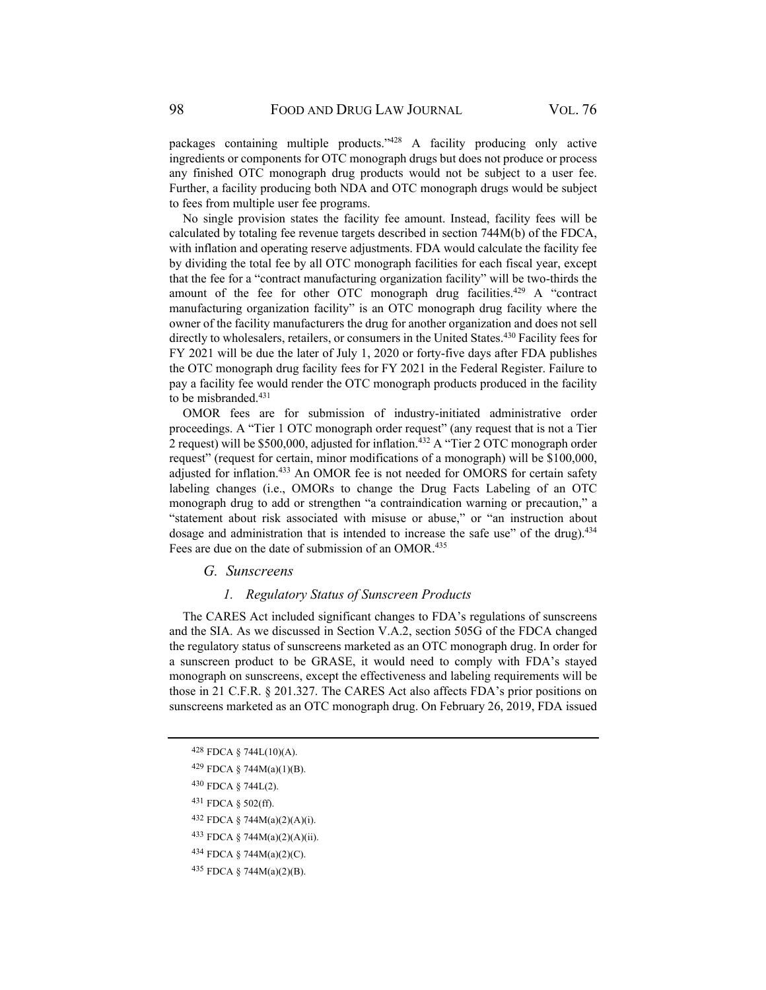packages containing multiple products."428 A facility producing only active ingredients or components for OTC monograph drugs but does not produce or process any finished OTC monograph drug products would not be subject to a user fee. Further, a facility producing both NDA and OTC monograph drugs would be subject to fees from multiple user fee programs.

No single provision states the facility fee amount. Instead, facility fees will be calculated by totaling fee revenue targets described in section 744M(b) of the FDCA, with inflation and operating reserve adjustments. FDA would calculate the facility fee by dividing the total fee by all OTC monograph facilities for each fiscal year, except that the fee for a "contract manufacturing organization facility" will be two-thirds the amount of the fee for other OTC monograph drug facilities.<sup>429</sup> A "contract manufacturing organization facility" is an OTC monograph drug facility where the owner of the facility manufacturers the drug for another organization and does not sell directly to wholesalers, retailers, or consumers in the United States.<sup>430</sup> Facility fees for FY 2021 will be due the later of July 1, 2020 or forty-five days after FDA publishes the OTC monograph drug facility fees for FY 2021 in the Federal Register. Failure to pay a facility fee would render the OTC monograph products produced in the facility to be misbranded.<sup>431</sup>

OMOR fees are for submission of industry-initiated administrative order proceedings. A "Tier 1 OTC monograph order request" (any request that is not a Tier 2 request) will be \$500,000, adjusted for inflation.<sup>432</sup> A "Tier 2 OTC monograph order request" (request for certain, minor modifications of a monograph) will be \$100,000, adjusted for inflation.433 An OMOR fee is not needed for OMORS for certain safety labeling changes (i.e., OMORs to change the Drug Facts Labeling of an OTC monograph drug to add or strengthen "a contraindication warning or precaution," a "statement about risk associated with misuse or abuse," or "an instruction about dosage and administration that is intended to increase the safe use" of the drug).<sup>434</sup> Fees are due on the date of submission of an OMOR.<sup>435</sup>

### *G. Sunscreens*

#### *1. Regulatory Status of Sunscreen Products*

The CARES Act included significant changes to FDA's regulations of sunscreens and the SIA. As we discussed in Section V.A.2, section 505G of the FDCA changed the regulatory status of sunscreens marketed as an OTC monograph drug. In order for a sunscreen product to be GRASE, it would need to comply with FDA's stayed monograph on sunscreens, except the effectiveness and labeling requirements will be those in 21 C.F.R. § 201.327. The CARES Act also affects FDA's prior positions on sunscreens marketed as an OTC monograph drug. On February 26, 2019, FDA issued

- 431 FDCA § 502(ff).
- 432 FDCA § 744M(a)(2)(A)(i).
- 433 FDCA § 744M(a)(2)(A)(ii).
- 434 FDCA § 744M(a)(2)(C).
- 435 FDCA § 744M(a)(2)(B).

 $428$  FDCA § 744L(10)(A).

<sup>429</sup> FDCA § 744M(a)(1)(B).

<sup>430</sup> FDCA § 744L(2).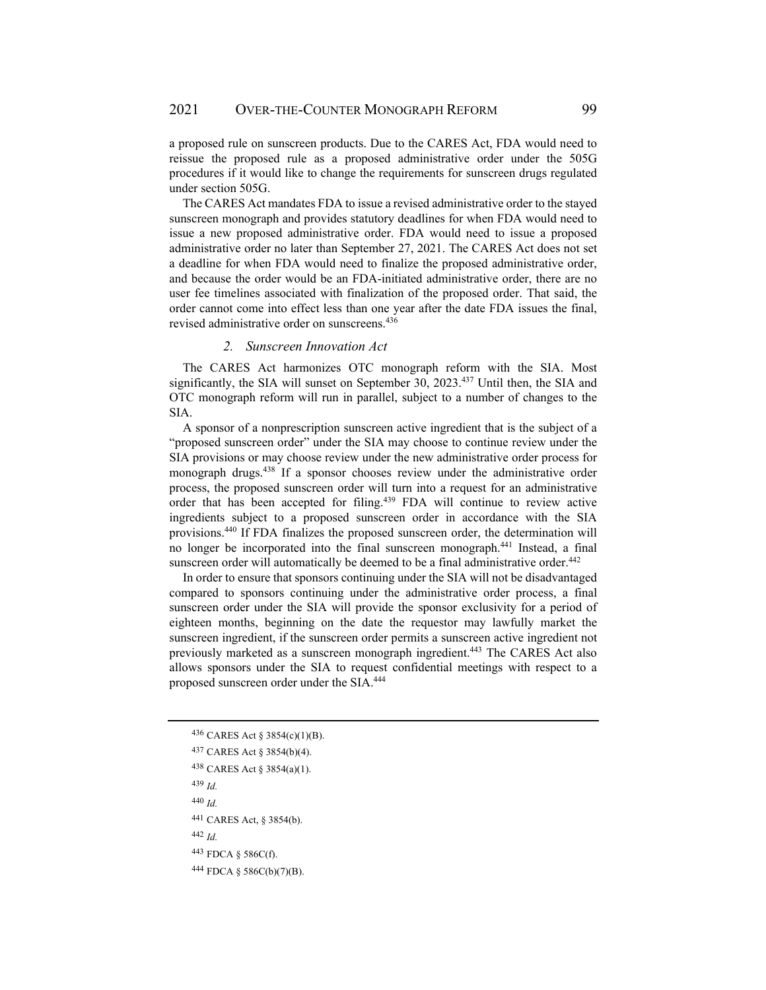a proposed rule on sunscreen products. Due to the CARES Act, FDA would need to reissue the proposed rule as a proposed administrative order under the 505G procedures if it would like to change the requirements for sunscreen drugs regulated under section 505G.

The CARES Act mandates FDA to issue a revised administrative order to the stayed sunscreen monograph and provides statutory deadlines for when FDA would need to issue a new proposed administrative order. FDA would need to issue a proposed administrative order no later than September 27, 2021. The CARES Act does not set a deadline for when FDA would need to finalize the proposed administrative order, and because the order would be an FDA-initiated administrative order, there are no user fee timelines associated with finalization of the proposed order. That said, the order cannot come into effect less than one year after the date FDA issues the final, revised administrative order on sunscreens.436

#### *2. Sunscreen Innovation Act*

The CARES Act harmonizes OTC monograph reform with the SIA. Most significantly, the SIA will sunset on September 30, 2023.437 Until then, the SIA and OTC monograph reform will run in parallel, subject to a number of changes to the SIA.

A sponsor of a nonprescription sunscreen active ingredient that is the subject of a "proposed sunscreen order" under the SIA may choose to continue review under the SIA provisions or may choose review under the new administrative order process for monograph drugs.438 If a sponsor chooses review under the administrative order process, the proposed sunscreen order will turn into a request for an administrative order that has been accepted for filing.439 FDA will continue to review active ingredients subject to a proposed sunscreen order in accordance with the SIA provisions.440 If FDA finalizes the proposed sunscreen order, the determination will no longer be incorporated into the final sunscreen monograph.441 Instead, a final sunscreen order will automatically be deemed to be a final administrative order.<sup>442</sup>

In order to ensure that sponsors continuing under the SIA will not be disadvantaged compared to sponsors continuing under the administrative order process, a final sunscreen order under the SIA will provide the sponsor exclusivity for a period of eighteen months, beginning on the date the requestor may lawfully market the sunscreen ingredient, if the sunscreen order permits a sunscreen active ingredient not previously marketed as a sunscreen monograph ingredient.<sup>443</sup> The CARES Act also allows sponsors under the SIA to request confidential meetings with respect to a proposed sunscreen order under the SIA.444

<sup>439</sup> *Id.* 

<sup>440</sup> *Id.*

<sup>442</sup> *Id.*

<sup>436</sup> CARES Act § 3854(c)(1)(B).

<sup>437</sup> CARES Act § 3854(b)(4).

<sup>438</sup> CARES Act § 3854(a)(1).

<sup>441</sup> CARES Act, § 3854(b).

<sup>443</sup> FDCA § 586C(f).

<sup>444</sup> FDCA § 586C(b)(7)(B).